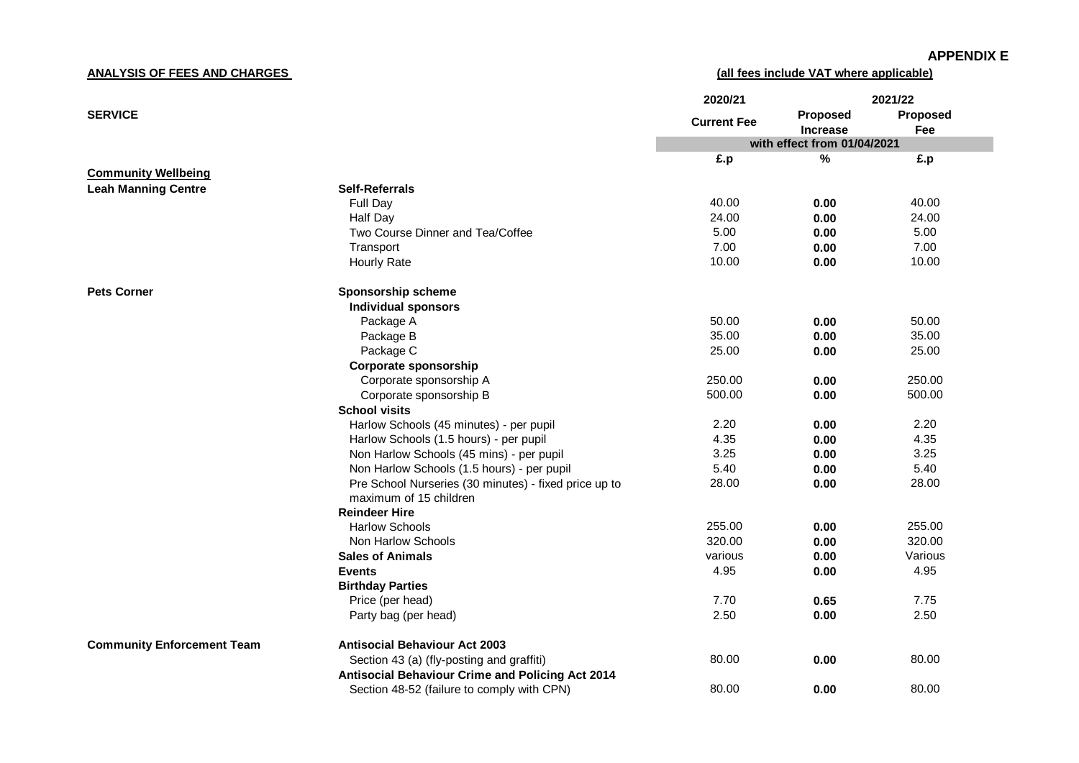**ANALYSIS OF FEES AND CHARGES** 

**(all fees include VAT where applicable)**

|                                   |                                                         | 2020/21            | 2021/22                     |          |
|-----------------------------------|---------------------------------------------------------|--------------------|-----------------------------|----------|
| <b>SERVICE</b>                    |                                                         |                    | <b>Proposed</b>             | Proposed |
|                                   |                                                         | <b>Current Fee</b> | <b>Increase</b>             | Fee      |
|                                   |                                                         |                    | with effect from 01/04/2021 |          |
|                                   |                                                         | £.p                | $\%$                        | £.p      |
| <b>Community Wellbeing</b>        |                                                         |                    |                             |          |
| <b>Leah Manning Centre</b>        | <b>Self-Referrals</b>                                   |                    |                             |          |
|                                   | Full Day                                                | 40.00              | 0.00                        | 40.00    |
|                                   | Half Day                                                | 24.00              | 0.00                        | 24.00    |
|                                   | Two Course Dinner and Tea/Coffee                        | 5.00               | 0.00                        | 5.00     |
|                                   | Transport                                               | 7.00               | 0.00                        | 7.00     |
|                                   | <b>Hourly Rate</b>                                      | 10.00              | 0.00                        | 10.00    |
| <b>Pets Corner</b>                | Sponsorship scheme                                      |                    |                             |          |
|                                   | <b>Individual sponsors</b>                              |                    |                             |          |
|                                   | Package A                                               | 50.00              | 0.00                        | 50.00    |
|                                   | Package B                                               | 35.00              | 0.00                        | 35.00    |
|                                   | Package C                                               | 25.00              | 0.00                        | 25.00    |
|                                   | Corporate sponsorship                                   |                    |                             |          |
|                                   | Corporate sponsorship A                                 | 250.00             | 0.00                        | 250.00   |
|                                   | Corporate sponsorship B                                 | 500.00             | 0.00                        | 500.00   |
|                                   | <b>School visits</b>                                    |                    |                             |          |
|                                   | Harlow Schools (45 minutes) - per pupil                 | 2.20               | 0.00                        | 2.20     |
|                                   | Harlow Schools (1.5 hours) - per pupil                  | 4.35               | 0.00                        | 4.35     |
|                                   | Non Harlow Schools (45 mins) - per pupil                | 3.25               | 0.00                        | 3.25     |
|                                   | Non Harlow Schools (1.5 hours) - per pupil              | 5.40               | 0.00                        | 5.40     |
|                                   | Pre School Nurseries (30 minutes) - fixed price up to   | 28.00              | 0.00                        | 28.00    |
|                                   | maximum of 15 children                                  |                    |                             |          |
|                                   | <b>Reindeer Hire</b>                                    |                    |                             |          |
|                                   | <b>Harlow Schools</b>                                   | 255.00             | 0.00                        | 255.00   |
|                                   | Non Harlow Schools                                      | 320.00             | 0.00                        | 320.00   |
|                                   | <b>Sales of Animals</b>                                 | various            | 0.00                        | Various  |
|                                   | <b>Events</b>                                           | 4.95               | 0.00                        | 4.95     |
|                                   | <b>Birthday Parties</b>                                 |                    |                             |          |
|                                   | Price (per head)                                        | 7.70               | 0.65                        | 7.75     |
|                                   | Party bag (per head)                                    | 2.50               | 0.00                        | 2.50     |
| <b>Community Enforcement Team</b> | <b>Antisocial Behaviour Act 2003</b>                    |                    |                             |          |
|                                   | Section 43 (a) (fly-posting and graffiti)               | 80.00              | 0.00                        | 80.00    |
|                                   | <b>Antisocial Behaviour Crime and Policing Act 2014</b> |                    |                             |          |
|                                   | Section 48-52 (failure to comply with CPN)              | 80.00              | 0.00                        | 80.00    |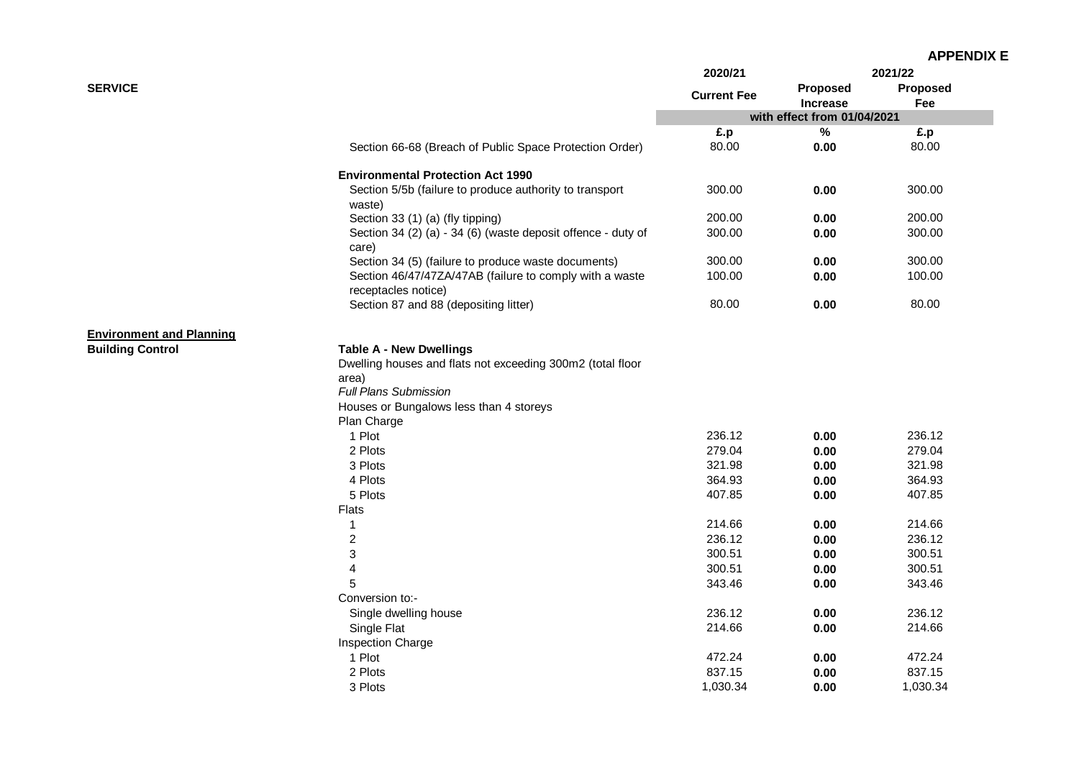| <b>APPENDIX E</b> |
|-------------------|
|-------------------|

|                                 |                                                                                | 2020/21            | 2021/22                     |                 |
|---------------------------------|--------------------------------------------------------------------------------|--------------------|-----------------------------|-----------------|
| <b>SERVICE</b>                  |                                                                                | <b>Current Fee</b> | Proposed<br><b>Increase</b> | Proposed<br>Fee |
|                                 |                                                                                |                    | with effect from 01/04/2021 |                 |
|                                 |                                                                                | £.p                | $\%$                        | £.p             |
|                                 | Section 66-68 (Breach of Public Space Protection Order)                        | 80.00              | 0.00                        | 80.00           |
|                                 | <b>Environmental Protection Act 1990</b>                                       |                    |                             |                 |
|                                 | Section 5/5b (failure to produce authority to transport<br>waste)              | 300.00             | 0.00                        | 300.00          |
|                                 | Section 33 (1) (a) (fly tipping)                                               | 200.00             | 0.00                        | 200.00          |
|                                 | Section 34 (2) (a) - 34 (6) (waste deposit offence - duty of<br>care)          | 300.00             | 0.00                        | 300.00          |
|                                 | Section 34 (5) (failure to produce waste documents)                            | 300.00             | 0.00                        | 300.00          |
|                                 | Section 46/47/47ZA/47AB (failure to comply with a waste<br>receptacles notice) | 100.00             | 0.00                        | 100.00          |
|                                 | Section 87 and 88 (depositing litter)                                          | 80.00              | 0.00                        | 80.00           |
| <b>Environment and Planning</b> |                                                                                |                    |                             |                 |
| <b>Building Control</b>         | <b>Table A - New Dwellings</b>                                                 |                    |                             |                 |
|                                 | Dwelling houses and flats not exceeding 300m2 (total floor                     |                    |                             |                 |
|                                 | area)                                                                          |                    |                             |                 |
|                                 | <b>Full Plans Submission</b>                                                   |                    |                             |                 |
|                                 | Houses or Bungalows less than 4 storeys                                        |                    |                             |                 |
|                                 | Plan Charge                                                                    |                    |                             |                 |
|                                 | 1 Plot                                                                         | 236.12             | 0.00                        | 236.12          |
|                                 | 2 Plots                                                                        | 279.04             | 0.00                        | 279.04          |
|                                 | 3 Plots                                                                        | 321.98             | 0.00                        | 321.98          |
|                                 | 4 Plots                                                                        | 364.93             | 0.00                        | 364.93          |
|                                 | 5 Plots                                                                        | 407.85             | 0.00                        | 407.85          |
|                                 | Flats                                                                          |                    |                             |                 |
|                                 | 1                                                                              | 214.66             | 0.00                        | 214.66          |
|                                 | $\overline{c}$                                                                 | 236.12             | 0.00                        | 236.12          |
|                                 | 3                                                                              | 300.51             | 0.00                        | 300.51          |
|                                 | $\overline{\mathbf{4}}$                                                        | 300.51             | 0.00                        | 300.51          |
|                                 | 5                                                                              | 343.46             | 0.00                        | 343.46          |
|                                 | Conversion to:-                                                                |                    |                             |                 |
|                                 | Single dwelling house                                                          | 236.12             | 0.00                        | 236.12          |
|                                 | Single Flat                                                                    | 214.66             | 0.00                        | 214.66          |
|                                 | Inspection Charge                                                              |                    |                             |                 |
|                                 | 1 Plot                                                                         | 472.24             | 0.00                        | 472.24          |
|                                 | 2 Plots                                                                        | 837.15             | 0.00                        | 837.15          |
|                                 | 3 Plots                                                                        | 1,030.34           | 0.00                        | 1,030.34        |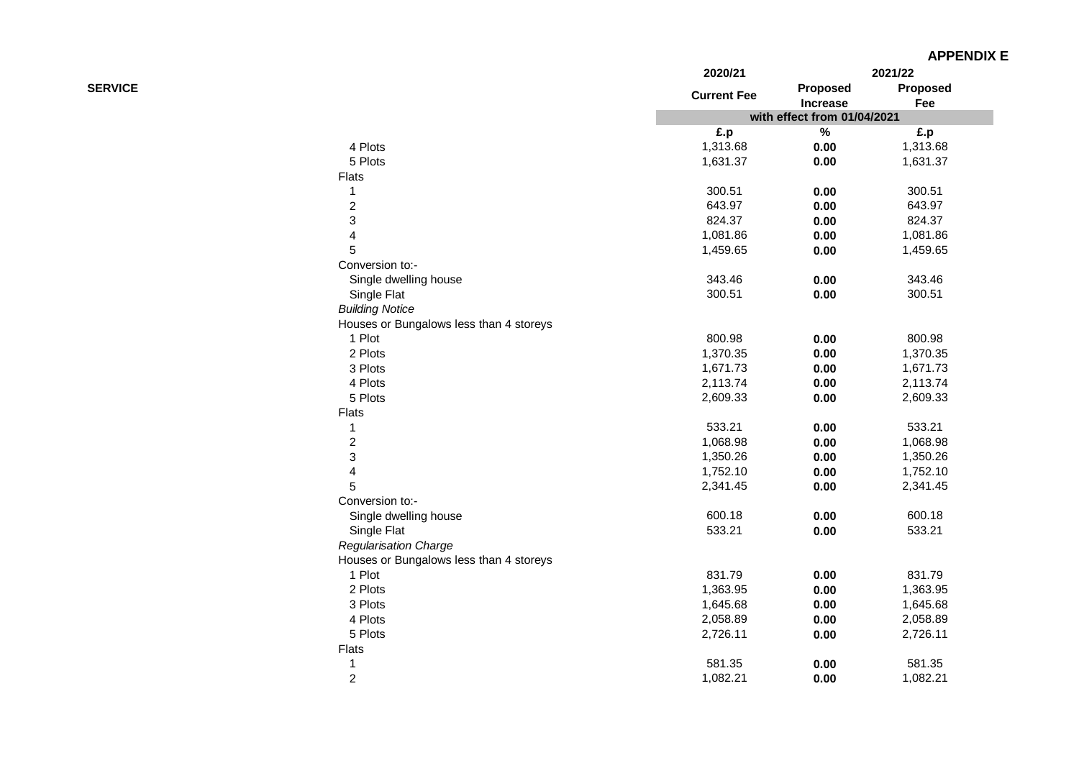| <b>APPENDIX E</b> |  |  |
|-------------------|--|--|
|-------------------|--|--|

|                |                                         | 2020/21            |                             | 2021/22  |
|----------------|-----------------------------------------|--------------------|-----------------------------|----------|
| <b>SERVICE</b> |                                         | <b>Current Fee</b> | Proposed                    | Proposed |
|                |                                         |                    | <b>Increase</b>             | Fee      |
|                |                                         |                    | with effect from 01/04/2021 |          |
|                |                                         | £.p                | $\%$                        | £.p      |
|                | 4 Plots                                 | 1,313.68           | 0.00                        | 1,313.68 |
|                | 5 Plots                                 | 1,631.37           | 0.00                        | 1,631.37 |
|                | <b>Flats</b>                            |                    |                             |          |
|                | 1                                       | 300.51             | 0.00                        | 300.51   |
|                | $\overline{c}$                          | 643.97             | 0.00                        | 643.97   |
|                | 3                                       | 824.37             | 0.00                        | 824.37   |
|                | 4                                       | 1,081.86           | 0.00                        | 1,081.86 |
|                | 5                                       | 1,459.65           | 0.00                        | 1,459.65 |
|                | Conversion to:-                         |                    |                             |          |
|                | Single dwelling house                   | 343.46             | 0.00                        | 343.46   |
|                | Single Flat                             | 300.51             | 0.00                        | 300.51   |
|                | <b>Building Notice</b>                  |                    |                             |          |
|                | Houses or Bungalows less than 4 storeys |                    |                             |          |
|                | 1 Plot                                  | 800.98             | 0.00                        | 800.98   |
|                | 2 Plots                                 | 1,370.35           | 0.00                        | 1,370.35 |
|                | 3 Plots                                 | 1,671.73           | 0.00                        | 1,671.73 |
|                | 4 Plots                                 | 2,113.74           | 0.00                        | 2,113.74 |
|                | 5 Plots                                 | 2,609.33           | 0.00                        | 2,609.33 |
|                | Flats                                   |                    |                             |          |
|                | 1                                       | 533.21             | 0.00                        | 533.21   |
|                | $\overline{c}$                          | 1,068.98           | 0.00                        | 1,068.98 |
|                | 3                                       | 1,350.26           | 0.00                        | 1,350.26 |
|                | 4                                       | 1,752.10           | 0.00                        | 1,752.10 |
|                | 5                                       | 2,341.45           | 0.00                        | 2,341.45 |
|                | Conversion to:-                         |                    |                             |          |
|                | Single dwelling house                   | 600.18             | 0.00                        | 600.18   |
|                | Single Flat                             | 533.21             | 0.00                        | 533.21   |
|                | <b>Regularisation Charge</b>            |                    |                             |          |
|                | Houses or Bungalows less than 4 storeys |                    |                             |          |
|                | 1 Plot                                  | 831.79             | 0.00                        | 831.79   |
|                | 2 Plots                                 | 1,363.95           | 0.00                        | 1,363.95 |
|                | 3 Plots                                 | 1,645.68           | 0.00                        | 1,645.68 |
|                | 4 Plots                                 | 2,058.89           | 0.00                        | 2,058.89 |
|                | 5 Plots                                 | 2,726.11           | 0.00                        | 2,726.11 |
|                | Flats                                   |                    |                             |          |
|                | 1                                       | 581.35             | 0.00                        | 581.35   |
|                | $\overline{c}$                          | 1,082.21           | 0.00                        | 1,082.21 |
|                |                                         |                    |                             |          |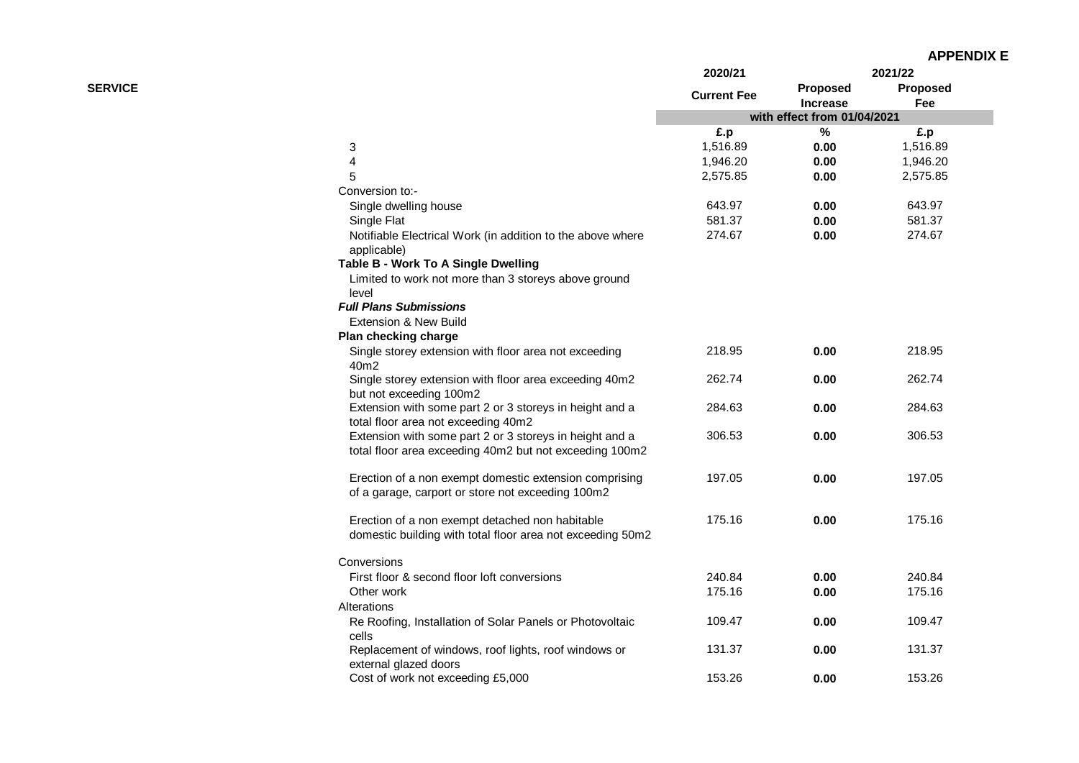| <b>APPENDIX E</b> |  |  |  |  |
|-------------------|--|--|--|--|
|-------------------|--|--|--|--|

|                |                                                                                                | 2020/21            | 2021/22                            |                 |
|----------------|------------------------------------------------------------------------------------------------|--------------------|------------------------------------|-----------------|
| <b>SERVICE</b> |                                                                                                | <b>Current Fee</b> | <b>Proposed</b><br><b>Increase</b> | Proposed<br>Fee |
|                |                                                                                                |                    | with effect from 01/04/2021        |                 |
|                |                                                                                                | £.p                | %                                  | £.p             |
|                | 3                                                                                              | 1,516.89           | 0.00                               | 1,516.89        |
|                | 4                                                                                              | 1,946.20           | 0.00                               | 1,946.20        |
|                | 5                                                                                              | 2,575.85           | 0.00                               | 2,575.85        |
|                | Conversion to:-                                                                                |                    |                                    |                 |
|                | Single dwelling house                                                                          | 643.97             | 0.00                               | 643.97          |
|                | Single Flat                                                                                    | 581.37             | 0.00                               | 581.37          |
|                | Notifiable Electrical Work (in addition to the above where<br>applicable)                      | 274.67             | 0.00                               | 274.67          |
|                | Table B - Work To A Single Dwelling                                                            |                    |                                    |                 |
|                | Limited to work not more than 3 storeys above ground                                           |                    |                                    |                 |
|                | level                                                                                          |                    |                                    |                 |
|                | <b>Full Plans Submissions</b>                                                                  |                    |                                    |                 |
|                | Extension & New Build                                                                          |                    |                                    |                 |
|                | Plan checking charge                                                                           |                    |                                    |                 |
|                | Single storey extension with floor area not exceeding<br>40m2                                  | 218.95             | 0.00                               | 218.95          |
|                | Single storey extension with floor area exceeding 40m2<br>but not exceeding 100m2              | 262.74             | 0.00                               | 262.74          |
|                | Extension with some part 2 or 3 storeys in height and a<br>total floor area not exceeding 40m2 | 284.63             | 0.00                               | 284.63          |
|                | Extension with some part 2 or 3 storeys in height and a                                        | 306.53             | 0.00                               | 306.53          |
|                | total floor area exceeding 40m2 but not exceeding 100m2                                        |                    |                                    |                 |
|                | Erection of a non exempt domestic extension comprising                                         | 197.05             | 0.00                               | 197.05          |
|                | of a garage, carport or store not exceeding 100m2                                              |                    |                                    |                 |
|                | Erection of a non exempt detached non habitable                                                | 175.16             | 0.00                               | 175.16          |
|                | domestic building with total floor area not exceeding 50m2                                     |                    |                                    |                 |
|                | Conversions                                                                                    |                    |                                    |                 |
|                | First floor & second floor loft conversions                                                    | 240.84             | 0.00                               | 240.84          |
|                | Other work                                                                                     | 175.16             | 0.00                               | 175.16          |
|                | Alterations                                                                                    |                    |                                    |                 |
|                | Re Roofing, Installation of Solar Panels or Photovoltaic<br>cells                              | 109.47             | 0.00                               | 109.47          |
|                | Replacement of windows, roof lights, roof windows or<br>external glazed doors                  | 131.37             | 0.00                               | 131.37          |
|                | Cost of work not exceeding £5,000                                                              | 153.26             | 0.00                               | 153.26          |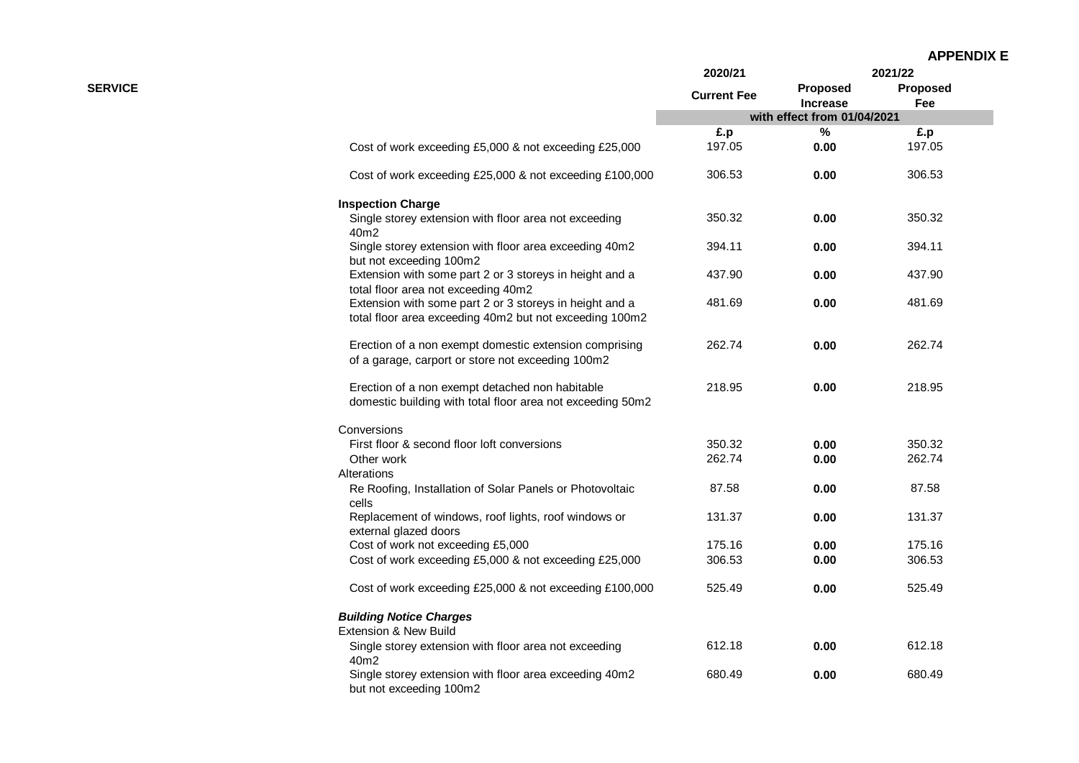| <b>APPENDIX E</b> |  |
|-------------------|--|
|-------------------|--|

|                |                                                                                                                    | 2020/21            |                                    | 2021/22         |
|----------------|--------------------------------------------------------------------------------------------------------------------|--------------------|------------------------------------|-----------------|
| <b>SERVICE</b> |                                                                                                                    | <b>Current Fee</b> | <b>Proposed</b><br><b>Increase</b> | Proposed<br>Fee |
|                |                                                                                                                    |                    | with effect from 01/04/2021        |                 |
|                |                                                                                                                    | £.p                | $\%$                               | £.p             |
|                | Cost of work exceeding £5,000 & not exceeding £25,000                                                              | 197.05             | 0.00                               | 197.05          |
|                | Cost of work exceeding £25,000 & not exceeding £100,000                                                            | 306.53             | 0.00                               | 306.53          |
|                | <b>Inspection Charge</b>                                                                                           |                    |                                    |                 |
|                | Single storey extension with floor area not exceeding<br>40m2                                                      | 350.32             | 0.00                               | 350.32          |
|                | Single storey extension with floor area exceeding 40m2<br>but not exceeding 100m2                                  | 394.11             | 0.00                               | 394.11          |
|                | Extension with some part 2 or 3 storeys in height and a<br>total floor area not exceeding 40m2                     | 437.90             | 0.00                               | 437.90          |
|                | Extension with some part 2 or 3 storeys in height and a<br>total floor area exceeding 40m2 but not exceeding 100m2 | 481.69             | 0.00                               | 481.69          |
|                | Erection of a non exempt domestic extension comprising<br>of a garage, carport or store not exceeding 100m2        | 262.74             | 0.00                               | 262.74          |
|                | Erection of a non exempt detached non habitable<br>domestic building with total floor area not exceeding 50m2      | 218.95             | 0.00                               | 218.95          |
|                | Conversions                                                                                                        |                    |                                    |                 |
|                | First floor & second floor loft conversions                                                                        | 350.32             | 0.00                               | 350.32          |
|                | Other work                                                                                                         | 262.74             | 0.00                               | 262.74          |
|                | Alterations                                                                                                        |                    |                                    |                 |
|                | Re Roofing, Installation of Solar Panels or Photovoltaic<br>cells                                                  | 87.58              | 0.00                               | 87.58           |
|                | Replacement of windows, roof lights, roof windows or<br>external glazed doors                                      | 131.37             | 0.00                               | 131.37          |
|                | Cost of work not exceeding £5,000                                                                                  | 175.16             | 0.00                               | 175.16          |
|                | Cost of work exceeding £5,000 & not exceeding £25,000                                                              | 306.53             | 0.00                               | 306.53          |
|                | Cost of work exceeding £25,000 & not exceeding £100,000                                                            | 525.49             | 0.00                               | 525.49          |
|                | <b>Building Notice Charges</b>                                                                                     |                    |                                    |                 |
|                | Extension & New Build                                                                                              |                    |                                    |                 |
|                | Single storey extension with floor area not exceeding<br>40m2                                                      | 612.18             | 0.00                               | 612.18          |
|                | Single storey extension with floor area exceeding 40m2<br>but not exceeding 100m2                                  | 680.49             | 0.00                               | 680.49          |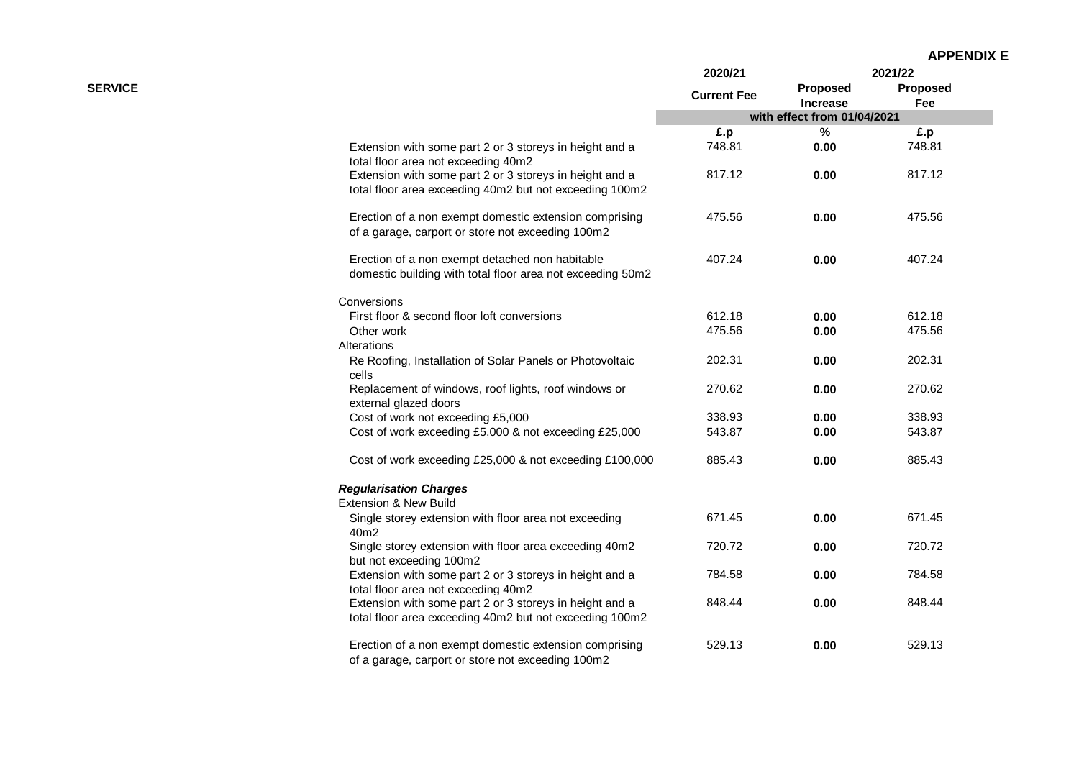|                |                                                                                                                    | 2020/21<br><b>Current Fee</b> | 2021/22                            |                        |
|----------------|--------------------------------------------------------------------------------------------------------------------|-------------------------------|------------------------------------|------------------------|
| <b>SERVICE</b> |                                                                                                                    |                               | <b>Proposed</b><br><b>Increase</b> | <b>Proposed</b><br>Fee |
|                |                                                                                                                    |                               | with effect from 01/04/2021        |                        |
|                |                                                                                                                    | £.p                           | %                                  | £.p                    |
|                | Extension with some part 2 or 3 storeys in height and a<br>total floor area not exceeding 40m2                     | 748.81                        | 0.00                               | 748.81                 |
|                | Extension with some part 2 or 3 storeys in height and a<br>total floor area exceeding 40m2 but not exceeding 100m2 | 817.12                        | 0.00                               | 817.12                 |
|                | Erection of a non exempt domestic extension comprising<br>of a garage, carport or store not exceeding 100m2        | 475.56                        | 0.00                               | 475.56                 |
|                | Erection of a non exempt detached non habitable<br>domestic building with total floor area not exceeding 50m2      | 407.24                        | 0.00                               | 407.24                 |
|                | Conversions                                                                                                        |                               |                                    |                        |
|                | First floor & second floor loft conversions                                                                        | 612.18                        | 0.00                               | 612.18                 |
|                | Other work                                                                                                         | 475.56                        | 0.00                               | 475.56                 |
|                | Alterations                                                                                                        |                               |                                    |                        |
|                | Re Roofing, Installation of Solar Panels or Photovoltaic<br>cells                                                  | 202.31                        | 0.00                               | 202.31                 |
|                | Replacement of windows, roof lights, roof windows or<br>external glazed doors                                      | 270.62                        | 0.00                               | 270.62                 |
|                | Cost of work not exceeding £5,000                                                                                  | 338.93                        | 0.00                               | 338.93                 |
|                | Cost of work exceeding £5,000 & not exceeding £25,000                                                              | 543.87                        | 0.00                               | 543.87                 |
|                | Cost of work exceeding £25,000 & not exceeding £100,000                                                            | 885.43                        | 0.00                               | 885.43                 |
|                | <b>Regularisation Charges</b>                                                                                      |                               |                                    |                        |
|                | Extension & New Build                                                                                              |                               |                                    |                        |
|                | Single storey extension with floor area not exceeding<br>40m2                                                      | 671.45                        | 0.00                               | 671.45                 |
|                | Single storey extension with floor area exceeding 40m2<br>but not exceeding 100m2                                  | 720.72                        | 0.00                               | 720.72                 |
|                | Extension with some part 2 or 3 storeys in height and a<br>total floor area not exceeding 40m2                     | 784.58                        | 0.00                               | 784.58                 |
|                | Extension with some part 2 or 3 storeys in height and a<br>total floor area exceeding 40m2 but not exceeding 100m2 | 848.44                        | 0.00                               | 848.44                 |
|                | Erection of a non exempt domestic extension comprising<br>of a garage, carport or store not exceeding 100m2        | 529.13                        | 0.00                               | 529.13                 |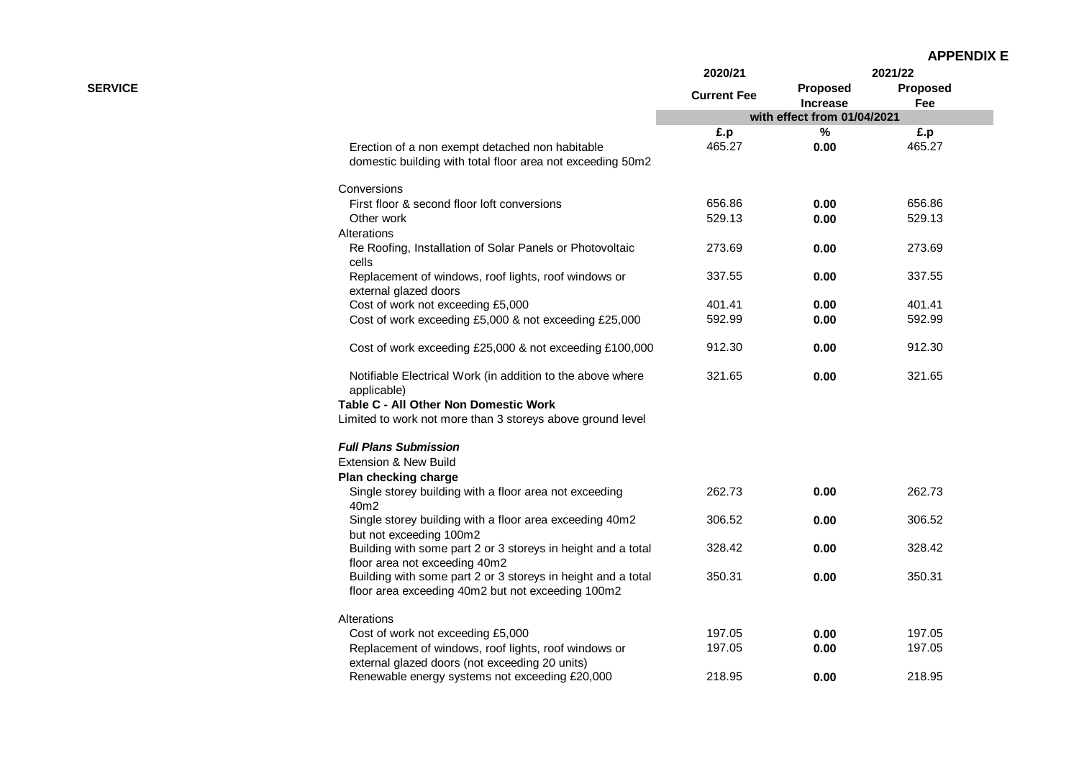| <b>APPENDIX E</b> |  |
|-------------------|--|
|-------------------|--|

|                                                                                                               | 2020/21                                                                                                                                                                     |                             | 2021/22                     |  |
|---------------------------------------------------------------------------------------------------------------|-----------------------------------------------------------------------------------------------------------------------------------------------------------------------------|-----------------------------|-----------------------------|--|
|                                                                                                               | <b>Current Fee</b>                                                                                                                                                          | Proposed<br><b>Increase</b> | <b>Proposed</b><br>Fee      |  |
|                                                                                                               |                                                                                                                                                                             |                             |                             |  |
|                                                                                                               | £.p                                                                                                                                                                         | %                           | £.p                         |  |
| Erection of a non exempt detached non habitable<br>domestic building with total floor area not exceeding 50m2 | 465.27                                                                                                                                                                      | 0.00                        | 465.27                      |  |
| Conversions                                                                                                   |                                                                                                                                                                             |                             |                             |  |
| First floor & second floor loft conversions                                                                   | 656.86                                                                                                                                                                      | 0.00                        | 656.86                      |  |
| Other work                                                                                                    | 529.13                                                                                                                                                                      | 0.00                        | 529.13                      |  |
| Alterations                                                                                                   |                                                                                                                                                                             |                             |                             |  |
| Re Roofing, Installation of Solar Panels or Photovoltaic<br>cells                                             | 273.69                                                                                                                                                                      | 0.00                        | 273.69                      |  |
| Replacement of windows, roof lights, roof windows or<br>external glazed doors                                 | 337.55                                                                                                                                                                      | 0.00                        | 337.55                      |  |
| Cost of work not exceeding £5,000                                                                             | 401.41                                                                                                                                                                      | 0.00                        | 401.41                      |  |
| Cost of work exceeding £5,000 & not exceeding £25,000                                                         | 592.99                                                                                                                                                                      | 0.00                        | 592.99                      |  |
| Cost of work exceeding £25,000 & not exceeding £100,000                                                       | 912.30                                                                                                                                                                      | 0.00                        | 912.30                      |  |
| Notifiable Electrical Work (in addition to the above where<br>applicable)                                     | 321.65                                                                                                                                                                      | 0.00                        | 321.65                      |  |
| Table C - All Other Non Domestic Work                                                                         |                                                                                                                                                                             |                             |                             |  |
| Limited to work not more than 3 storeys above ground level                                                    |                                                                                                                                                                             |                             |                             |  |
| <b>Full Plans Submission</b>                                                                                  |                                                                                                                                                                             |                             |                             |  |
|                                                                                                               |                                                                                                                                                                             |                             |                             |  |
| Plan checking charge                                                                                          |                                                                                                                                                                             |                             |                             |  |
| 40m2                                                                                                          |                                                                                                                                                                             | 0.00                        | 262.73                      |  |
| but not exceeding 100m2                                                                                       |                                                                                                                                                                             | 0.00                        | 306.52                      |  |
| Building with some part 2 or 3 storeys in height and a total                                                  | 328.42                                                                                                                                                                      | 0.00                        | 328.42                      |  |
| Building with some part 2 or 3 storeys in height and a total                                                  | 350.31                                                                                                                                                                      | 0.00                        | 350.31                      |  |
| floor area exceeding 40m2 but not exceeding 100m2                                                             |                                                                                                                                                                             |                             |                             |  |
| Alterations                                                                                                   |                                                                                                                                                                             |                             |                             |  |
| Cost of work not exceeding £5,000                                                                             | 197.05                                                                                                                                                                      | 0.00                        | 197.05                      |  |
| Replacement of windows, roof lights, roof windows or<br>external glazed doors (not exceeding 20 units)        | 197.05                                                                                                                                                                      | 0.00                        | 197.05                      |  |
| Renewable energy systems not exceeding £20,000                                                                | 218.95                                                                                                                                                                      | 0.00                        | 218.95                      |  |
|                                                                                                               | Extension & New Build<br>Single storey building with a floor area not exceeding<br>Single storey building with a floor area exceeding 40m2<br>floor area not exceeding 40m2 | 262.73<br>306.52            | with effect from 01/04/2021 |  |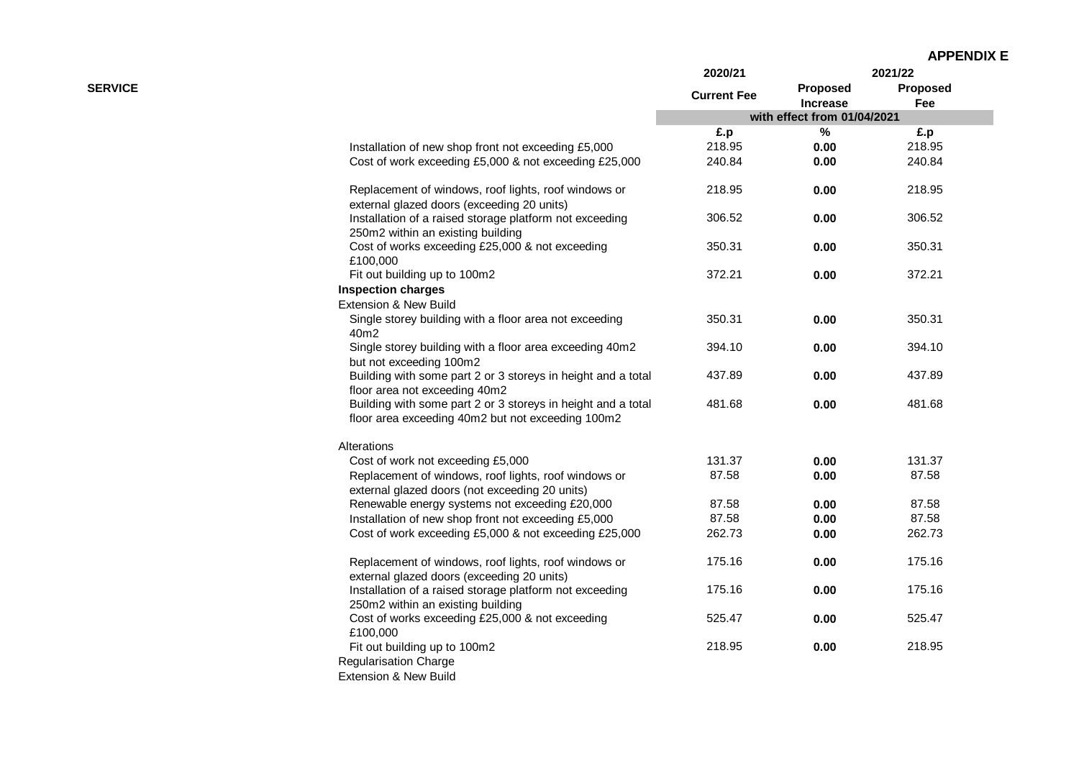|                |                                                                                                                   | 2020/21            |                             | 2021/22         |
|----------------|-------------------------------------------------------------------------------------------------------------------|--------------------|-----------------------------|-----------------|
| <b>SERVICE</b> |                                                                                                                   | <b>Current Fee</b> | Proposed<br>Increase        | Proposed<br>Fee |
|                |                                                                                                                   |                    | with effect from 01/04/2021 |                 |
|                |                                                                                                                   | £.p                | %                           | £.p             |
|                | Installation of new shop front not exceeding £5,000                                                               | 218.95             | 0.00                        | 218.95          |
|                | Cost of work exceeding £5,000 & not exceeding £25,000                                                             | 240.84             | 0.00                        | 240.84          |
|                | Replacement of windows, roof lights, roof windows or<br>external glazed doors (exceeding 20 units)                | 218.95             | 0.00                        | 218.95          |
|                | Installation of a raised storage platform not exceeding<br>250m2 within an existing building                      | 306.52             | 0.00                        | 306.52          |
|                | Cost of works exceeding £25,000 & not exceeding<br>£100,000                                                       | 350.31             | 0.00                        | 350.31          |
|                | Fit out building up to 100m2                                                                                      | 372.21             | 0.00                        | 372.21          |
|                | <b>Inspection charges</b>                                                                                         |                    |                             |                 |
|                | Extension & New Build                                                                                             |                    |                             |                 |
|                | Single storey building with a floor area not exceeding<br>40m2                                                    | 350.31             | 0.00                        | 350.31          |
|                | Single storey building with a floor area exceeding 40m2<br>but not exceeding 100m2                                | 394.10             | 0.00                        | 394.10          |
|                | Building with some part 2 or 3 storeys in height and a total<br>floor area not exceeding 40m2                     | 437.89             | 0.00                        | 437.89          |
|                | Building with some part 2 or 3 storeys in height and a total<br>floor area exceeding 40m2 but not exceeding 100m2 | 481.68             | 0.00                        | 481.68          |
|                | Alterations                                                                                                       |                    |                             |                 |
|                | Cost of work not exceeding £5,000                                                                                 | 131.37             | 0.00                        | 131.37          |
|                | Replacement of windows, roof lights, roof windows or                                                              | 87.58              | 0.00                        | 87.58           |
|                | external glazed doors (not exceeding 20 units)                                                                    |                    |                             |                 |
|                | Renewable energy systems not exceeding £20,000                                                                    | 87.58<br>87.58     | 0.00                        | 87.58<br>87.58  |
|                | Installation of new shop front not exceeding £5,000<br>Cost of work exceeding £5,000 & not exceeding £25,000      | 262.73             | 0.00<br>0.00                | 262.73          |
|                |                                                                                                                   |                    |                             |                 |
|                | Replacement of windows, roof lights, roof windows or<br>external glazed doors (exceeding 20 units)                | 175.16             | 0.00                        | 175.16          |
|                | Installation of a raised storage platform not exceeding<br>250m2 within an existing building                      | 175.16             | 0.00                        | 175.16          |
|                | Cost of works exceeding £25,000 & not exceeding<br>£100,000                                                       | 525.47             | 0.00                        | 525.47          |
|                | Fit out building up to 100m2<br><b>Regularisation Charge</b>                                                      | 218.95             | 0.00                        | 218.95          |
|                | Extension & New Build                                                                                             |                    |                             |                 |
|                |                                                                                                                   |                    |                             |                 |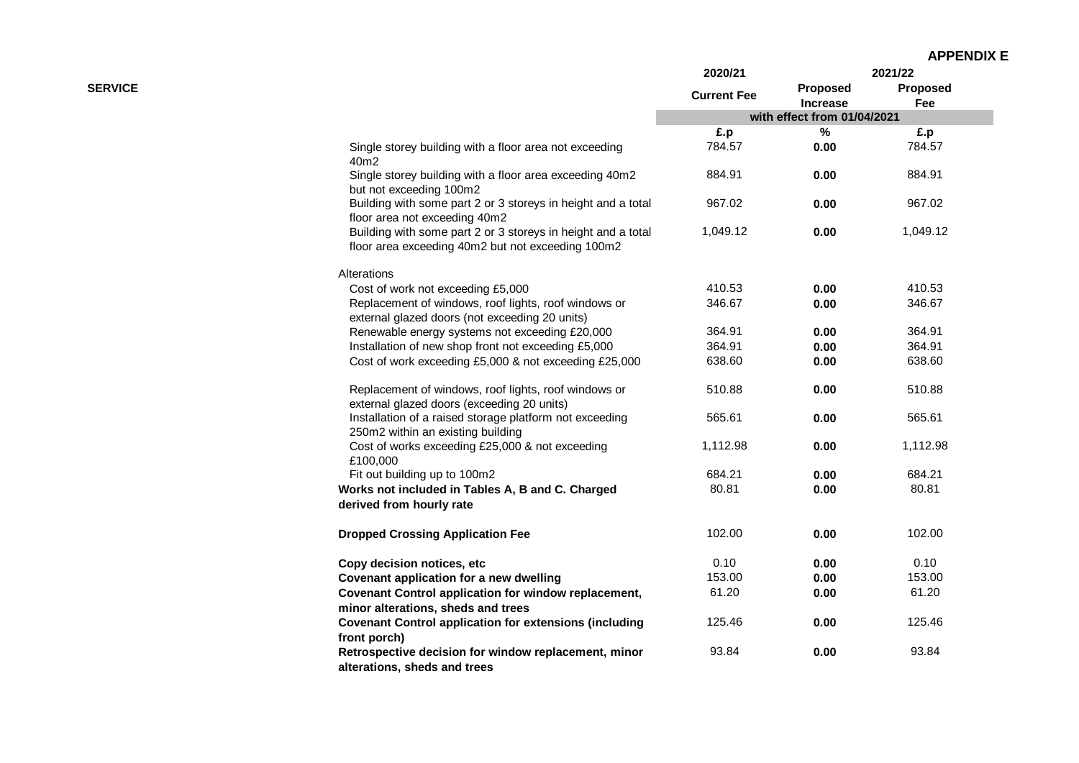| <b>APPENDIX E</b> |
|-------------------|
|-------------------|

|                |                                                                                                                   | 2020/21            |                                    | 2021/22         |
|----------------|-------------------------------------------------------------------------------------------------------------------|--------------------|------------------------------------|-----------------|
| <b>SERVICE</b> |                                                                                                                   | <b>Current Fee</b> | <b>Proposed</b><br><b>Increase</b> | Proposed<br>Fee |
|                |                                                                                                                   |                    | with effect from 01/04/2021        |                 |
|                |                                                                                                                   | £.p                | %                                  | £.p             |
|                | Single storey building with a floor area not exceeding<br>40m2                                                    | 784.57             | 0.00                               | 784.57          |
|                | Single storey building with a floor area exceeding 40m2<br>but not exceeding 100m2                                | 884.91             | 0.00                               | 884.91          |
|                | Building with some part 2 or 3 storeys in height and a total<br>floor area not exceeding 40m2                     | 967.02             | 0.00                               | 967.02          |
|                | Building with some part 2 or 3 storeys in height and a total<br>floor area exceeding 40m2 but not exceeding 100m2 | 1,049.12           | 0.00                               | 1,049.12        |
|                | Alterations                                                                                                       |                    |                                    |                 |
|                | Cost of work not exceeding £5,000                                                                                 | 410.53             | 0.00                               | 410.53          |
|                | Replacement of windows, roof lights, roof windows or<br>external glazed doors (not exceeding 20 units)            | 346.67             | 0.00                               | 346.67          |
|                | Renewable energy systems not exceeding £20,000                                                                    | 364.91             | 0.00                               | 364.91          |
|                | Installation of new shop front not exceeding £5,000                                                               | 364.91             | 0.00                               | 364.91          |
|                | Cost of work exceeding £5,000 & not exceeding £25,000                                                             | 638.60             | 0.00                               | 638.60          |
|                | Replacement of windows, roof lights, roof windows or<br>external glazed doors (exceeding 20 units)                | 510.88             | 0.00                               | 510.88          |
|                | Installation of a raised storage platform not exceeding<br>250m2 within an existing building                      | 565.61             | 0.00                               | 565.61          |
|                | Cost of works exceeding £25,000 & not exceeding<br>£100,000                                                       | 1,112.98           | 0.00                               | 1,112.98        |
|                | Fit out building up to 100m2                                                                                      | 684.21             | 0.00                               | 684.21          |
|                | Works not included in Tables A, B and C. Charged<br>derived from hourly rate                                      | 80.81              | 0.00                               | 80.81           |
|                | <b>Dropped Crossing Application Fee</b>                                                                           | 102.00             | 0.00                               | 102.00          |
|                | Copy decision notices, etc                                                                                        | 0.10               | 0.00                               | 0.10            |
|                | Covenant application for a new dwelling                                                                           | 153.00             | 0.00                               | 153.00          |
|                | Covenant Control application for window replacement,<br>minor alterations, sheds and trees                        | 61.20              | 0.00                               | 61.20           |
|                | <b>Covenant Control application for extensions (including</b><br>front porch)                                     | 125.46             | 0.00                               | 125.46          |
|                | Retrospective decision for window replacement, minor<br>alterations, sheds and trees                              | 93.84              | 0.00                               | 93.84           |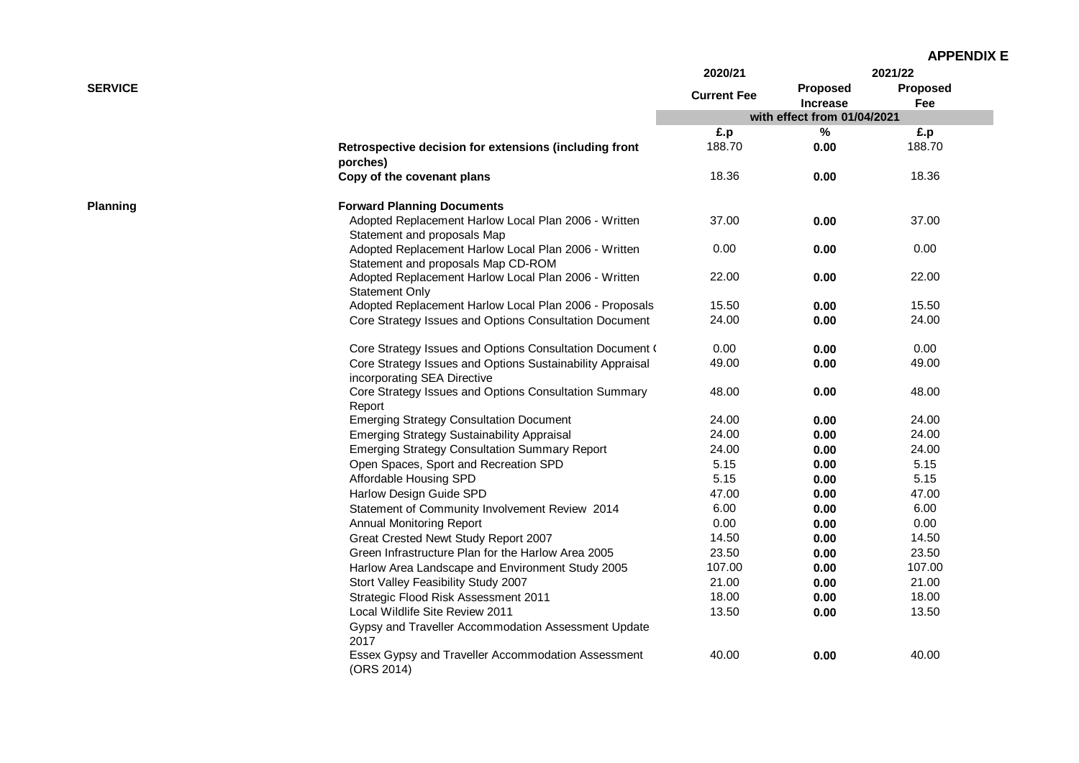|                 |                                                                                                | 2020/21            |                                    | 2021/22                |
|-----------------|------------------------------------------------------------------------------------------------|--------------------|------------------------------------|------------------------|
| <b>SERVICE</b>  |                                                                                                | <b>Current Fee</b> | <b>Proposed</b><br><b>Increase</b> | <b>Proposed</b><br>Fee |
|                 |                                                                                                |                    | with effect from 01/04/2021        |                        |
|                 |                                                                                                | £.p                | $\%$                               | £.p                    |
|                 | Retrospective decision for extensions (including front<br>porches)                             | 188.70             | 0.00                               | 188.70                 |
|                 | Copy of the covenant plans                                                                     | 18.36              | 0.00                               | 18.36                  |
| <b>Planning</b> | <b>Forward Planning Documents</b>                                                              |                    |                                    |                        |
|                 | Adopted Replacement Harlow Local Plan 2006 - Written<br>Statement and proposals Map            | 37.00              | 0.00                               | 37.00                  |
|                 | Adopted Replacement Harlow Local Plan 2006 - Written<br>Statement and proposals Map CD-ROM     | 0.00               | 0.00                               | 0.00                   |
|                 | Adopted Replacement Harlow Local Plan 2006 - Written<br><b>Statement Only</b>                  | 22.00              | 0.00                               | 22.00                  |
|                 | Adopted Replacement Harlow Local Plan 2006 - Proposals                                         | 15.50              | 0.00                               | 15.50                  |
|                 | Core Strategy Issues and Options Consultation Document                                         | 24.00              | 0.00                               | 24.00                  |
|                 | Core Strategy Issues and Options Consultation Document (                                       | 0.00               | 0.00                               | 0.00                   |
|                 | Core Strategy Issues and Options Sustainability Appraisal<br>incorporating SEA Directive       | 49.00              | 0.00                               | 49.00                  |
|                 | Core Strategy Issues and Options Consultation Summary<br>Report                                | 48.00              | 0.00                               | 48.00                  |
|                 | <b>Emerging Strategy Consultation Document</b>                                                 | 24.00              | 0.00                               | 24.00                  |
|                 | <b>Emerging Strategy Sustainability Appraisal</b>                                              | 24.00              | 0.00                               | 24.00                  |
|                 | <b>Emerging Strategy Consultation Summary Report</b>                                           | 24.00              | 0.00                               | 24.00                  |
|                 | Open Spaces, Sport and Recreation SPD                                                          | 5.15               | 0.00                               | 5.15                   |
|                 | Affordable Housing SPD                                                                         | 5.15               | 0.00                               | 5.15                   |
|                 | Harlow Design Guide SPD                                                                        | 47.00              | 0.00                               | 47.00                  |
|                 | Statement of Community Involvement Review 2014                                                 | 6.00               | 0.00                               | 6.00                   |
|                 | <b>Annual Monitoring Report</b>                                                                | 0.00               | 0.00                               | 0.00                   |
|                 | Great Crested Newt Study Report 2007                                                           | 14.50              | 0.00                               | 14.50                  |
|                 | Green Infrastructure Plan for the Harlow Area 2005                                             | 23.50              | 0.00                               | 23.50                  |
|                 | Harlow Area Landscape and Environment Study 2005                                               | 107.00             | 0.00                               | 107.00                 |
|                 | Stort Valley Feasibility Study 2007                                                            | 21.00              | 0.00                               | 21.00                  |
|                 | Strategic Flood Risk Assessment 2011                                                           | 18.00              | 0.00                               | 18.00                  |
|                 | Local Wildlife Site Review 2011<br>Gypsy and Traveller Accommodation Assessment Update<br>2017 | 13.50              | 0.00                               | 13.50                  |
|                 | Essex Gypsy and Traveller Accommodation Assessment<br>(ORS 2014)                               | 40.00              | 0.00                               | 40.00                  |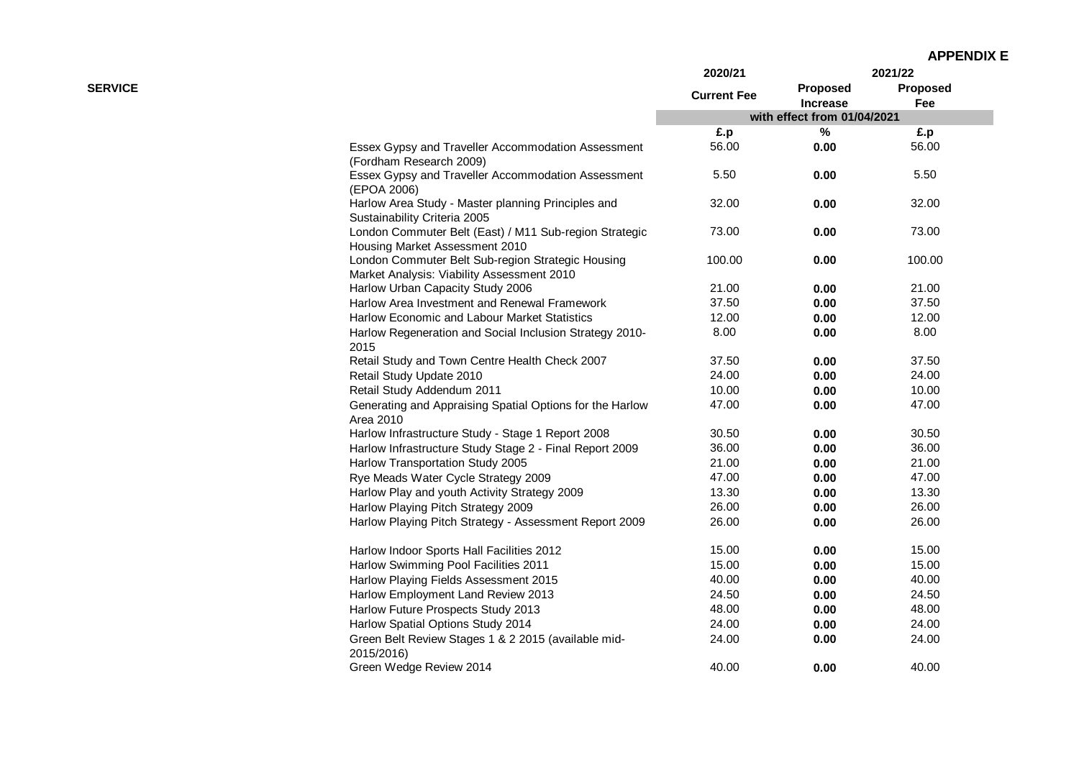|                |                                                                                                 | 2020/21            |                             | 2021/22                |
|----------------|-------------------------------------------------------------------------------------------------|--------------------|-----------------------------|------------------------|
| <b>SERVICE</b> |                                                                                                 | <b>Current Fee</b> | Proposed<br><b>Increase</b> | <b>Proposed</b><br>Fee |
|                |                                                                                                 |                    | with effect from 01/04/2021 |                        |
|                |                                                                                                 | £.p                | $\%$                        | £.p                    |
|                | Essex Gypsy and Traveller Accommodation Assessment<br>(Fordham Research 2009)                   | 56.00              | 0.00                        | 56.00                  |
|                | Essex Gypsy and Traveller Accommodation Assessment<br>(EPOA 2006)                               | 5.50               | 0.00                        | 5.50                   |
|                | Harlow Area Study - Master planning Principles and<br>Sustainability Criteria 2005              | 32.00              | 0.00                        | 32.00                  |
|                | London Commuter Belt (East) / M11 Sub-region Strategic<br>Housing Market Assessment 2010        | 73.00              | 0.00                        | 73.00                  |
|                | London Commuter Belt Sub-region Strategic Housing<br>Market Analysis: Viability Assessment 2010 | 100.00             | 0.00                        | 100.00                 |
|                | Harlow Urban Capacity Study 2006                                                                | 21.00              | 0.00                        | 21.00                  |
|                | Harlow Area Investment and Renewal Framework                                                    | 37.50              | 0.00                        | 37.50                  |
|                | Harlow Economic and Labour Market Statistics                                                    | 12.00              | 0.00                        | 12.00                  |
|                | Harlow Regeneration and Social Inclusion Strategy 2010-<br>2015                                 | 8.00               | 0.00                        | 8.00                   |
|                | Retail Study and Town Centre Health Check 2007                                                  | 37.50              | 0.00                        | 37.50                  |
|                | Retail Study Update 2010                                                                        | 24.00              | 0.00                        | 24.00                  |
|                | Retail Study Addendum 2011                                                                      | 10.00              | 0.00                        | 10.00                  |
|                | Generating and Appraising Spatial Options for the Harlow<br>Area 2010                           | 47.00              | 0.00                        | 47.00                  |
|                | Harlow Infrastructure Study - Stage 1 Report 2008                                               | 30.50              | 0.00                        | 30.50                  |
|                | Harlow Infrastructure Study Stage 2 - Final Report 2009                                         | 36.00              | 0.00                        | 36.00                  |
|                | Harlow Transportation Study 2005                                                                | 21.00              | 0.00                        | 21.00                  |
|                | Rye Meads Water Cycle Strategy 2009                                                             | 47.00              | 0.00                        | 47.00                  |
|                | Harlow Play and youth Activity Strategy 2009                                                    | 13.30              | 0.00                        | 13.30                  |
|                | Harlow Playing Pitch Strategy 2009                                                              | 26.00              | 0.00                        | 26.00                  |
|                | Harlow Playing Pitch Strategy - Assessment Report 2009                                          | 26.00              | 0.00                        | 26.00                  |
|                | Harlow Indoor Sports Hall Facilities 2012                                                       | 15.00              | 0.00                        | 15.00                  |
|                | Harlow Swimming Pool Facilities 2011                                                            | 15.00              | 0.00                        | 15.00                  |
|                | Harlow Playing Fields Assessment 2015                                                           | 40.00              | 0.00                        | 40.00                  |
|                | Harlow Employment Land Review 2013                                                              | 24.50              | 0.00                        | 24.50                  |
|                | Harlow Future Prospects Study 2013                                                              | 48.00              | 0.00                        | 48.00                  |
|                | Harlow Spatial Options Study 2014                                                               | 24.00              | 0.00                        | 24.00                  |
|                | Green Belt Review Stages 1 & 2 2015 (available mid-<br>2015/2016)                               | 24.00              | 0.00                        | 24.00                  |
|                | Green Wedge Review 2014                                                                         | 40.00              | 0.00                        | 40.00                  |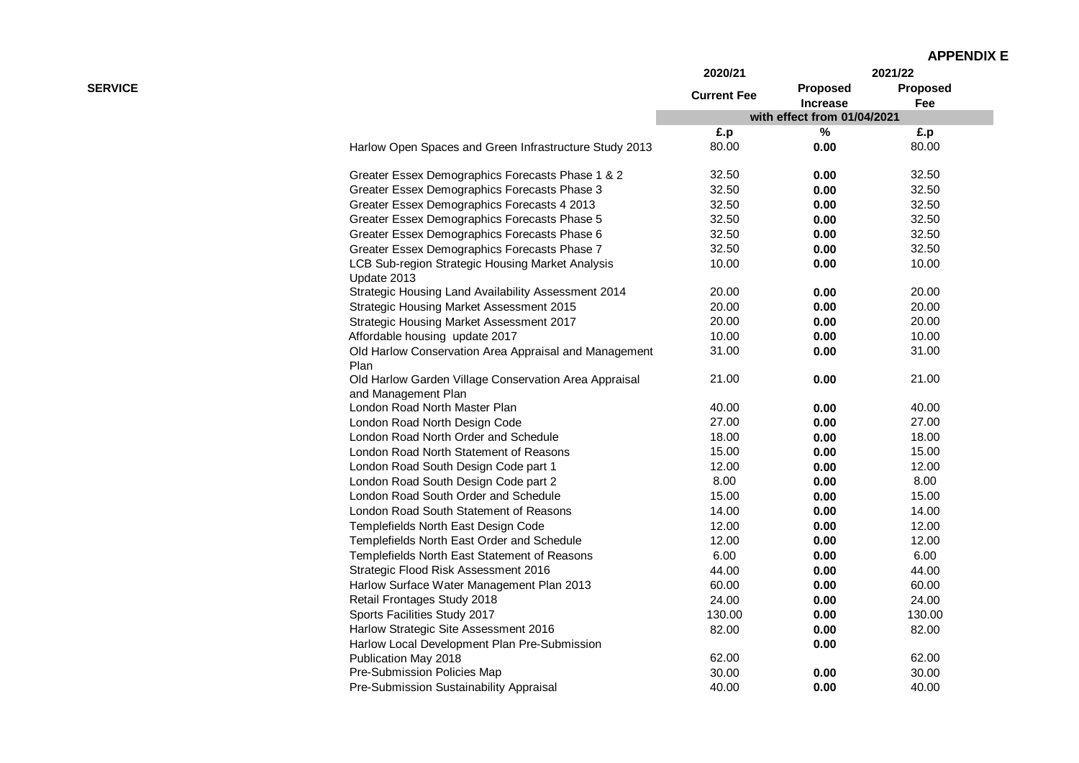|  | <b>APPENDIX E</b> |  |  |
|--|-------------------|--|--|
|--|-------------------|--|--|

|                |                                                                              | 2020/21            |                             | 2021/22  |
|----------------|------------------------------------------------------------------------------|--------------------|-----------------------------|----------|
| <b>SERVICE</b> |                                                                              |                    | Proposed                    | Proposed |
|                |                                                                              | <b>Current Fee</b> | <b>Increase</b>             | Fee      |
|                |                                                                              |                    | with effect from 01/04/2021 |          |
|                |                                                                              | £.p                | $\%$                        | £.p      |
|                | Harlow Open Spaces and Green Infrastructure Study 2013                       | 80.00              | 0.00                        | 80.00    |
|                | Greater Essex Demographics Forecasts Phase 1 & 2                             | 32.50              | 0.00                        | 32.50    |
|                | Greater Essex Demographics Forecasts Phase 3                                 | 32.50              | 0.00                        | 32.50    |
|                | Greater Essex Demographics Forecasts 4 2013                                  | 32.50              | 0.00                        | 32.50    |
|                | Greater Essex Demographics Forecasts Phase 5                                 | 32.50              | 0.00                        | 32.50    |
|                | Greater Essex Demographics Forecasts Phase 6                                 | 32.50              | 0.00                        | 32.50    |
|                | Greater Essex Demographics Forecasts Phase 7                                 | 32.50              | 0.00                        | 32.50    |
|                | LCB Sub-region Strategic Housing Market Analysis<br>Update 2013              | 10.00              | 0.00                        | 10.00    |
|                | Strategic Housing Land Availability Assessment 2014                          | 20.00              | 0.00                        | 20.00    |
|                | <b>Strategic Housing Market Assessment 2015</b>                              | 20.00              | 0.00                        | 20.00    |
|                | Strategic Housing Market Assessment 2017                                     | 20.00              | 0.00                        | 20.00    |
|                | Affordable housing update 2017                                               | 10.00              | 0.00                        | 10.00    |
|                | Old Harlow Conservation Area Appraisal and Management<br>Plan                | 31.00              | 0.00                        | 31.00    |
|                | Old Harlow Garden Village Conservation Area Appraisal<br>and Management Plan | 21.00              | 0.00                        | 21.00    |
|                | London Road North Master Plan                                                | 40.00              | 0.00                        | 40.00    |
|                | London Road North Design Code                                                | 27.00              | 0.00                        | 27.00    |
|                | London Road North Order and Schedule                                         | 18.00              | 0.00                        | 18.00    |
|                | London Road North Statement of Reasons                                       | 15.00              | 0.00                        | 15.00    |
|                | London Road South Design Code part 1                                         | 12.00              | 0.00                        | 12.00    |
|                | London Road South Design Code part 2                                         | 8.00               | 0.00                        | 8.00     |
|                | London Road South Order and Schedule                                         | 15.00              | 0.00                        | 15.00    |
|                | London Road South Statement of Reasons                                       | 14.00              | 0.00                        | 14.00    |
|                | Templefields North East Design Code                                          | 12.00              | 0.00                        | 12.00    |
|                | Templefields North East Order and Schedule                                   | 12.00              | 0.00                        | 12.00    |
|                | Templefields North East Statement of Reasons                                 | 6.00               | 0.00                        | 6.00     |
|                | Strategic Flood Risk Assessment 2016                                         | 44.00              | 0.00                        | 44.00    |
|                | Harlow Surface Water Management Plan 2013                                    | 60.00              | 0.00                        | 60.00    |
|                | Retail Frontages Study 2018                                                  | 24.00              | 0.00                        | 24.00    |
|                | Sports Facilities Study 2017                                                 | 130.00             | 0.00                        | 130.00   |
|                | Harlow Strategic Site Assessment 2016                                        | 82.00              | 0.00                        | 82.00    |
|                | Harlow Local Development Plan Pre-Submission                                 |                    | 0.00                        |          |
|                | Publication May 2018                                                         | 62.00              |                             | 62.00    |
|                | Pre-Submission Policies Map                                                  | 30.00              | 0.00                        | 30.00    |
|                | Pre-Submission Sustainability Appraisal                                      | 40.00              | 0.00                        | 40.00    |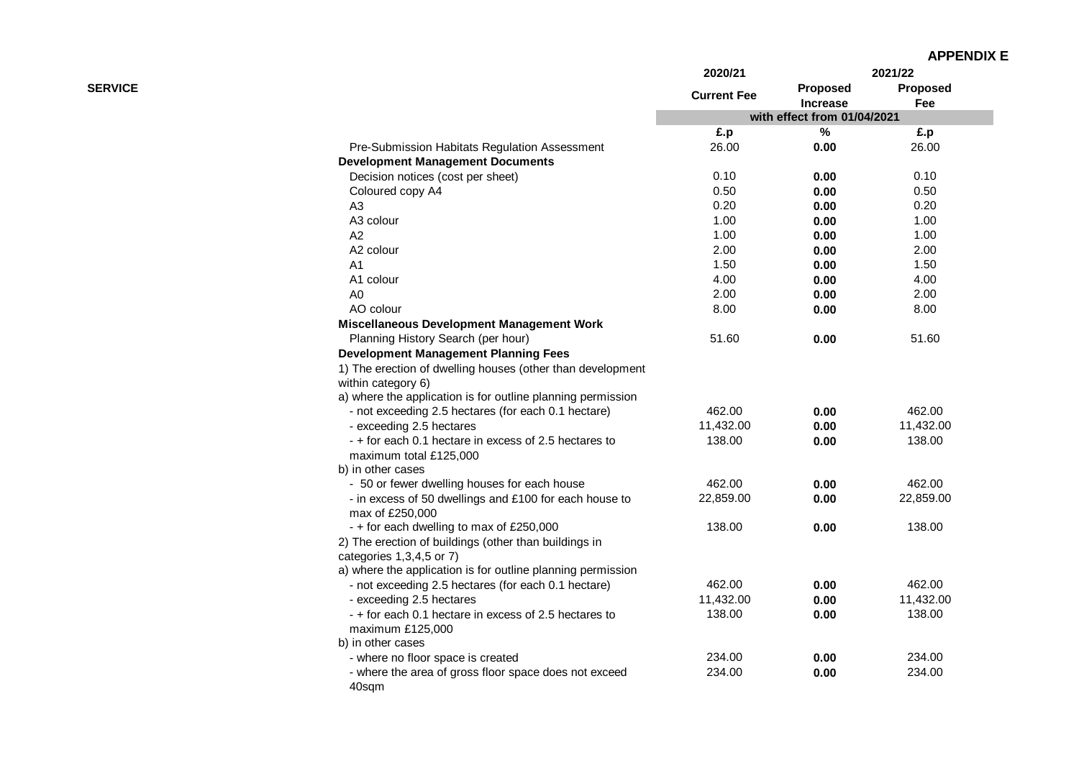|                |                                                             | 2020/21            |                                                | 2021/22   |
|----------------|-------------------------------------------------------------|--------------------|------------------------------------------------|-----------|
| <b>SERVICE</b> |                                                             | <b>Current Fee</b> | Proposed                                       | Proposed  |
|                |                                                             |                    | <b>Increase</b><br>with effect from 01/04/2021 | Fee       |
|                |                                                             | £.p                | $\%$                                           | £.p       |
|                | Pre-Submission Habitats Regulation Assessment               | 26.00              | 0.00                                           | 26.00     |
|                | <b>Development Management Documents</b>                     |                    |                                                |           |
|                | Decision notices (cost per sheet)                           | 0.10               | 0.00                                           | 0.10      |
|                | Coloured copy A4                                            | 0.50               | 0.00                                           | 0.50      |
|                | A3                                                          | 0.20               | 0.00                                           | 0.20      |
|                | A3 colour                                                   | 1.00               | 0.00                                           | 1.00      |
|                | A <sub>2</sub>                                              | 1.00               | 0.00                                           | 1.00      |
|                | A2 colour                                                   | 2.00               | 0.00                                           | 2.00      |
|                | A1                                                          | 1.50               | 0.00                                           | 1.50      |
|                | A1 colour                                                   | 4.00               | 0.00                                           | 4.00      |
|                | A0                                                          | 2.00               | 0.00                                           | 2.00      |
|                | AO colour                                                   | 8.00               | 0.00                                           | 8.00      |
|                | Miscellaneous Development Management Work                   |                    |                                                |           |
|                | Planning History Search (per hour)                          | 51.60              | 0.00                                           | 51.60     |
|                | <b>Development Management Planning Fees</b>                 |                    |                                                |           |
|                | 1) The erection of dwelling houses (other than development  |                    |                                                |           |
|                | within category 6)                                          |                    |                                                |           |
|                | a) where the application is for outline planning permission |                    |                                                |           |
|                | - not exceeding 2.5 hectares (for each 0.1 hectare)         | 462.00             | 0.00                                           | 462.00    |
|                | - exceeding 2.5 hectares                                    | 11,432.00          | 0.00                                           | 11,432.00 |
|                | - + for each 0.1 hectare in excess of 2.5 hectares to       | 138.00             | 0.00                                           | 138.00    |
|                | maximum total £125,000                                      |                    |                                                |           |
|                | b) in other cases                                           |                    |                                                |           |
|                | - 50 or fewer dwelling houses for each house                | 462.00             | 0.00                                           | 462.00    |
|                | - in excess of 50 dwellings and £100 for each house to      | 22,859.00          | 0.00                                           | 22,859.00 |
|                | max of £250,000                                             |                    |                                                |           |
|                | - + for each dwelling to max of £250,000                    | 138.00             | 0.00                                           | 138.00    |
|                | 2) The erection of buildings (other than buildings in       |                    |                                                |           |
|                | categories 1,3,4,5 or 7)                                    |                    |                                                |           |
|                | a) where the application is for outline planning permission |                    |                                                |           |
|                | - not exceeding 2.5 hectares (for each 0.1 hectare)         | 462.00             | 0.00                                           | 462.00    |
|                | - exceeding 2.5 hectares                                    | 11,432.00          | 0.00                                           | 11,432.00 |
|                | - + for each 0.1 hectare in excess of 2.5 hectares to       | 138.00             | 0.00                                           | 138.00    |
|                | maximum £125,000                                            |                    |                                                |           |
|                | b) in other cases                                           |                    |                                                |           |
|                | - where no floor space is created                           | 234.00             | 0.00                                           | 234.00    |
|                | - where the area of gross floor space does not exceed       | 234.00             | 0.00                                           | 234.00    |
|                | 40sqm                                                       |                    |                                                |           |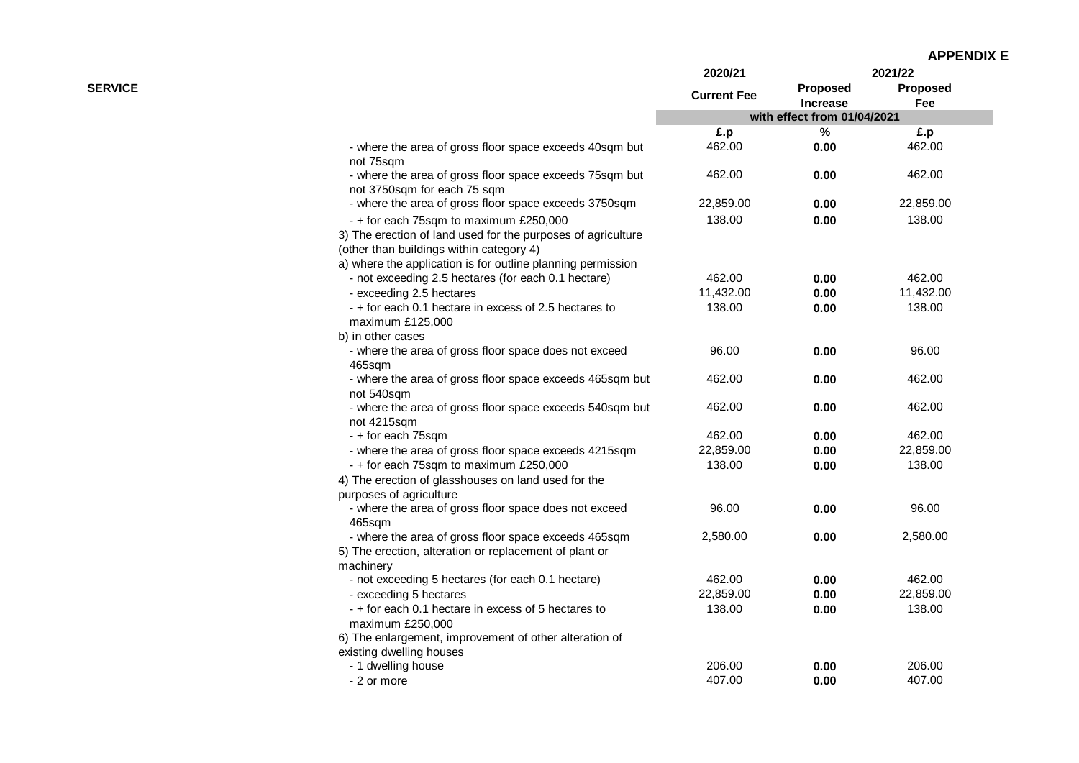| <b>APPENDIX E</b> |
|-------------------|
|-------------------|

|                |                                                                                                                                                                                                                   | 2020/21            |                                    | 2021/22                |
|----------------|-------------------------------------------------------------------------------------------------------------------------------------------------------------------------------------------------------------------|--------------------|------------------------------------|------------------------|
| <b>SERVICE</b> |                                                                                                                                                                                                                   | <b>Current Fee</b> | <b>Proposed</b><br><b>Increase</b> | <b>Proposed</b><br>Fee |
|                |                                                                                                                                                                                                                   |                    | with effect from 01/04/2021        |                        |
|                |                                                                                                                                                                                                                   | £.p                | $\%$                               | £.p                    |
|                | - where the area of gross floor space exceeds 40sqm but<br>not 75sqm                                                                                                                                              | 462.00             | 0.00                               | 462.00                 |
|                | - where the area of gross floor space exceeds 75sqm but<br>not 3750sqm for each 75 sqm                                                                                                                            | 462.00             | 0.00                               | 462.00                 |
|                | - where the area of gross floor space exceeds 3750sqm                                                                                                                                                             | 22,859.00          | 0.00                               | 22,859.00              |
|                | - + for each 75sqm to maximum £250,000<br>3) The erection of land used for the purposes of agriculture<br>(other than buildings within category 4)<br>a) where the application is for outline planning permission | 138.00             | 0.00                               | 138.00                 |
|                | - not exceeding 2.5 hectares (for each 0.1 hectare)                                                                                                                                                               | 462.00             | 0.00                               | 462.00                 |
|                | - exceeding 2.5 hectares                                                                                                                                                                                          | 11,432.00          | 0.00                               | 11,432.00              |
|                | - + for each 0.1 hectare in excess of 2.5 hectares to<br>maximum £125,000                                                                                                                                         | 138.00             | 0.00                               | 138.00                 |
|                | b) in other cases                                                                                                                                                                                                 |                    |                                    |                        |
|                | - where the area of gross floor space does not exceed<br>465sqm                                                                                                                                                   | 96.00              | 0.00                               | 96.00                  |
|                | - where the area of gross floor space exceeds 465sqm but<br>not 540sqm                                                                                                                                            | 462.00             | 0.00                               | 462.00                 |
|                | - where the area of gross floor space exceeds 540sqm but<br>not 4215sqm                                                                                                                                           | 462.00             | 0.00                               | 462.00                 |
|                | - + for each 75sqm                                                                                                                                                                                                | 462.00             | 0.00                               | 462.00                 |
|                | - where the area of gross floor space exceeds 4215sqm                                                                                                                                                             | 22,859.00          | 0.00                               | 22,859.00              |
|                | - + for each 75sqm to maximum £250,000<br>4) The erection of glasshouses on land used for the<br>purposes of agriculture                                                                                          | 138.00             | 0.00                               | 138.00                 |
|                | - where the area of gross floor space does not exceed<br>465sqm                                                                                                                                                   | 96.00              | 0.00                               | 96.00                  |
|                | - where the area of gross floor space exceeds 465sqm<br>5) The erection, alteration or replacement of plant or                                                                                                    | 2,580.00           | 0.00                               | 2,580.00               |
|                | machinery                                                                                                                                                                                                         |                    |                                    |                        |
|                | - not exceeding 5 hectares (for each 0.1 hectare)                                                                                                                                                                 | 462.00             | 0.00                               | 462.00                 |
|                | - exceeding 5 hectares                                                                                                                                                                                            | 22,859.00          | 0.00                               | 22,859.00              |
|                | - + for each 0.1 hectare in excess of 5 hectares to<br>maximum £250,000                                                                                                                                           | 138.00             | 0.00                               | 138.00                 |
|                | 6) The enlargement, improvement of other alteration of<br>existing dwelling houses                                                                                                                                |                    |                                    |                        |
|                | - 1 dwelling house                                                                                                                                                                                                | 206.00             | 0.00                               | 206.00                 |
|                | - 2 or more                                                                                                                                                                                                       | 407.00             | 0.00                               | 407.00                 |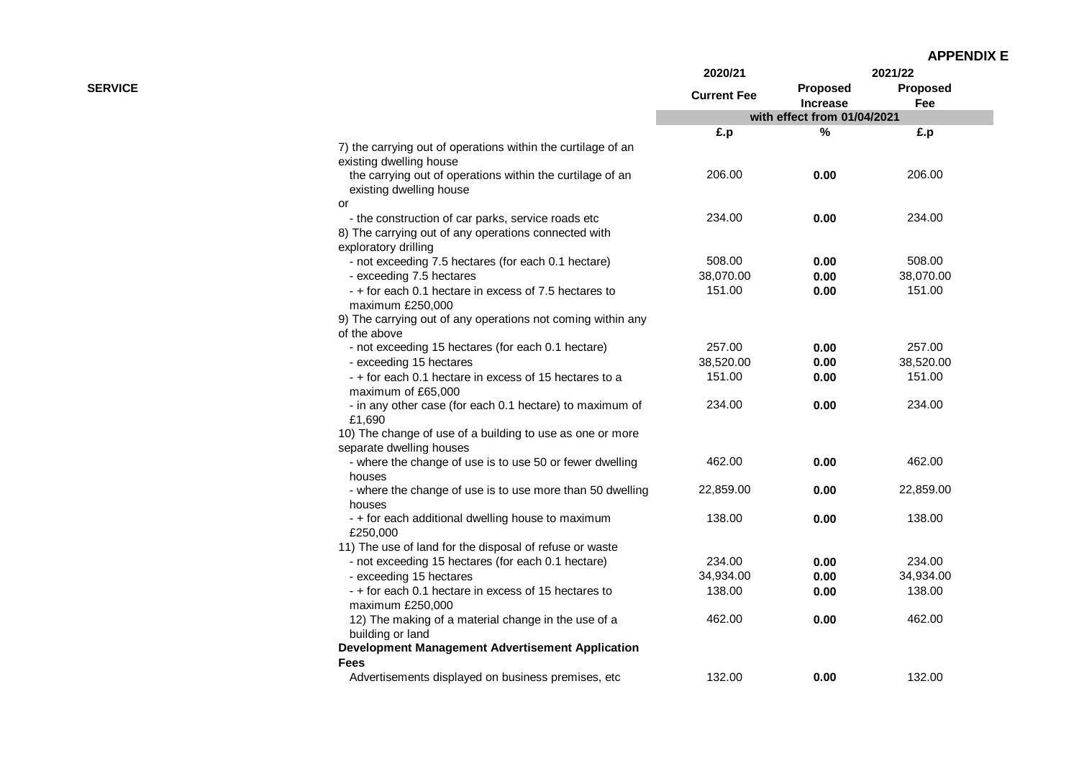|                |                                                                                         | 2020/21            |                             | 2021/22                |
|----------------|-----------------------------------------------------------------------------------------|--------------------|-----------------------------|------------------------|
| <b>SERVICE</b> |                                                                                         | <b>Current Fee</b> | Proposed<br><b>Increase</b> | <b>Proposed</b><br>Fee |
|                |                                                                                         |                    | with effect from 01/04/2021 |                        |
|                |                                                                                         | £.p                | %                           | £.p                    |
|                | 7) the carrying out of operations within the curtilage of an<br>existing dwelling house |                    |                             |                        |
|                | the carrying out of operations within the curtilage of an<br>existing dwelling house    | 206.00             | 0.00                        | 206.00                 |
|                | or                                                                                      |                    |                             |                        |
|                | - the construction of car parks, service roads etc                                      | 234.00             | 0.00                        | 234.00                 |
|                | 8) The carrying out of any operations connected with<br>exploratory drilling            |                    |                             |                        |
|                | - not exceeding 7.5 hectares (for each 0.1 hectare)                                     | 508.00             | 0.00                        | 508.00                 |
|                | - exceeding 7.5 hectares                                                                | 38,070.00          | 0.00                        | 38,070.00              |
|                | - + for each 0.1 hectare in excess of 7.5 hectares to<br>maximum £250,000               | 151.00             | 0.00                        | 151.00                 |
|                | 9) The carrying out of any operations not coming within any                             |                    |                             |                        |
|                | of the above                                                                            |                    |                             |                        |
|                | - not exceeding 15 hectares (for each 0.1 hectare)                                      | 257.00             | 0.00                        | 257.00                 |
|                | - exceeding 15 hectares                                                                 | 38,520.00          | 0.00                        | 38,520.00              |
|                | - + for each 0.1 hectare in excess of 15 hectares to a<br>maximum of £65,000            | 151.00             | 0.00                        | 151.00                 |
|                | - in any other case (for each 0.1 hectare) to maximum of<br>£1,690                      | 234.00             | 0.00                        | 234.00                 |
|                | 10) The change of use of a building to use as one or more                               |                    |                             |                        |
|                | separate dwelling houses                                                                |                    |                             |                        |
|                | - where the change of use is to use 50 or fewer dwelling                                | 462.00             | 0.00                        | 462.00                 |
|                | houses<br>- where the change of use is to use more than 50 dwelling                     | 22,859.00          | 0.00                        | 22,859.00              |
|                | houses                                                                                  |                    |                             |                        |
|                | - + for each additional dwelling house to maximum<br>£250,000                           | 138.00             | 0.00                        | 138.00                 |
|                | 11) The use of land for the disposal of refuse or waste                                 |                    |                             |                        |
|                | - not exceeding 15 hectares (for each 0.1 hectare)                                      | 234.00             | 0.00                        | 234.00                 |
|                | - exceeding 15 hectares                                                                 | 34,934.00          | 0.00                        | 34,934.00              |
|                | - + for each 0.1 hectare in excess of 15 hectares to<br>maximum £250,000                | 138.00             | 0.00                        | 138.00                 |
|                | 12) The making of a material change in the use of a<br>building or land                 | 462.00             | 0.00                        | 462.00                 |
|                | <b>Development Management Advertisement Application</b>                                 |                    |                             |                        |
|                | <b>Fees</b>                                                                             |                    |                             |                        |
|                | Advertisements displayed on business premises, etc                                      | 132.00             | 0.00                        | 132.00                 |
|                |                                                                                         |                    |                             |                        |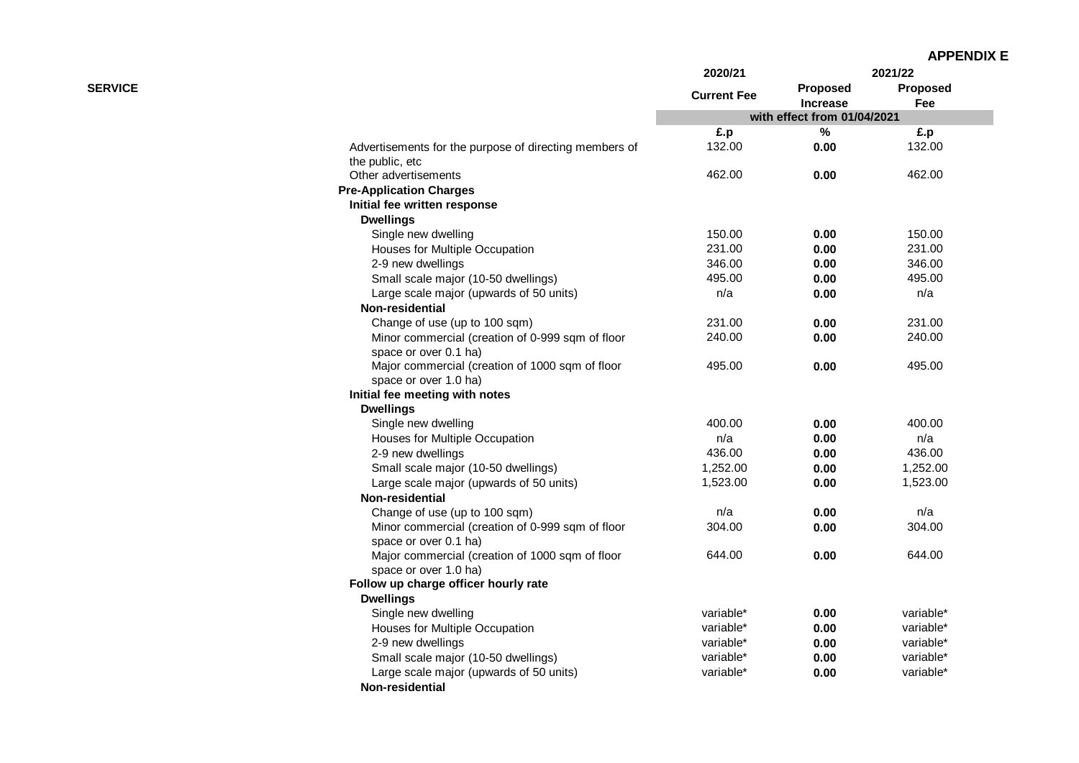|                |                                                                           | 2020/21            |                                    | 2021/22         |
|----------------|---------------------------------------------------------------------------|--------------------|------------------------------------|-----------------|
| <b>SERVICE</b> |                                                                           | <b>Current Fee</b> | <b>Proposed</b><br><b>Increase</b> | Proposed<br>Fee |
|                |                                                                           |                    | with effect from 01/04/2021        |                 |
|                |                                                                           | £.p                | %                                  | £.p             |
|                | Advertisements for the purpose of directing members of<br>the public, etc | 132.00             | 0.00                               | 132.00          |
|                | Other advertisements                                                      | 462.00             | 0.00                               | 462.00          |
|                | <b>Pre-Application Charges</b>                                            |                    |                                    |                 |
|                | Initial fee written response                                              |                    |                                    |                 |
|                | <b>Dwellings</b>                                                          |                    |                                    |                 |
|                | Single new dwelling                                                       | 150.00             | 0.00                               | 150.00          |
|                | Houses for Multiple Occupation                                            | 231.00             | 0.00                               | 231.00          |
|                | 2-9 new dwellings                                                         | 346.00             | 0.00                               | 346.00          |
|                | Small scale major (10-50 dwellings)                                       | 495.00             | 0.00                               | 495.00          |
|                | Large scale major (upwards of 50 units)                                   | n/a                | 0.00                               | n/a             |
|                | Non-residential                                                           |                    |                                    |                 |
|                | Change of use (up to 100 sqm)                                             | 231.00             | 0.00                               | 231.00          |
|                | Minor commercial (creation of 0-999 sqm of floor                          | 240.00             | 0.00                               | 240.00          |
|                | space or over 0.1 ha)                                                     |                    |                                    |                 |
|                | Major commercial (creation of 1000 sqm of floor                           | 495.00             | 0.00                               | 495.00          |
|                | space or over 1.0 ha)                                                     |                    |                                    |                 |
|                | Initial fee meeting with notes                                            |                    |                                    |                 |
|                | <b>Dwellings</b>                                                          |                    |                                    |                 |
|                | Single new dwelling                                                       | 400.00             | 0.00                               | 400.00          |
|                | Houses for Multiple Occupation                                            | n/a                | 0.00                               | n/a             |
|                | 2-9 new dwellings                                                         | 436.00             | 0.00                               | 436.00          |
|                | Small scale major (10-50 dwellings)                                       | 1,252.00           | 0.00                               | 1,252.00        |
|                | Large scale major (upwards of 50 units)                                   | 1,523.00           | 0.00                               | 1,523.00        |
|                | Non-residential                                                           |                    |                                    |                 |
|                | Change of use (up to 100 sqm)                                             | n/a                | 0.00                               | n/a             |
|                | Minor commercial (creation of 0-999 sqm of floor                          | 304.00             | 0.00                               | 304.00          |
|                | space or over 0.1 ha)                                                     |                    |                                    |                 |
|                | Major commercial (creation of 1000 sqm of floor                           | 644.00             | 0.00                               | 644.00          |
|                | space or over 1.0 ha)                                                     |                    |                                    |                 |
|                | Follow up charge officer hourly rate                                      |                    |                                    |                 |
|                | <b>Dwellings</b>                                                          |                    |                                    |                 |
|                | Single new dwelling                                                       | variable*          | 0.00                               | variable*       |
|                | Houses for Multiple Occupation                                            | variable*          | 0.00                               | variable*       |
|                | 2-9 new dwellings                                                         | variable*          | 0.00                               | variable*       |
|                | Small scale major (10-50 dwellings)                                       | variable*          | 0.00                               | variable*       |
|                | Large scale major (upwards of 50 units)                                   | variable*          | 0.00                               | variable*       |
|                | Non-residential                                                           |                    |                                    |                 |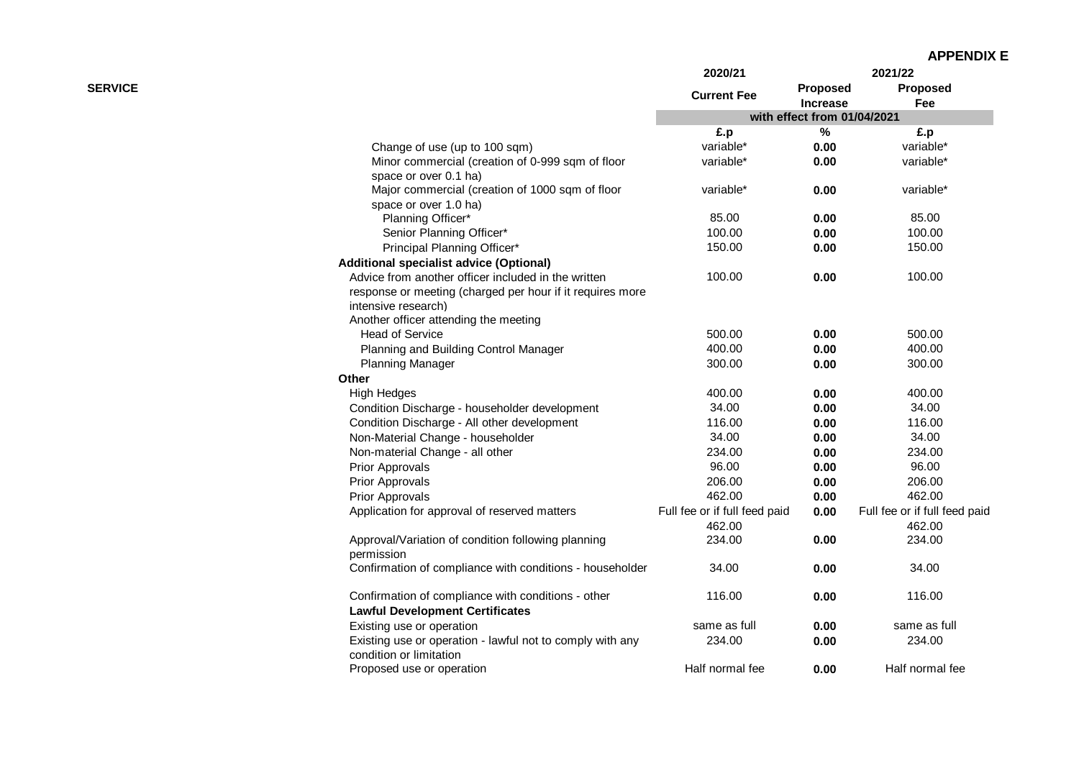| <b>APPENDIX E</b> |
|-------------------|
|-------------------|

|                                                                                      | 2020/21                       |                                    | 2021/22                       |
|--------------------------------------------------------------------------------------|-------------------------------|------------------------------------|-------------------------------|
| <b>SERVICE</b>                                                                       | <b>Current Fee</b>            | <b>Proposed</b><br><b>Increase</b> | <b>Proposed</b><br>Fee        |
|                                                                                      |                               | with effect from 01/04/2021        |                               |
|                                                                                      | £.p                           | ℅                                  | £.p                           |
| Change of use (up to 100 sqm)                                                        | variable*                     | 0.00                               | variable*                     |
| Minor commercial (creation of 0-999 sqm of floor                                     | variable*                     | 0.00                               | variable*                     |
| space or over 0.1 ha)                                                                |                               |                                    |                               |
| Major commercial (creation of 1000 sqm of floor                                      | variable*                     | 0.00                               | variable*                     |
| space or over 1.0 ha)                                                                |                               |                                    |                               |
| Planning Officer*                                                                    | 85.00                         | 0.00                               | 85.00                         |
| Senior Planning Officer*                                                             | 100.00                        | 0.00                               | 100.00                        |
| Principal Planning Officer*                                                          | 150.00                        | 0.00                               | 150.00                        |
| <b>Additional specialist advice (Optional)</b>                                       |                               |                                    |                               |
| Advice from another officer included in the written                                  | 100.00                        | 0.00                               | 100.00                        |
| response or meeting (charged per hour if it requires more                            |                               |                                    |                               |
| intensive research)                                                                  |                               |                                    |                               |
| Another officer attending the meeting                                                |                               |                                    |                               |
| <b>Head of Service</b>                                                               | 500.00                        | 0.00                               | 500.00                        |
| Planning and Building Control Manager                                                | 400.00                        | 0.00                               | 400.00                        |
| <b>Planning Manager</b>                                                              | 300.00                        | 0.00                               | 300.00                        |
| Other                                                                                |                               |                                    |                               |
| <b>High Hedges</b>                                                                   | 400.00                        | 0.00                               | 400.00                        |
| Condition Discharge - householder development                                        | 34.00                         | 0.00                               | 34.00                         |
| Condition Discharge - All other development                                          | 116.00                        | 0.00                               | 116.00                        |
| Non-Material Change - householder                                                    | 34.00                         | 0.00                               | 34.00                         |
| Non-material Change - all other                                                      | 234.00                        | 0.00                               | 234.00                        |
| <b>Prior Approvals</b>                                                               | 96.00                         | 0.00                               | 96.00                         |
| <b>Prior Approvals</b>                                                               | 206.00                        | 0.00                               | 206.00                        |
| <b>Prior Approvals</b>                                                               | 462.00                        | 0.00                               | 462.00                        |
| Application for approval of reserved matters                                         | Full fee or if full feed paid | 0.00                               | Full fee or if full feed paid |
|                                                                                      | 462.00                        |                                    | 462.00                        |
| Approval/Variation of condition following planning                                   | 234.00                        | 0.00                               | 234.00                        |
| permission                                                                           |                               |                                    |                               |
| Confirmation of compliance with conditions - householder                             | 34.00                         | 0.00                               | 34.00                         |
| Confirmation of compliance with conditions - other                                   | 116.00                        | 0.00                               | 116.00                        |
| <b>Lawful Development Certificates</b>                                               |                               |                                    |                               |
| Existing use or operation                                                            | same as full                  | 0.00                               | same as full                  |
| Existing use or operation - lawful not to comply with any<br>condition or limitation | 234.00                        | 0.00                               | 234.00                        |
| Proposed use or operation                                                            | Half normal fee               | 0.00                               | Half normal fee               |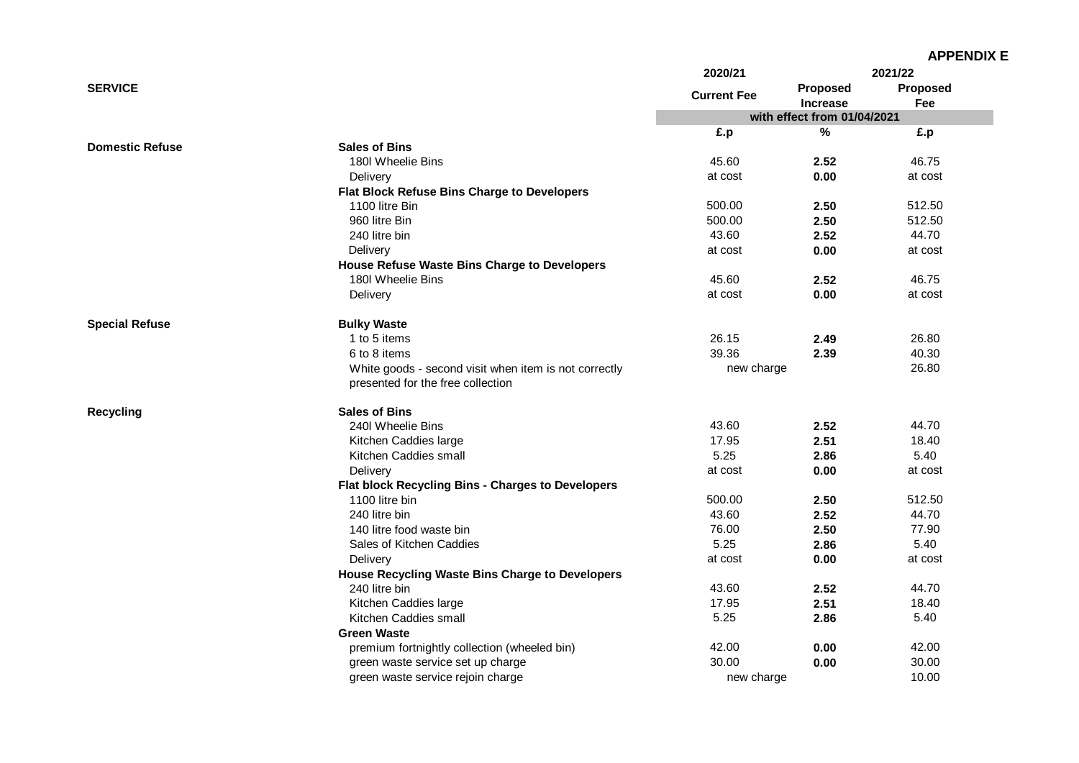|                        |                                                                                            | 2020/21            |                             | 2021/22  |
|------------------------|--------------------------------------------------------------------------------------------|--------------------|-----------------------------|----------|
| <b>SERVICE</b>         |                                                                                            |                    | <b>Proposed</b>             | Proposed |
|                        |                                                                                            | <b>Current Fee</b> | <b>Increase</b>             | Fee      |
|                        |                                                                                            |                    | with effect from 01/04/2021 |          |
|                        |                                                                                            | £.p                | $\%$                        | £.p      |
| <b>Domestic Refuse</b> | <b>Sales of Bins</b>                                                                       |                    |                             |          |
|                        | 180l Wheelie Bins                                                                          | 45.60              | 2.52                        | 46.75    |
|                        | Delivery                                                                                   | at cost            | 0.00                        | at cost  |
|                        | Flat Block Refuse Bins Charge to Developers                                                |                    |                             |          |
|                        | 1100 litre Bin                                                                             | 500.00             | 2.50                        | 512.50   |
|                        | 960 litre Bin                                                                              | 500.00             | 2.50                        | 512.50   |
|                        | 240 litre bin                                                                              | 43.60              | 2.52                        | 44.70    |
|                        | Delivery                                                                                   | at cost            | 0.00                        | at cost  |
|                        | House Refuse Waste Bins Charge to Developers                                               |                    |                             |          |
|                        | 180 Wheelie Bins                                                                           | 45.60              | 2.52                        | 46.75    |
|                        | Delivery                                                                                   | at cost            | 0.00                        | at cost  |
| <b>Special Refuse</b>  | <b>Bulky Waste</b>                                                                         |                    |                             |          |
|                        | 1 to 5 items                                                                               | 26.15              | 2.49                        | 26.80    |
|                        | 6 to 8 items                                                                               | 39.36              | 2.39                        | 40.30    |
|                        | White goods - second visit when item is not correctly<br>presented for the free collection | new charge         |                             | 26.80    |
| <b>Recycling</b>       | <b>Sales of Bins</b>                                                                       |                    |                             |          |
|                        | 240I Wheelie Bins                                                                          | 43.60              | 2.52                        | 44.70    |
|                        | Kitchen Caddies large                                                                      | 17.95              | 2.51                        | 18.40    |
|                        | Kitchen Caddies small                                                                      | 5.25               | 2.86                        | 5.40     |
|                        | Delivery                                                                                   | at cost            | 0.00                        | at cost  |
|                        | Flat block Recycling Bins - Charges to Developers                                          |                    |                             |          |
|                        | 1100 litre bin                                                                             | 500.00             | 2.50                        | 512.50   |
|                        | 240 litre bin                                                                              | 43.60              | 2.52                        | 44.70    |
|                        | 140 litre food waste bin                                                                   | 76.00              | 2.50                        | 77.90    |
|                        | Sales of Kitchen Caddies                                                                   | 5.25               | 2.86                        | 5.40     |
|                        | Delivery                                                                                   | at cost            | 0.00                        | at cost  |
|                        | House Recycling Waste Bins Charge to Developers                                            |                    |                             |          |
|                        | 240 litre bin                                                                              | 43.60              | 2.52                        | 44.70    |
|                        | Kitchen Caddies large                                                                      | 17.95              | 2.51                        | 18.40    |
|                        | Kitchen Caddies small                                                                      | 5.25               | 2.86                        | 5.40     |
|                        | <b>Green Waste</b>                                                                         |                    |                             |          |
|                        | premium fortnightly collection (wheeled bin)                                               | 42.00              | 0.00                        | 42.00    |
|                        | green waste service set up charge                                                          | 30.00              | 0.00                        | 30.00    |
|                        | green waste service rejoin charge                                                          | new charge         |                             | 10.00    |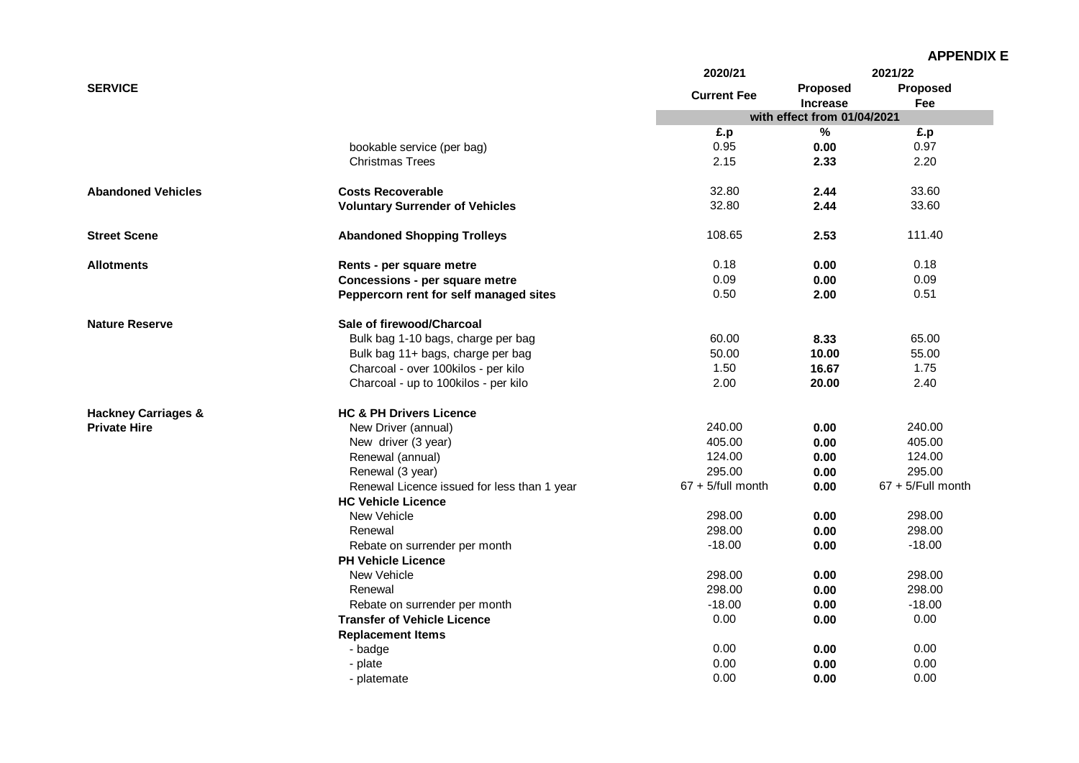| <b>SERVICE</b><br>bookable service (per bag)<br><b>Christmas Trees</b> | <b>Current Fee</b><br>£.p<br>0.95<br>2.15<br>32.80<br>32.80 | <b>Proposed</b><br><b>Increase</b><br>with effect from 01/04/2021<br>$\%$<br>0.00<br>2.33 | Proposed<br>Fee<br>£.p<br>0.97<br>2.20 |
|------------------------------------------------------------------------|-------------------------------------------------------------|-------------------------------------------------------------------------------------------|----------------------------------------|
|                                                                        |                                                             |                                                                                           |                                        |
|                                                                        |                                                             |                                                                                           |                                        |
|                                                                        |                                                             |                                                                                           |                                        |
|                                                                        |                                                             |                                                                                           |                                        |
|                                                                        |                                                             |                                                                                           |                                        |
|                                                                        |                                                             |                                                                                           |                                        |
| <b>Abandoned Vehicles</b><br><b>Costs Recoverable</b>                  |                                                             | 2.44                                                                                      | 33.60                                  |
| <b>Voluntary Surrender of Vehicles</b>                                 |                                                             | 2.44                                                                                      | 33.60                                  |
| <b>Street Scene</b><br><b>Abandoned Shopping Trolleys</b>              | 108.65                                                      | 2.53                                                                                      | 111.40                                 |
| Allotments<br>Rents - per square metre                                 | 0.18                                                        | 0.00                                                                                      | 0.18                                   |
| Concessions - per square metre                                         | 0.09                                                        | 0.00                                                                                      | 0.09                                   |
| Peppercorn rent for self managed sites                                 | 0.50                                                        | 2.00                                                                                      | 0.51                                   |
| <b>Nature Reserve</b><br>Sale of firewood/Charcoal                     |                                                             |                                                                                           |                                        |
| Bulk bag 1-10 bags, charge per bag                                     | 60.00                                                       | 8.33                                                                                      | 65.00                                  |
| Bulk bag 11+ bags, charge per bag                                      | 50.00                                                       | 10.00                                                                                     | 55.00                                  |
| Charcoal - over 100kilos - per kilo                                    | 1.50                                                        | 16.67                                                                                     | 1.75                                   |
| Charcoal - up to 100kilos - per kilo                                   | 2.00                                                        | 20.00                                                                                     | 2.40                                   |
| <b>HC &amp; PH Drivers Licence</b><br><b>Hackney Carriages &amp;</b>   |                                                             |                                                                                           |                                        |
| <b>Private Hire</b><br>New Driver (annual)                             | 240.00                                                      | 0.00                                                                                      | 240.00                                 |
| New driver (3 year)                                                    | 405.00                                                      | 0.00                                                                                      | 405.00                                 |
| Renewal (annual)                                                       | 124.00                                                      | 0.00                                                                                      | 124.00                                 |
| Renewal (3 year)                                                       | 295.00                                                      | 0.00                                                                                      | 295.00                                 |
| Renewal Licence issued for less than 1 year                            | $67 + 5$ /full month                                        | 0.00                                                                                      | $67 + 5$ /Full month                   |
| <b>HC Vehicle Licence</b>                                              |                                                             |                                                                                           |                                        |
| New Vehicle                                                            | 298.00                                                      | 0.00                                                                                      | 298.00                                 |
| Renewal                                                                | 298.00                                                      | 0.00                                                                                      | 298.00                                 |
| Rebate on surrender per month                                          | $-18.00$                                                    | 0.00                                                                                      | $-18.00$                               |
| <b>PH Vehicle Licence</b>                                              |                                                             |                                                                                           |                                        |
| New Vehicle                                                            | 298.00                                                      | 0.00                                                                                      | 298.00                                 |
| Renewal                                                                | 298.00                                                      | 0.00                                                                                      | 298.00                                 |
| Rebate on surrender per month                                          | $-18.00$                                                    | 0.00                                                                                      | $-18.00$                               |
| <b>Transfer of Vehicle Licence</b>                                     | 0.00                                                        | 0.00                                                                                      | 0.00                                   |
| <b>Replacement Items</b>                                               |                                                             |                                                                                           |                                        |
| - badge                                                                | 0.00                                                        | 0.00                                                                                      | 0.00                                   |
| - plate                                                                | 0.00                                                        | 0.00                                                                                      | 0.00                                   |
| - platemate                                                            | 0.00                                                        | 0.00                                                                                      | 0.00                                   |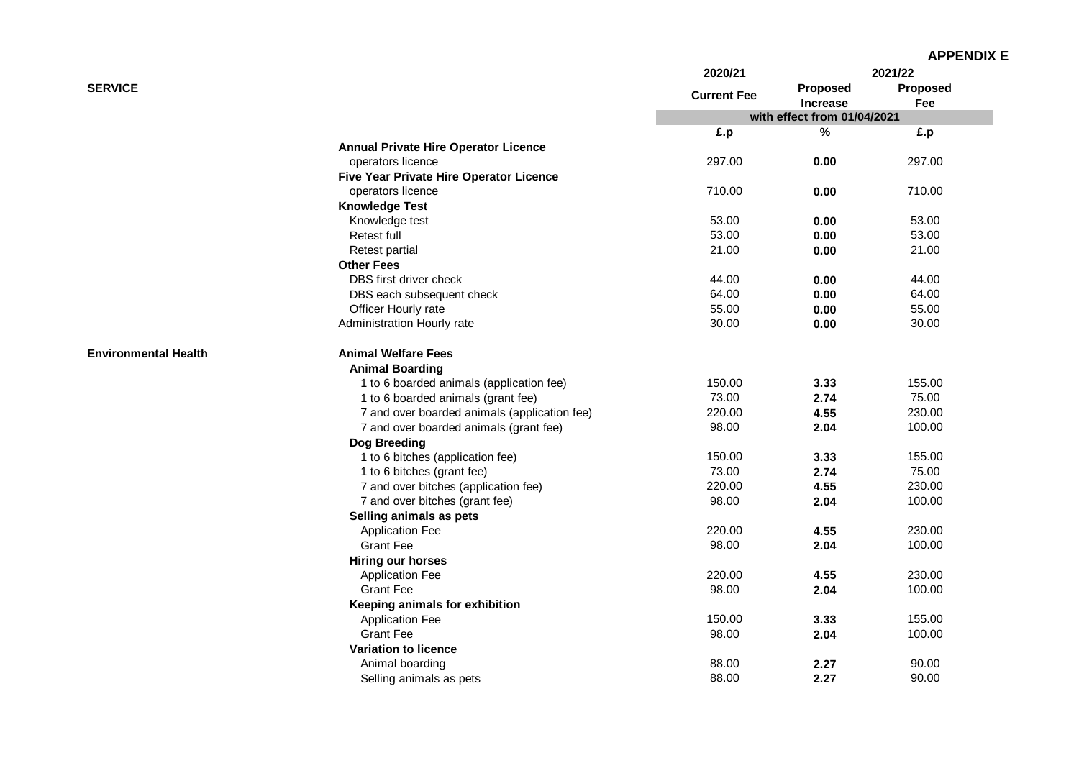|                             |                                              | 2020/21            | 2021/22                     |          |
|-----------------------------|----------------------------------------------|--------------------|-----------------------------|----------|
| <b>SERVICE</b>              |                                              | <b>Current Fee</b> | Proposed                    | Proposed |
|                             |                                              |                    | <b>Increase</b>             | Fee      |
|                             |                                              |                    | with effect from 01/04/2021 |          |
|                             |                                              | £.p                | %                           | £.p      |
|                             | <b>Annual Private Hire Operator Licence</b>  |                    |                             |          |
|                             | operators licence                            | 297.00             | 0.00                        | 297.00   |
|                             | Five Year Private Hire Operator Licence      |                    |                             |          |
|                             | operators licence                            | 710.00             | 0.00                        | 710.00   |
|                             | <b>Knowledge Test</b>                        |                    |                             |          |
|                             | Knowledge test                               | 53.00              | 0.00                        | 53.00    |
|                             | Retest full                                  | 53.00              | 0.00                        | 53.00    |
|                             | <b>Retest partial</b>                        | 21.00              | 0.00                        | 21.00    |
|                             | <b>Other Fees</b>                            |                    |                             |          |
|                             | DBS first driver check                       | 44.00              | 0.00                        | 44.00    |
|                             | DBS each subsequent check                    | 64.00              | 0.00                        | 64.00    |
|                             | Officer Hourly rate                          | 55.00              | 0.00                        | 55.00    |
|                             | Administration Hourly rate                   | 30.00              | 0.00                        | 30.00    |
| <b>Environmental Health</b> | <b>Animal Welfare Fees</b>                   |                    |                             |          |
|                             | <b>Animal Boarding</b>                       |                    |                             |          |
|                             | 1 to 6 boarded animals (application fee)     | 150.00             | 3.33                        | 155.00   |
|                             | 1 to 6 boarded animals (grant fee)           | 73.00              | 2.74                        | 75.00    |
|                             | 7 and over boarded animals (application fee) | 220.00             | 4.55                        | 230.00   |
|                             | 7 and over boarded animals (grant fee)       | 98.00              | 2.04                        | 100.00   |
|                             | Dog Breeding                                 |                    |                             |          |
|                             | 1 to 6 bitches (application fee)             | 150.00             | 3.33                        | 155.00   |
|                             | 1 to 6 bitches (grant fee)                   | 73.00              | 2.74                        | 75.00    |
|                             | 7 and over bitches (application fee)         | 220.00             | 4.55                        | 230.00   |
|                             | 7 and over bitches (grant fee)               | 98.00              | 2.04                        | 100.00   |
|                             | Selling animals as pets                      |                    |                             |          |
|                             | <b>Application Fee</b>                       | 220.00             | 4.55                        | 230.00   |
|                             | <b>Grant Fee</b>                             | 98.00              | 2.04                        | 100.00   |
|                             | Hiring our horses                            |                    |                             |          |
|                             | <b>Application Fee</b>                       | 220.00             | 4.55                        | 230.00   |
|                             | <b>Grant Fee</b>                             | 98.00              | 2.04                        | 100.00   |
|                             | Keeping animals for exhibition               |                    |                             |          |
|                             | <b>Application Fee</b>                       | 150.00             | 3.33                        | 155.00   |
|                             | <b>Grant Fee</b>                             | 98.00              | 2.04                        | 100.00   |
|                             | <b>Variation to licence</b>                  |                    |                             |          |
|                             | Animal boarding                              | 88.00              | 2.27                        | 90.00    |
|                             | Selling animals as pets                      | 88.00              | 2.27                        | 90.00    |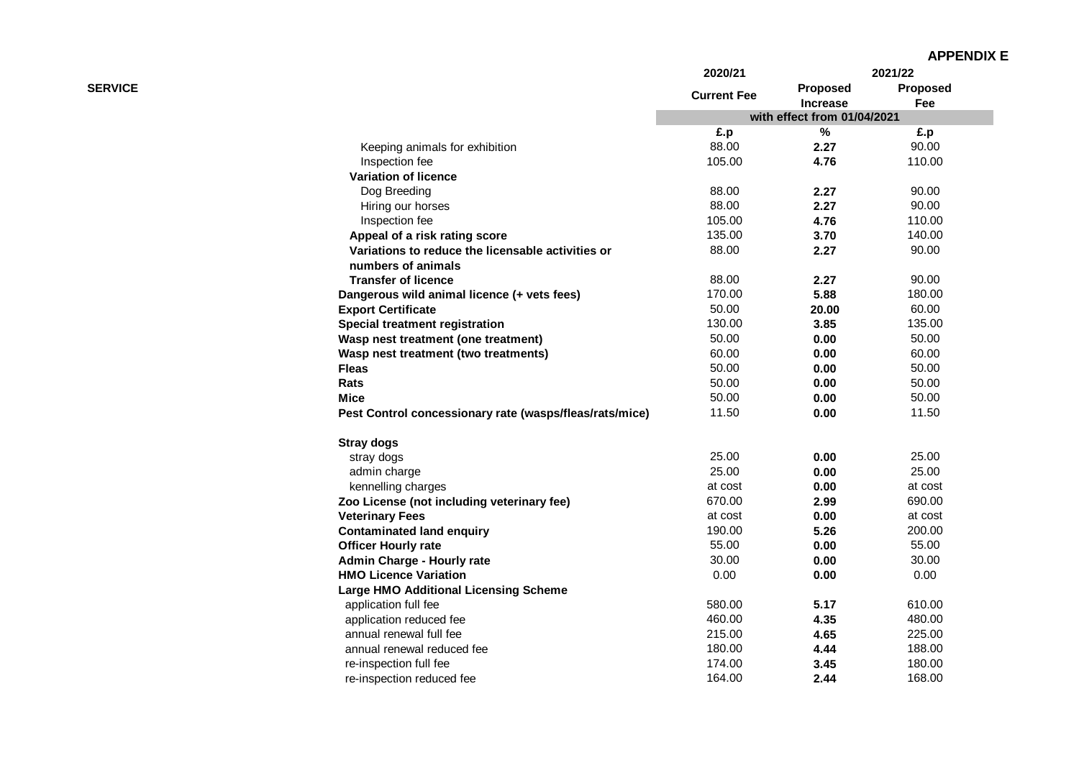|                |                                                         | 2020/21                     | 2021/22                     |                 |
|----------------|---------------------------------------------------------|-----------------------------|-----------------------------|-----------------|
| <b>SERVICE</b> |                                                         | <b>Current Fee</b>          | Proposed<br><b>Increase</b> | Proposed<br>Fee |
|                |                                                         | with effect from 01/04/2021 |                             |                 |
|                |                                                         | £.p                         | $\%$                        | £.p             |
|                | Keeping animals for exhibition                          | 88.00                       | 2.27                        | 90.00           |
|                | Inspection fee                                          | 105.00                      | 4.76                        | 110.00          |
|                | <b>Variation of licence</b>                             |                             |                             |                 |
|                | Dog Breeding                                            | 88.00                       | 2.27                        | 90.00           |
|                | Hiring our horses                                       | 88.00                       | 2.27                        | 90.00           |
|                | Inspection fee                                          | 105.00                      | 4.76                        | 110.00          |
|                | Appeal of a risk rating score                           | 135.00                      | 3.70                        | 140.00          |
|                | Variations to reduce the licensable activities or       | 88.00                       | 2.27                        | 90.00           |
|                | numbers of animals                                      |                             |                             |                 |
|                | <b>Transfer of licence</b>                              | 88.00                       | 2.27                        | 90.00           |
|                | Dangerous wild animal licence (+ vets fees)             | 170.00                      | 5.88                        | 180.00          |
|                | <b>Export Certificate</b>                               | 50.00                       | 20.00                       | 60.00           |
|                | <b>Special treatment registration</b>                   | 130.00                      | 3.85                        | 135.00          |
|                | Wasp nest treatment (one treatment)                     | 50.00                       | 0.00                        | 50.00           |
|                | Wasp nest treatment (two treatments)                    | 60.00                       | 0.00                        | 60.00           |
|                | <b>Fleas</b>                                            | 50.00                       | 0.00                        | 50.00           |
|                | Rats                                                    | 50.00                       | 0.00                        | 50.00           |
|                | <b>Mice</b>                                             | 50.00                       | 0.00                        | 50.00           |
|                | Pest Control concessionary rate (wasps/fleas/rats/mice) | 11.50                       | 0.00                        | 11.50           |
|                | <b>Stray dogs</b>                                       |                             |                             |                 |
|                | stray dogs                                              | 25.00                       | 0.00                        | 25.00           |
|                | admin charge                                            | 25.00                       | 0.00                        | 25.00           |
|                | kennelling charges                                      | at cost                     | 0.00                        | at cost         |
|                | Zoo License (not including veterinary fee)              | 670.00                      | 2.99                        | 690.00          |
|                | <b>Veterinary Fees</b>                                  | at cost                     | 0.00                        | at cost         |
|                | <b>Contaminated land enquiry</b>                        | 190.00                      | 5.26                        | 200.00          |
|                | <b>Officer Hourly rate</b>                              | 55.00                       | 0.00                        | 55.00           |
|                | Admin Charge - Hourly rate                              | 30.00                       | 0.00                        | 30.00           |
|                | <b>HMO Licence Variation</b>                            | 0.00                        | 0.00                        | 0.00            |
|                | <b>Large HMO Additional Licensing Scheme</b>            |                             |                             |                 |
|                | application full fee                                    | 580.00                      | 5.17                        | 610.00          |
|                | application reduced fee                                 | 460.00                      | 4.35                        | 480.00          |
|                | annual renewal full fee                                 | 215.00                      | 4.65                        | 225.00          |
|                | annual renewal reduced fee                              | 180.00                      | 4.44                        | 188.00          |
|                | re-inspection full fee                                  | 174.00                      | 3.45                        | 180.00          |
|                | re-inspection reduced fee                               | 164.00                      | 2.44                        | 168.00          |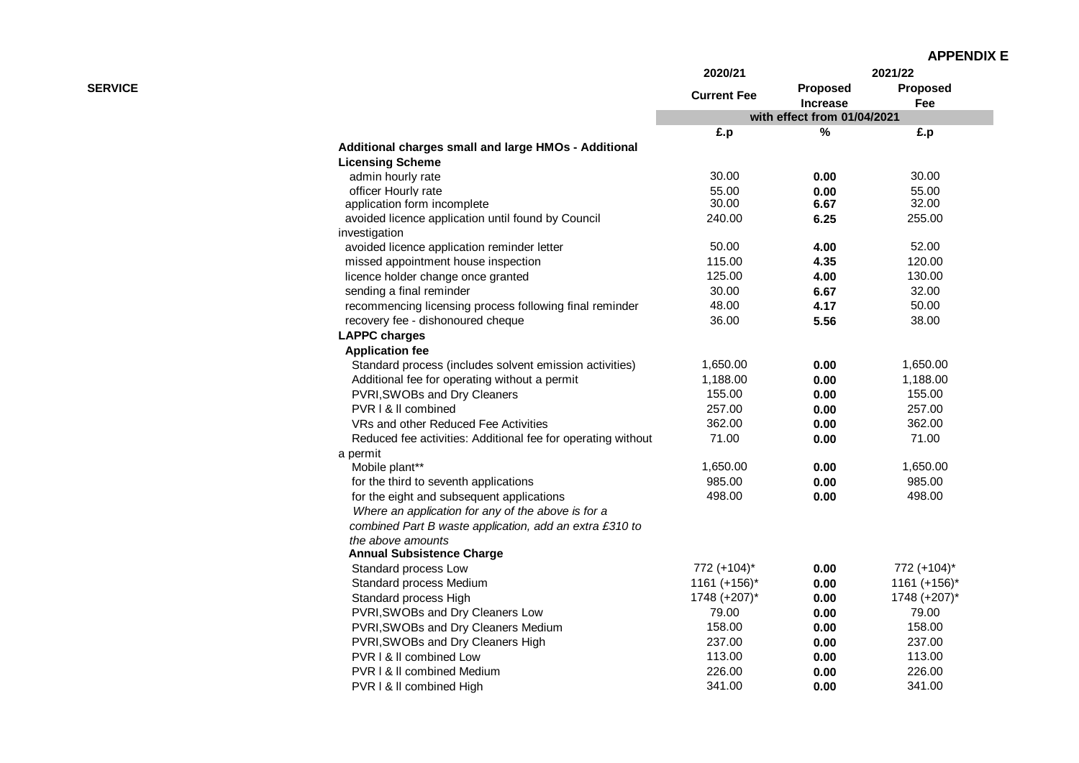|                |                                                              | 2020/21            | 2021/22                            |                        |
|----------------|--------------------------------------------------------------|--------------------|------------------------------------|------------------------|
| <b>SERVICE</b> |                                                              | <b>Current Fee</b> | <b>Proposed</b><br><b>Increase</b> | <b>Proposed</b><br>Fee |
|                |                                                              |                    | with effect from 01/04/2021        |                        |
|                |                                                              | £.p                | %                                  | £.p                    |
|                | Additional charges small and large HMOs - Additional         |                    |                                    |                        |
|                | <b>Licensing Scheme</b>                                      |                    |                                    |                        |
|                | admin hourly rate                                            | 30.00              | 0.00                               | 30.00                  |
|                | officer Hourly rate                                          | 55.00              | 0.00                               | 55.00                  |
|                | application form incomplete                                  | 30.00              | 6.67                               | 32.00                  |
|                | avoided licence application until found by Council           | 240.00             | 6.25                               | 255.00                 |
|                | investigation                                                |                    |                                    |                        |
|                | avoided licence application reminder letter                  | 50.00              | 4.00                               | 52.00                  |
|                | missed appointment house inspection                          | 115.00             | 4.35                               | 120.00                 |
|                | licence holder change once granted                           | 125.00             | 4.00                               | 130.00                 |
|                | sending a final reminder                                     | 30.00              | 6.67                               | 32.00                  |
|                | recommencing licensing process following final reminder      | 48.00              | 4.17                               | 50.00                  |
|                | recovery fee - dishonoured cheque                            | 36.00              | 5.56                               | 38.00                  |
|                | <b>LAPPC charges</b>                                         |                    |                                    |                        |
|                | <b>Application fee</b>                                       |                    |                                    |                        |
|                | Standard process (includes solvent emission activities)      | 1,650.00           | 0.00                               | 1,650.00               |
|                | Additional fee for operating without a permit                | 1,188.00           | 0.00                               | 1,188.00               |
|                | PVRI, SWOBs and Dry Cleaners                                 | 155.00             | 0.00                               | 155.00                 |
|                | PVR I & II combined                                          | 257.00             | 0.00                               | 257.00                 |
|                | VRs and other Reduced Fee Activities                         | 362.00             | 0.00                               | 362.00                 |
|                | Reduced fee activities: Additional fee for operating without | 71.00              | 0.00                               | 71.00                  |
|                | a permit                                                     |                    |                                    |                        |
|                | Mobile plant**                                               | 1,650.00           | 0.00                               | 1,650.00               |
|                | for the third to seventh applications                        | 985.00             | 0.00                               | 985.00                 |
|                | for the eight and subsequent applications                    | 498.00             | 0.00                               | 498.00                 |
|                | Where an application for any of the above is for a           |                    |                                    |                        |
|                | combined Part B waste application, add an extra £310 to      |                    |                                    |                        |
|                | the above amounts                                            |                    |                                    |                        |
|                | <b>Annual Subsistence Charge</b>                             |                    |                                    |                        |
|                | Standard process Low                                         | 772 (+104)*        | 0.00                               | 772 (+104)*            |
|                | Standard process Medium                                      | $1161 (+156)^*$    | 0.00                               | $1161 (+156)^*$        |
|                | Standard process High                                        | 1748 (+207)*       | 0.00                               | 1748 (+207)*           |
|                | PVRI, SWOBs and Dry Cleaners Low                             | 79.00              | 0.00                               | 79.00                  |
|                | PVRI, SWOBs and Dry Cleaners Medium                          | 158.00             | 0.00                               | 158.00                 |
|                | PVRI, SWOBs and Dry Cleaners High                            | 237.00             | 0.00                               | 237.00                 |
|                | PVR   & II combined Low                                      | 113.00             | 0.00                               | 113.00                 |
|                | <b>PVR I &amp; II combined Medium</b>                        | 226.00             | 0.00                               | 226.00                 |
|                | PVR   & II combined High                                     | 341.00             | 0.00                               | 341.00                 |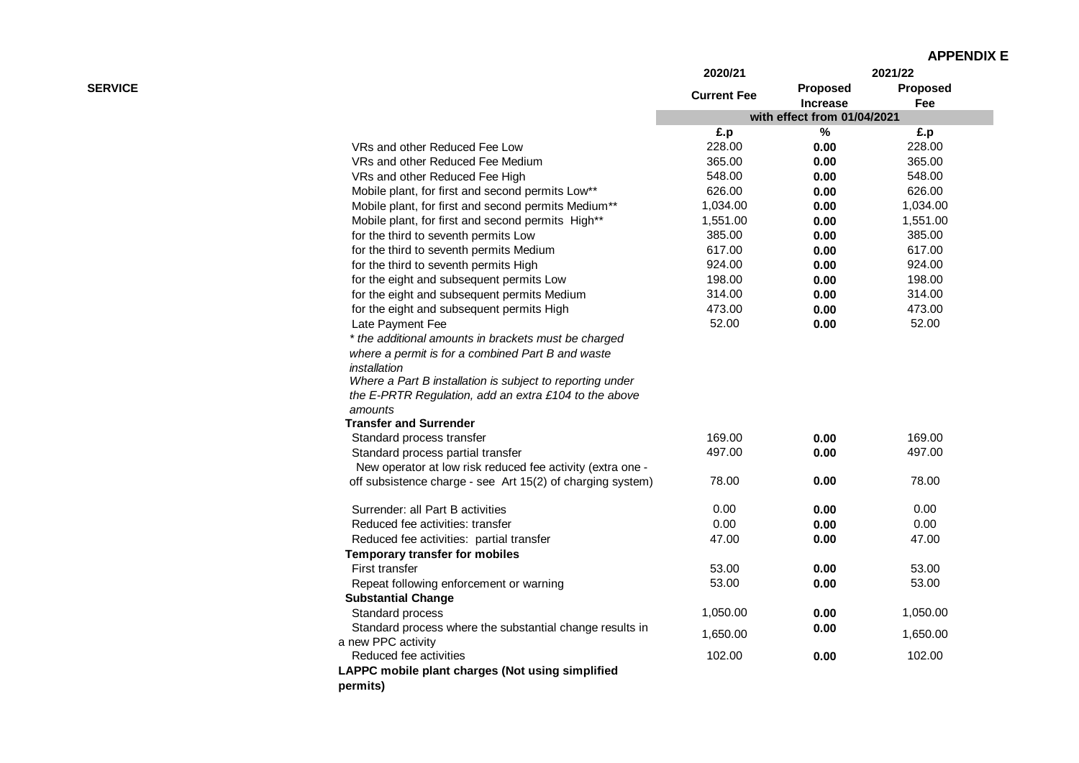|                |                                                            | 2020/21            | 2021/22                     |                 |
|----------------|------------------------------------------------------------|--------------------|-----------------------------|-----------------|
| <b>SERVICE</b> |                                                            | <b>Current Fee</b> | Proposed                    | <b>Proposed</b> |
|                |                                                            |                    | <b>Increase</b>             | Fee             |
|                |                                                            |                    | with effect from 01/04/2021 |                 |
|                |                                                            | £.p                | $\%$                        | £.p             |
|                | VRs and other Reduced Fee Low                              | 228.00             | 0.00                        | 228.00          |
|                | VRs and other Reduced Fee Medium                           | 365.00             | 0.00                        | 365.00          |
|                | VRs and other Reduced Fee High                             | 548.00             | 0.00                        | 548.00          |
|                | Mobile plant, for first and second permits Low**           | 626.00             | 0.00                        | 626.00          |
|                | Mobile plant, for first and second permits Medium**        | 1,034.00           | 0.00                        | 1,034.00        |
|                | Mobile plant, for first and second permits High**          | 1,551.00           | 0.00                        | 1,551.00        |
|                | for the third to seventh permits Low                       | 385.00             | 0.00                        | 385.00          |
|                | for the third to seventh permits Medium                    | 617.00             | 0.00                        | 617.00          |
|                | for the third to seventh permits High                      | 924.00             | 0.00                        | 924.00          |
|                | for the eight and subsequent permits Low                   | 198.00             | 0.00                        | 198.00          |
|                | for the eight and subsequent permits Medium                | 314.00             | 0.00                        | 314.00          |
|                | for the eight and subsequent permits High                  | 473.00             | 0.00                        | 473.00          |
|                | Late Payment Fee                                           | 52.00              | 0.00                        | 52.00           |
|                | * the additional amounts in brackets must be charged       |                    |                             |                 |
|                | where a permit is for a combined Part B and waste          |                    |                             |                 |
|                | installation                                               |                    |                             |                 |
|                | Where a Part B installation is subject to reporting under  |                    |                             |                 |
|                | the E-PRTR Regulation, add an extra £104 to the above      |                    |                             |                 |
|                | amounts                                                    |                    |                             |                 |
|                | <b>Transfer and Surrender</b>                              |                    |                             |                 |
|                | Standard process transfer                                  | 169.00             | 0.00                        | 169.00          |
|                | Standard process partial transfer                          | 497.00             | 0.00                        | 497.00          |
|                | New operator at low risk reduced fee activity (extra one - |                    |                             |                 |
|                | off subsistence charge - see Art 15(2) of charging system) | 78.00              | 0.00                        | 78.00           |
|                | Surrender: all Part B activities                           | 0.00               | 0.00                        | 0.00            |
|                | Reduced fee activities: transfer                           | 0.00               | 0.00                        | 0.00            |
|                | Reduced fee activities: partial transfer                   | 47.00              | 0.00                        | 47.00           |
|                | <b>Temporary transfer for mobiles</b>                      |                    |                             |                 |
|                | <b>First transfer</b>                                      | 53.00              | 0.00                        | 53.00           |
|                | Repeat following enforcement or warning                    | 53.00              | 0.00                        | 53.00           |
|                | <b>Substantial Change</b>                                  |                    |                             |                 |
|                | Standard process                                           | 1,050.00           | 0.00                        | 1,050.00        |
|                | Standard process where the substantial change results in   |                    | 0.00                        |                 |
|                | a new PPC activity                                         | 1,650.00           |                             | 1,650.00        |
|                | Reduced fee activities                                     | 102.00             | 0.00                        | 102.00          |
|                | LAPPC mobile plant charges (Not using simplified           |                    |                             |                 |
|                | permits)                                                   |                    |                             |                 |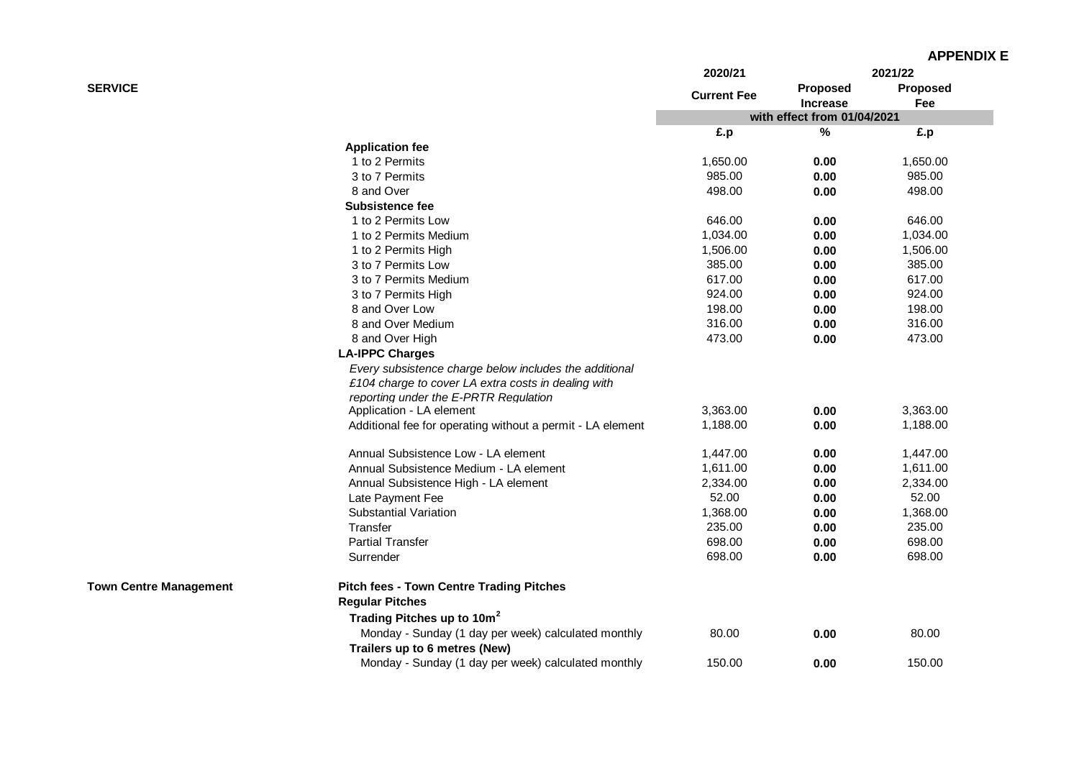|                               |                                                                                                                                                        | 2020/21            |                                    | 2021/22                |
|-------------------------------|--------------------------------------------------------------------------------------------------------------------------------------------------------|--------------------|------------------------------------|------------------------|
| <b>SERVICE</b>                |                                                                                                                                                        | <b>Current Fee</b> | <b>Proposed</b><br><b>Increase</b> | <b>Proposed</b><br>Fee |
|                               |                                                                                                                                                        |                    | with effect from 01/04/2021        |                        |
|                               |                                                                                                                                                        | £.p                | $\%$                               | £.p                    |
|                               | <b>Application fee</b>                                                                                                                                 |                    |                                    |                        |
|                               | 1 to 2 Permits                                                                                                                                         | 1,650.00           | 0.00                               | 1,650.00               |
|                               | 3 to 7 Permits                                                                                                                                         | 985.00             | 0.00                               | 985.00                 |
|                               | 8 and Over                                                                                                                                             | 498.00             | 0.00                               | 498.00                 |
|                               | <b>Subsistence fee</b>                                                                                                                                 |                    |                                    |                        |
|                               | 1 to 2 Permits Low                                                                                                                                     | 646.00             | 0.00                               | 646.00                 |
|                               | 1 to 2 Permits Medium                                                                                                                                  | 1,034.00           | 0.00                               | 1,034.00               |
|                               | 1 to 2 Permits High                                                                                                                                    | 1,506.00           | 0.00                               | 1,506.00               |
|                               | 3 to 7 Permits Low                                                                                                                                     | 385.00             | 0.00                               | 385.00                 |
|                               | 3 to 7 Permits Medium                                                                                                                                  | 617.00             | 0.00                               | 617.00                 |
|                               | 3 to 7 Permits High                                                                                                                                    | 924.00             | 0.00                               | 924.00                 |
|                               | 8 and Over Low                                                                                                                                         | 198.00             | 0.00                               | 198.00                 |
|                               | 8 and Over Medium                                                                                                                                      | 316.00             | 0.00                               | 316.00                 |
|                               | 8 and Over High                                                                                                                                        | 473.00             | 0.00                               | 473.00                 |
|                               | <b>LA-IPPC Charges</b>                                                                                                                                 |                    |                                    |                        |
|                               | Every subsistence charge below includes the additional<br>£104 charge to cover LA extra costs in dealing with<br>reporting under the E-PRTR Regulation |                    |                                    |                        |
|                               | Application - LA element                                                                                                                               | 3,363.00           | 0.00                               | 3,363.00               |
|                               | Additional fee for operating without a permit - LA element                                                                                             | 1,188.00           | 0.00                               | 1,188.00               |
|                               | Annual Subsistence Low - LA element                                                                                                                    | 1,447.00           | 0.00                               | 1,447.00               |
|                               | Annual Subsistence Medium - LA element                                                                                                                 | 1,611.00           | 0.00                               | 1,611.00               |
|                               | Annual Subsistence High - LA element                                                                                                                   | 2,334.00           | 0.00                               | 2,334.00               |
|                               | Late Payment Fee                                                                                                                                       | 52.00              | 0.00                               | 52.00                  |
|                               | <b>Substantial Variation</b>                                                                                                                           | 1,368.00           | 0.00                               | 1,368.00               |
|                               | Transfer                                                                                                                                               | 235.00             | 0.00                               | 235.00                 |
|                               | <b>Partial Transfer</b>                                                                                                                                | 698.00             | 0.00                               | 698.00                 |
|                               | Surrender                                                                                                                                              | 698.00             | 0.00                               | 698.00                 |
| <b>Town Centre Management</b> | <b>Pitch fees - Town Centre Trading Pitches</b><br><b>Regular Pitches</b>                                                                              |                    |                                    |                        |
|                               | Trading Pitches up to 10m <sup>2</sup>                                                                                                                 |                    |                                    |                        |
|                               | Monday - Sunday (1 day per week) calculated monthly<br>Trailers up to 6 metres (New)                                                                   | 80.00              | 0.00                               | 80.00                  |
|                               | Monday - Sunday (1 day per week) calculated monthly                                                                                                    | 150.00             | 0.00                               | 150.00                 |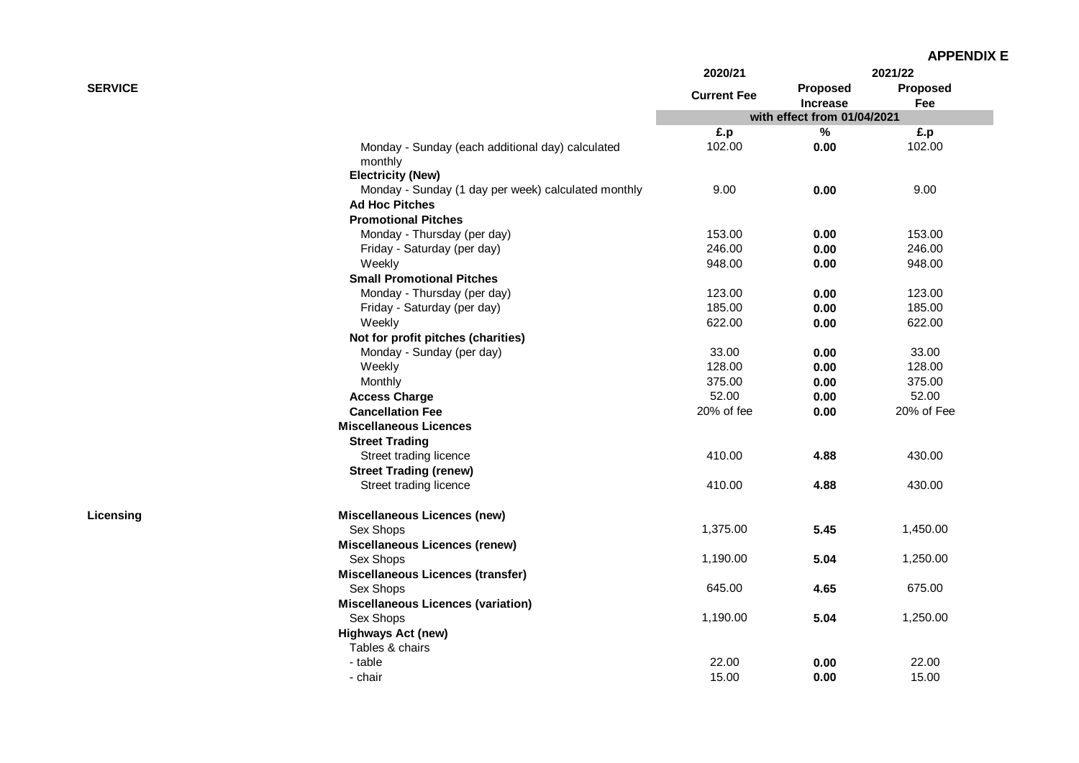| <b>APPENDIX E</b> |  |
|-------------------|--|
|-------------------|--|

| <b>SERVICE</b><br>Monday - Sunday (each additional day) calculated<br>monthly<br><b>Electricity (New)</b><br>Monday - Sunday (1 day per week) calculated monthly<br><b>Ad Hoc Pitches</b><br><b>Promotional Pitches</b> | <b>Current Fee</b><br>£.p<br>102.00<br>9.00 | Proposed<br><b>Increase</b><br>with effect from 01/04/2021<br>$\%$<br>0.00<br>0.00 | Proposed<br>Fee<br>£.p<br>102.00 |
|-------------------------------------------------------------------------------------------------------------------------------------------------------------------------------------------------------------------------|---------------------------------------------|------------------------------------------------------------------------------------|----------------------------------|
|                                                                                                                                                                                                                         |                                             |                                                                                    |                                  |
|                                                                                                                                                                                                                         |                                             |                                                                                    |                                  |
|                                                                                                                                                                                                                         |                                             |                                                                                    |                                  |
|                                                                                                                                                                                                                         |                                             |                                                                                    |                                  |
|                                                                                                                                                                                                                         |                                             |                                                                                    |                                  |
|                                                                                                                                                                                                                         |                                             |                                                                                    | 9.00                             |
|                                                                                                                                                                                                                         |                                             |                                                                                    |                                  |
|                                                                                                                                                                                                                         |                                             |                                                                                    |                                  |
| Monday - Thursday (per day)                                                                                                                                                                                             | 153.00                                      | 0.00                                                                               | 153.00                           |
| Friday - Saturday (per day)                                                                                                                                                                                             | 246.00                                      | 0.00                                                                               | 246.00                           |
| Weekly                                                                                                                                                                                                                  | 948.00                                      | 0.00                                                                               | 948.00                           |
| <b>Small Promotional Pitches</b>                                                                                                                                                                                        |                                             |                                                                                    |                                  |
| Monday - Thursday (per day)                                                                                                                                                                                             | 123.00                                      | 0.00                                                                               | 123.00                           |
| Friday - Saturday (per day)                                                                                                                                                                                             | 185.00                                      | 0.00                                                                               | 185.00                           |
| Weekly                                                                                                                                                                                                                  | 622.00                                      | 0.00                                                                               | 622.00                           |
| Not for profit pitches (charities)                                                                                                                                                                                      |                                             |                                                                                    |                                  |
| Monday - Sunday (per day)                                                                                                                                                                                               | 33.00                                       | 0.00                                                                               | 33.00                            |
| Weekly                                                                                                                                                                                                                  | 128.00                                      | 0.00                                                                               | 128.00                           |
| Monthly                                                                                                                                                                                                                 | 375.00                                      | 0.00                                                                               | 375.00                           |
| <b>Access Charge</b>                                                                                                                                                                                                    | 52.00                                       | 0.00                                                                               | 52.00                            |
| <b>Cancellation Fee</b>                                                                                                                                                                                                 | 20% of fee                                  | 0.00                                                                               | 20% of Fee                       |
| <b>Miscellaneous Licences</b>                                                                                                                                                                                           |                                             |                                                                                    |                                  |
| <b>Street Trading</b>                                                                                                                                                                                                   |                                             |                                                                                    |                                  |
| Street trading licence                                                                                                                                                                                                  | 410.00                                      | 4.88                                                                               | 430.00                           |
| <b>Street Trading (renew)</b>                                                                                                                                                                                           |                                             |                                                                                    |                                  |
| Street trading licence                                                                                                                                                                                                  | 410.00                                      | 4.88                                                                               | 430.00                           |
| <b>Miscellaneous Licences (new)</b><br>Licensing                                                                                                                                                                        |                                             |                                                                                    |                                  |
| Sex Shops                                                                                                                                                                                                               | 1,375.00                                    | 5.45                                                                               | 1,450.00                         |
| <b>Miscellaneous Licences (renew)</b>                                                                                                                                                                                   |                                             |                                                                                    |                                  |
| Sex Shops                                                                                                                                                                                                               | 1,190.00                                    | 5.04                                                                               | 1,250.00                         |
| <b>Miscellaneous Licences (transfer)</b>                                                                                                                                                                                |                                             |                                                                                    |                                  |
| Sex Shops                                                                                                                                                                                                               | 645.00                                      | 4.65                                                                               | 675.00                           |
| <b>Miscellaneous Licences (variation)</b>                                                                                                                                                                               |                                             |                                                                                    |                                  |
| Sex Shops                                                                                                                                                                                                               | 1,190.00                                    | 5.04                                                                               | 1,250.00                         |
| <b>Highways Act (new)</b>                                                                                                                                                                                               |                                             |                                                                                    |                                  |
| Tables & chairs                                                                                                                                                                                                         |                                             |                                                                                    |                                  |
| - table                                                                                                                                                                                                                 | 22.00                                       | 0.00                                                                               | 22.00                            |
| - chair                                                                                                                                                                                                                 | 15.00                                       | 0.00                                                                               | 15.00                            |

**Licensing**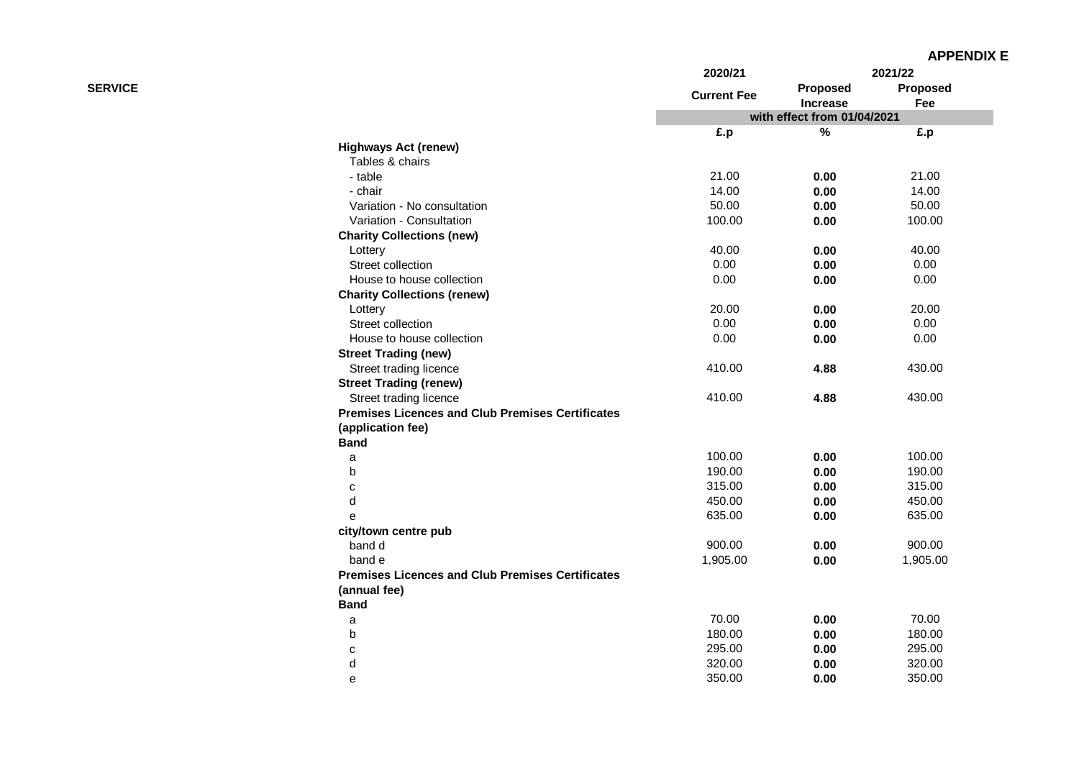|                |                                                         | 2020/21<br><b>Current Fee</b> | 2021/22                     |                 |
|----------------|---------------------------------------------------------|-------------------------------|-----------------------------|-----------------|
| <b>SERVICE</b> |                                                         |                               | Proposed<br><b>Increase</b> | Proposed<br>Fee |
|                |                                                         |                               | with effect from 01/04/2021 |                 |
|                |                                                         | £.p                           | $\%$                        | £.p             |
|                | <b>Highways Act (renew)</b>                             |                               |                             |                 |
|                | Tables & chairs                                         |                               |                             |                 |
|                | - table                                                 | 21.00                         | 0.00                        | 21.00           |
|                | - chair                                                 | 14.00                         | 0.00                        | 14.00           |
|                | Variation - No consultation                             | 50.00                         | 0.00                        | 50.00           |
|                | Variation - Consultation                                | 100.00                        | 0.00                        | 100.00          |
|                | <b>Charity Collections (new)</b>                        |                               |                             |                 |
|                | Lottery                                                 | 40.00                         | 0.00                        | 40.00           |
|                | Street collection                                       | 0.00                          | 0.00                        | 0.00            |
|                | House to house collection                               | 0.00                          | 0.00                        | 0.00            |
|                | <b>Charity Collections (renew)</b>                      |                               |                             |                 |
|                | Lottery                                                 | 20.00                         | 0.00                        | 20.00           |
|                | Street collection                                       | 0.00                          | 0.00                        | 0.00            |
|                | House to house collection                               | 0.00                          | 0.00                        | 0.00            |
|                | <b>Street Trading (new)</b>                             |                               |                             |                 |
|                | Street trading licence                                  | 410.00                        | 4.88                        | 430.00          |
|                | <b>Street Trading (renew)</b>                           |                               |                             |                 |
|                | Street trading licence                                  | 410.00                        | 4.88                        | 430.00          |
|                | <b>Premises Licences and Club Premises Certificates</b> |                               |                             |                 |
|                | (application fee)                                       |                               |                             |                 |
|                | <b>Band</b>                                             |                               |                             |                 |
|                | a                                                       | 100.00                        | 0.00                        | 100.00          |
|                | $\sf b$                                                 | 190.00                        | 0.00                        | 190.00          |
|                | $\mathbf C$                                             | 315.00                        | 0.00                        | 315.00          |
|                | d                                                       | 450.00                        | 0.00                        | 450.00          |
|                | e                                                       | 635.00                        | 0.00                        | 635.00          |
|                | city/town centre pub                                    |                               |                             |                 |
|                | band d                                                  | 900.00                        | 0.00                        | 900.00          |
|                | band e                                                  | 1,905.00                      | 0.00                        | 1,905.00        |
|                | <b>Premises Licences and Club Premises Certificates</b> |                               |                             |                 |
|                | (annual fee)                                            |                               |                             |                 |
|                | <b>Band</b>                                             |                               |                             |                 |
|                | a                                                       | 70.00                         | 0.00                        | 70.00           |
|                | b                                                       | 180.00                        | 0.00                        | 180.00          |
|                | $\mathbf C$                                             | 295.00                        | 0.00                        | 295.00          |
|                | d                                                       | 320.00                        | 0.00                        | 320.00          |
|                | e                                                       | 350.00                        | 0.00                        | 350.00          |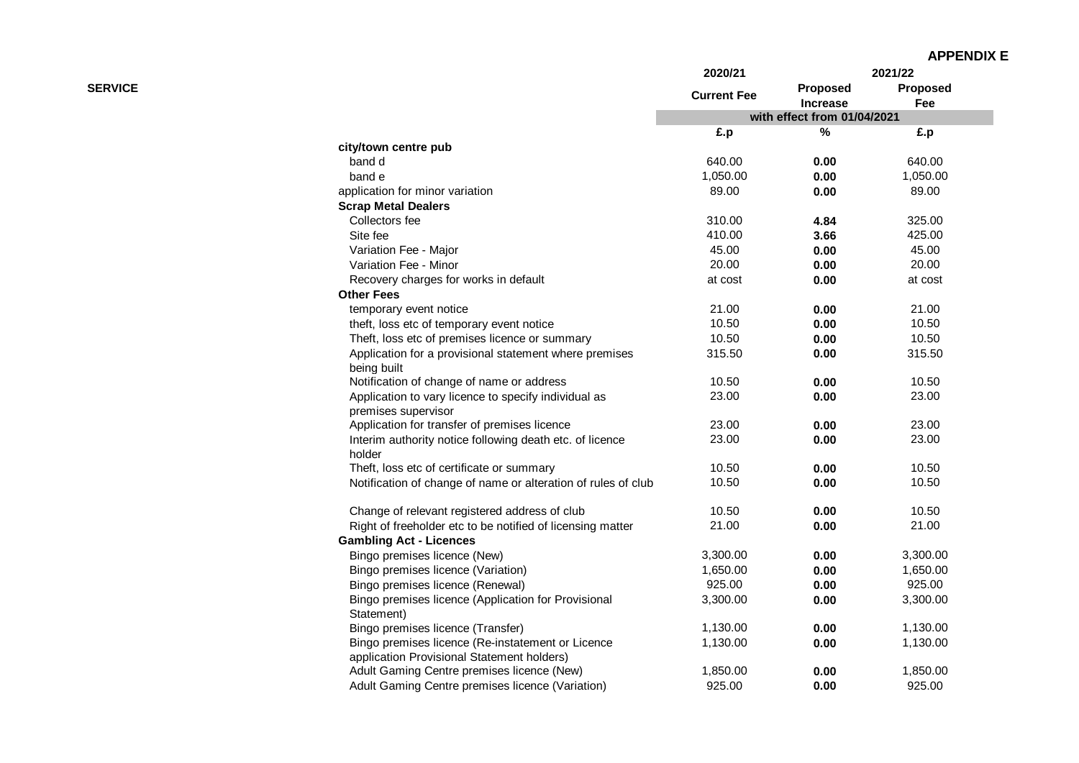|                |                                                               | 2020/21            |                             | 2021/22         |
|----------------|---------------------------------------------------------------|--------------------|-----------------------------|-----------------|
| <b>SERVICE</b> |                                                               | <b>Current Fee</b> | Proposed<br><b>Increase</b> | Proposed<br>Fee |
|                |                                                               |                    | with effect from 01/04/2021 |                 |
|                |                                                               | £.p                | %                           | £.p             |
|                | city/town centre pub                                          |                    |                             |                 |
|                | band d                                                        | 640.00             | 0.00                        | 640.00          |
|                | band e                                                        | 1,050.00           | 0.00                        | 1,050.00        |
|                | application for minor variation                               | 89.00              | 0.00                        | 89.00           |
|                | <b>Scrap Metal Dealers</b>                                    |                    |                             |                 |
|                | Collectors fee                                                | 310.00             | 4.84                        | 325.00          |
|                | Site fee                                                      | 410.00             | 3.66                        | 425.00          |
|                | Variation Fee - Major                                         | 45.00              | 0.00                        | 45.00           |
|                | Variation Fee - Minor                                         | 20.00              | 0.00                        | 20.00           |
|                | Recovery charges for works in default                         | at cost            | 0.00                        | at cost         |
|                | <b>Other Fees</b>                                             |                    |                             |                 |
|                | temporary event notice                                        | 21.00              | 0.00                        | 21.00           |
|                | theft, loss etc of temporary event notice                     | 10.50              | 0.00                        | 10.50           |
|                | Theft, loss etc of premises licence or summary                | 10.50              | 0.00                        | 10.50           |
|                | Application for a provisional statement where premises        | 315.50             | 0.00                        | 315.50          |
|                | being built                                                   |                    |                             |                 |
|                | Notification of change of name or address                     | 10.50              | 0.00                        | 10.50           |
|                | Application to vary licence to specify individual as          | 23.00              | 0.00                        | 23.00           |
|                | premises supervisor                                           |                    |                             |                 |
|                | Application for transfer of premises licence                  | 23.00              | 0.00                        | 23.00           |
|                | Interim authority notice following death etc. of licence      | 23.00              | 0.00                        | 23.00           |
|                | holder                                                        |                    |                             |                 |
|                | Theft, loss etc of certificate or summary                     | 10.50              | 0.00                        | 10.50           |
|                | Notification of change of name or alteration of rules of club | 10.50              | 0.00                        | 10.50           |
|                | Change of relevant registered address of club                 | 10.50              | 0.00                        | 10.50           |
|                | Right of freeholder etc to be notified of licensing matter    | 21.00              | 0.00                        | 21.00           |
|                | <b>Gambling Act - Licences</b>                                |                    |                             |                 |
|                | Bingo premises licence (New)                                  | 3,300.00           | 0.00                        | 3,300.00        |
|                | Bingo premises licence (Variation)                            | 1,650.00           | 0.00                        | 1,650.00        |
|                | Bingo premises licence (Renewal)                              | 925.00             | 0.00                        | 925.00          |
|                | Bingo premises licence (Application for Provisional           | 3,300.00           | 0.00                        | 3,300.00        |
|                | Statement)                                                    |                    |                             |                 |
|                | Bingo premises licence (Transfer)                             | 1,130.00           | 0.00                        | 1,130.00        |
|                | Bingo premises licence (Re-instatement or Licence             | 1,130.00           | 0.00                        | 1,130.00        |
|                | application Provisional Statement holders)                    |                    |                             |                 |
|                | Adult Gaming Centre premises licence (New)                    | 1,850.00           | 0.00                        | 1,850.00        |
|                | Adult Gaming Centre premises licence (Variation)              | 925.00             | 0.00                        | 925.00          |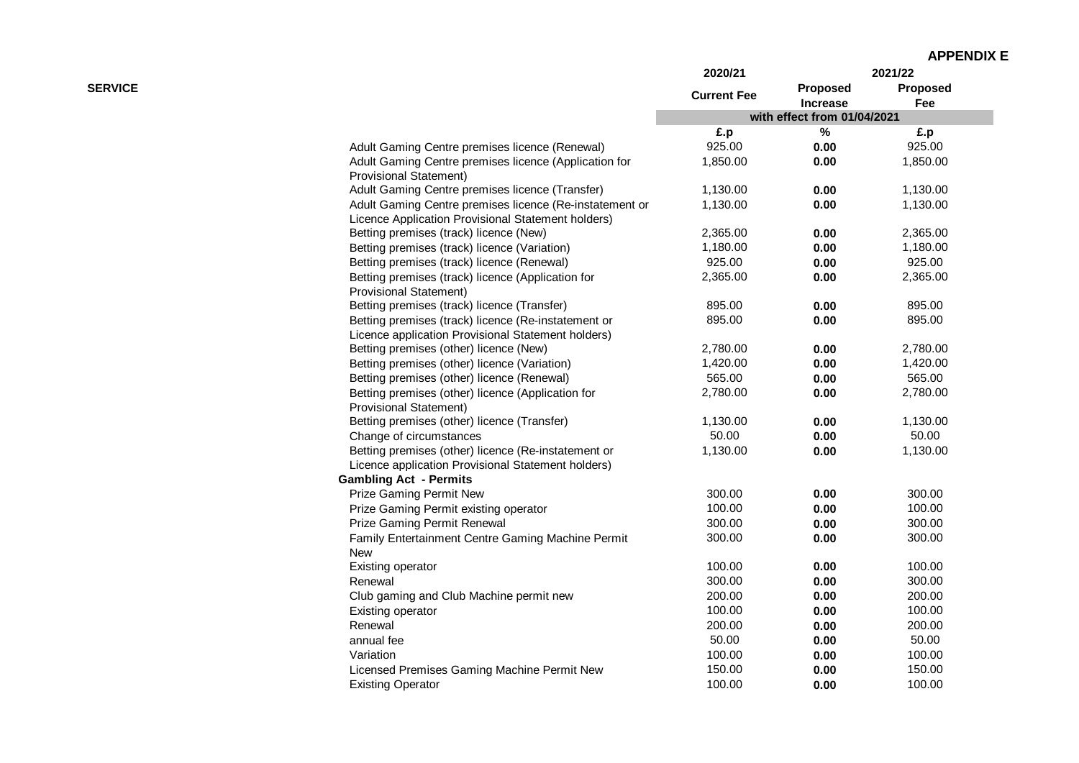|                |                                                         | 2020/21            |                                    | 2021/22                |
|----------------|---------------------------------------------------------|--------------------|------------------------------------|------------------------|
| <b>SERVICE</b> |                                                         | <b>Current Fee</b> | <b>Proposed</b><br><b>Increase</b> | <b>Proposed</b><br>Fee |
|                |                                                         |                    | with effect from 01/04/2021        |                        |
|                |                                                         | £.p                | %                                  | £.p                    |
|                | Adult Gaming Centre premises licence (Renewal)          | 925.00             | 0.00                               | 925.00                 |
|                | Adult Gaming Centre premises licence (Application for   | 1,850.00           | 0.00                               | 1,850.00               |
|                | <b>Provisional Statement)</b>                           |                    |                                    |                        |
|                | Adult Gaming Centre premises licence (Transfer)         | 1,130.00           | 0.00                               | 1,130.00               |
|                | Adult Gaming Centre premises licence (Re-instatement or | 1,130.00           | 0.00                               | 1,130.00               |
|                | Licence Application Provisional Statement holders)      |                    |                                    |                        |
|                | Betting premises (track) licence (New)                  | 2,365.00           | 0.00                               | 2,365.00               |
|                | Betting premises (track) licence (Variation)            | 1,180.00           | 0.00                               | 1,180.00               |
|                | Betting premises (track) licence (Renewal)              | 925.00             | 0.00                               | 925.00                 |
|                | Betting premises (track) licence (Application for       | 2,365.00           | 0.00                               | 2,365.00               |
|                | <b>Provisional Statement)</b>                           |                    |                                    |                        |
|                | Betting premises (track) licence (Transfer)             | 895.00             | 0.00                               | 895.00                 |
|                | Betting premises (track) licence (Re-instatement or     | 895.00             | 0.00                               | 895.00                 |
|                | Licence application Provisional Statement holders)      |                    |                                    |                        |
|                | Betting premises (other) licence (New)                  | 2,780.00           | 0.00                               | 2,780.00               |
|                | Betting premises (other) licence (Variation)            | 1,420.00           | 0.00                               | 1,420.00               |
|                | Betting premises (other) licence (Renewal)              | 565.00             | 0.00                               | 565.00                 |
|                | Betting premises (other) licence (Application for       | 2,780.00           | 0.00                               | 2,780.00               |
|                | Provisional Statement)                                  |                    |                                    |                        |
|                | Betting premises (other) licence (Transfer)             | 1,130.00           | 0.00                               | 1,130.00               |
|                | Change of circumstances                                 | 50.00              | 0.00                               | 50.00                  |
|                | Betting premises (other) licence (Re-instatement or     | 1,130.00           | 0.00                               | 1,130.00               |
|                | Licence application Provisional Statement holders)      |                    |                                    |                        |
|                | <b>Gambling Act - Permits</b>                           |                    |                                    |                        |
|                | Prize Gaming Permit New                                 | 300.00             | 0.00                               | 300.00                 |
|                | Prize Gaming Permit existing operator                   | 100.00             | 0.00                               | 100.00                 |
|                | Prize Gaming Permit Renewal                             | 300.00             | 0.00                               | 300.00                 |
|                | Family Entertainment Centre Gaming Machine Permit       | 300.00             | 0.00                               | 300.00                 |
|                | <b>New</b>                                              |                    |                                    |                        |
|                | Existing operator                                       | 100.00             | 0.00                               | 100.00                 |
|                | Renewal                                                 | 300.00             | 0.00                               | 300.00                 |
|                | Club gaming and Club Machine permit new                 | 200.00             | 0.00                               | 200.00                 |
|                | Existing operator                                       | 100.00             | 0.00                               | 100.00                 |
|                | Renewal                                                 | 200.00             | 0.00                               | 200.00                 |
|                | annual fee                                              | 50.00              | 0.00                               | 50.00                  |
|                | Variation                                               | 100.00             | 0.00                               | 100.00                 |
|                | Licensed Premises Gaming Machine Permit New             | 150.00             | 0.00                               | 150.00                 |
|                | <b>Existing Operator</b>                                | 100.00             | 0.00                               | 100.00                 |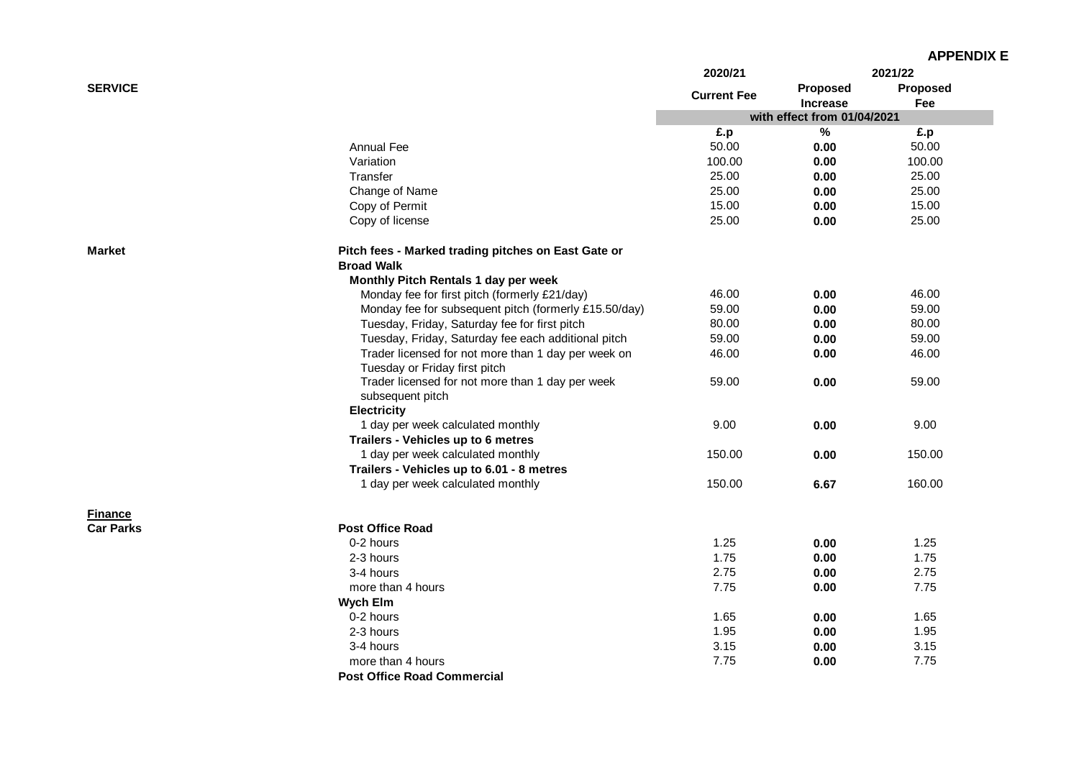|                  |                                                       | 2020/21            |                             | 2021/22  |
|------------------|-------------------------------------------------------|--------------------|-----------------------------|----------|
| <b>SERVICE</b>   |                                                       |                    | Proposed                    | Proposed |
|                  |                                                       | <b>Current Fee</b> | Increase                    | Fee      |
|                  |                                                       |                    | with effect from 01/04/2021 |          |
|                  |                                                       | £.p                | $\%$                        | £.p      |
|                  | Annual Fee                                            | 50.00              | 0.00                        | 50.00    |
|                  | Variation                                             | 100.00             | 0.00                        | 100.00   |
|                  | Transfer                                              | 25.00              | 0.00                        | 25.00    |
|                  | Change of Name                                        | 25.00              | 0.00                        | 25.00    |
|                  | Copy of Permit                                        | 15.00              | 0.00                        | 15.00    |
|                  | Copy of license                                       | 25.00              | 0.00                        | 25.00    |
| <b>Market</b>    | Pitch fees - Marked trading pitches on East Gate or   |                    |                             |          |
|                  | <b>Broad Walk</b>                                     |                    |                             |          |
|                  | Monthly Pitch Rentals 1 day per week                  |                    |                             |          |
|                  | Monday fee for first pitch (formerly £21/day)         | 46.00              | 0.00                        | 46.00    |
|                  | Monday fee for subsequent pitch (formerly £15.50/day) | 59.00              | 0.00                        | 59.00    |
|                  | Tuesday, Friday, Saturday fee for first pitch         | 80.00              | 0.00                        | 80.00    |
|                  | Tuesday, Friday, Saturday fee each additional pitch   | 59.00              | 0.00                        | 59.00    |
|                  | Trader licensed for not more than 1 day per week on   | 46.00              | 0.00                        | 46.00    |
|                  | Tuesday or Friday first pitch                         |                    |                             |          |
|                  | Trader licensed for not more than 1 day per week      | 59.00              | 0.00                        | 59.00    |
|                  | subsequent pitch                                      |                    |                             |          |
|                  | <b>Electricity</b>                                    |                    |                             |          |
|                  | 1 day per week calculated monthly                     | 9.00               | 0.00                        | 9.00     |
|                  | Trailers - Vehicles up to 6 metres                    |                    |                             |          |
|                  | 1 day per week calculated monthly                     | 150.00             | 0.00                        | 150.00   |
|                  | Trailers - Vehicles up to 6.01 - 8 metres             |                    |                             |          |
|                  | 1 day per week calculated monthly                     | 150.00             | 6.67                        | 160.00   |
| <b>Finance</b>   |                                                       |                    |                             |          |
| <b>Car Parks</b> | <b>Post Office Road</b>                               |                    |                             |          |
|                  | 0-2 hours                                             | 1.25               | 0.00                        | 1.25     |
|                  | 2-3 hours                                             | 1.75               | 0.00                        | 1.75     |
|                  | 3-4 hours                                             | 2.75               | 0.00                        | 2.75     |
|                  | more than 4 hours                                     | 7.75               | 0.00                        | 7.75     |
|                  | <b>Wych Elm</b>                                       |                    |                             |          |
|                  | 0-2 hours                                             | 1.65               | 0.00                        | 1.65     |
|                  | 2-3 hours                                             | 1.95               | 0.00                        | 1.95     |
|                  | 3-4 hours                                             | 3.15               | 0.00                        | 3.15     |
|                  | more than 4 hours                                     | 7.75               | 0.00                        | 7.75     |
|                  | <b>Post Office Road Commercial</b>                    |                    |                             |          |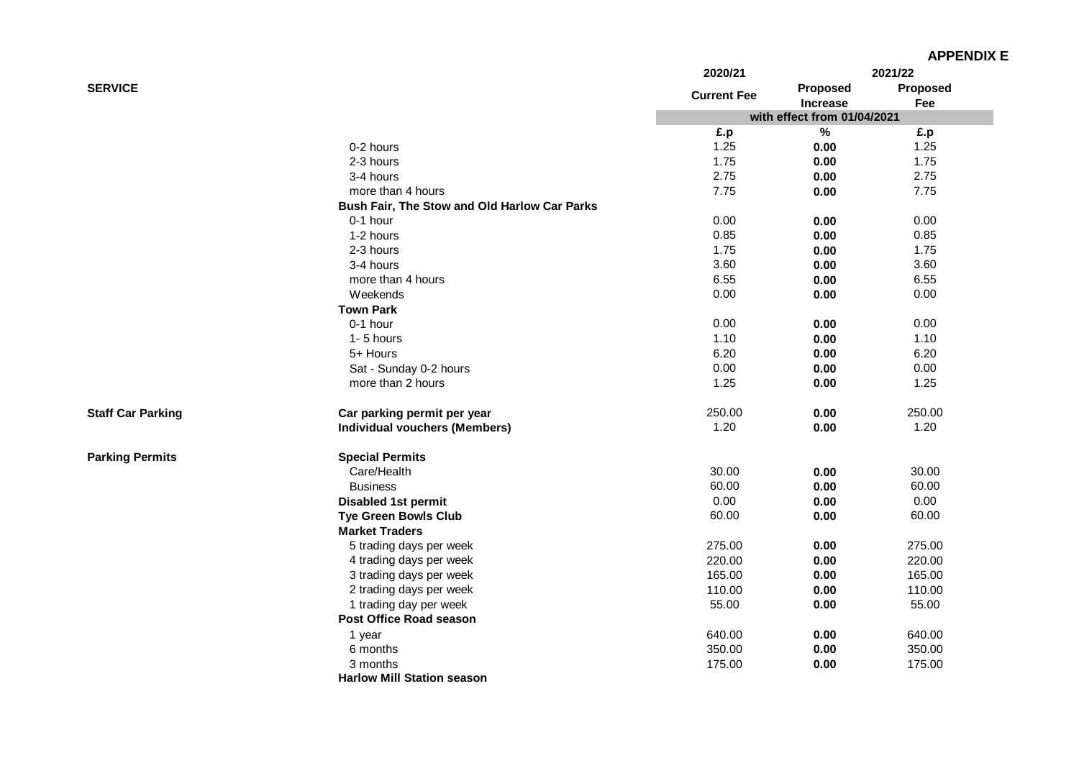|                          |                                              |                    |                             | <b>APPENDIX E</b> |
|--------------------------|----------------------------------------------|--------------------|-----------------------------|-------------------|
|                          |                                              | 2020/21            |                             | 2021/22           |
| <b>SERVICE</b>           |                                              | <b>Current Fee</b> | Proposed<br><b>Increase</b> | Proposed<br>Fee   |
|                          |                                              |                    | with effect from 01/04/2021 |                   |
|                          |                                              | £.p                | $\%$                        | £.p               |
|                          | 0-2 hours                                    | 1.25               | 0.00                        | 1.25              |
|                          | 2-3 hours                                    | 1.75               | 0.00                        | 1.75              |
|                          | 3-4 hours                                    | 2.75               | 0.00                        | 2.75              |
|                          | more than 4 hours                            | 7.75               | 0.00                        | 7.75              |
|                          | Bush Fair, The Stow and Old Harlow Car Parks |                    |                             |                   |
|                          | 0-1 hour                                     | 0.00               | 0.00                        | 0.00              |
|                          | 1-2 hours                                    | 0.85               | 0.00                        | 0.85              |
|                          | 2-3 hours                                    | 1.75               | 0.00                        | 1.75              |
|                          | 3-4 hours                                    | 3.60               | 0.00                        | 3.60              |
|                          | more than 4 hours                            | 6.55               | 0.00                        | 6.55              |
|                          | Weekends                                     | 0.00               | 0.00                        | 0.00              |
|                          | <b>Town Park</b>                             |                    |                             |                   |
|                          | 0-1 hour                                     | 0.00               | 0.00                        | 0.00              |
|                          | 1-5 hours                                    | 1.10               | 0.00                        | 1.10              |
|                          | 5+ Hours                                     | 6.20               | 0.00                        | 6.20              |
|                          | Sat - Sunday 0-2 hours                       | 0.00               | 0.00                        | 0.00              |
|                          | more than 2 hours                            | 1.25               | 0.00                        | 1.25              |
| <b>Staff Car Parking</b> | Car parking permit per year                  | 250.00             | 0.00                        | 250.00            |
|                          | <b>Individual vouchers (Members)</b>         | 1.20               | 0.00                        | 1.20              |
| <b>Parking Permits</b>   | <b>Special Permits</b>                       |                    |                             |                   |
|                          | Care/Health                                  | 30.00              | 0.00                        | 30.00             |
|                          | <b>Business</b>                              | 60.00              | 0.00                        | 60.00             |
|                          | <b>Disabled 1st permit</b>                   | 0.00               | 0.00                        | 0.00              |
|                          | <b>Tye Green Bowls Club</b>                  | 60.00              | 0.00                        | 60.00             |
|                          | <b>Market Traders</b>                        |                    |                             |                   |
|                          | 5 trading days per week                      | 275.00             | 0.00                        | 275.00            |
|                          | 4 trading days per week                      | 220.00             | 0.00                        | 220.00            |
|                          | 3 trading days per week                      | 165.00             | 0.00                        | 165.00            |
|                          | 2 trading days per week                      | 110.00             | 0.00                        | 110.00            |
|                          | 1 trading day per week                       | 55.00              | 0.00                        | 55.00             |
|                          | Post Office Road season                      |                    |                             |                   |
|                          | 1 year                                       | 640.00             | 0.00                        | 640.00            |
|                          | 6 months                                     | 350.00             | 0.00                        | 350.00            |
|                          | 3 months                                     | 175.00             | 0.00                        | 175.00            |
|                          | <b>Harlow Mill Station season</b>            |                    |                             |                   |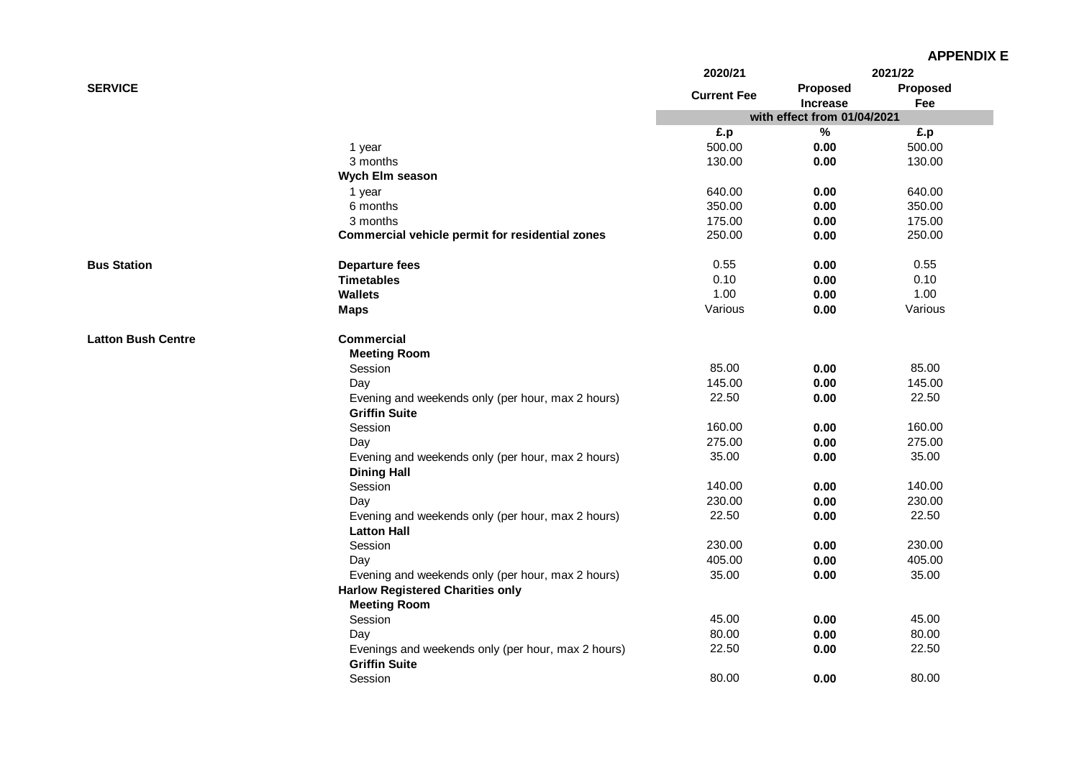|                           |                                                                            | 2020/21            |                             | 2021/22  |
|---------------------------|----------------------------------------------------------------------------|--------------------|-----------------------------|----------|
| <b>SERVICE</b>            |                                                                            |                    | <b>Proposed</b>             | Proposed |
|                           |                                                                            | <b>Current Fee</b> | <b>Increase</b>             | Fee      |
|                           |                                                                            |                    | with effect from 01/04/2021 |          |
|                           |                                                                            | £.p                | $\%$                        | £.p      |
|                           | 1 year                                                                     | 500.00             | 0.00                        | 500.00   |
|                           | 3 months                                                                   | 130.00             | 0.00                        | 130.00   |
|                           | Wych Elm season                                                            |                    |                             |          |
|                           | 1 year                                                                     | 640.00             | 0.00                        | 640.00   |
|                           | 6 months                                                                   | 350.00             | 0.00                        | 350.00   |
|                           | 3 months                                                                   | 175.00             | 0.00                        | 175.00   |
|                           | Commercial vehicle permit for residential zones                            | 250.00             | 0.00                        | 250.00   |
| <b>Bus Station</b>        | <b>Departure fees</b>                                                      | 0.55               | 0.00                        | 0.55     |
|                           | <b>Timetables</b>                                                          | 0.10               | 0.00                        | 0.10     |
|                           | <b>Wallets</b>                                                             | 1.00               | 0.00                        | 1.00     |
|                           | <b>Maps</b>                                                                | Various            | 0.00                        | Various  |
| <b>Latton Bush Centre</b> | <b>Commercial</b>                                                          |                    |                             |          |
|                           | <b>Meeting Room</b>                                                        |                    |                             |          |
|                           | Session                                                                    | 85.00              | 0.00                        | 85.00    |
|                           | Day                                                                        | 145.00             | 0.00                        | 145.00   |
|                           | Evening and weekends only (per hour, max 2 hours)                          | 22.50              | 0.00                        | 22.50    |
|                           | <b>Griffin Suite</b>                                                       |                    |                             |          |
|                           | Session                                                                    | 160.00             | 0.00                        | 160.00   |
|                           | Day                                                                        | 275.00             | 0.00                        | 275.00   |
|                           | Evening and weekends only (per hour, max 2 hours)                          | 35.00              | 0.00                        | 35.00    |
|                           | <b>Dining Hall</b>                                                         |                    |                             |          |
|                           | Session                                                                    | 140.00             | 0.00                        | 140.00   |
|                           | Day                                                                        | 230.00             | 0.00                        | 230.00   |
|                           | Evening and weekends only (per hour, max 2 hours)                          | 22.50              | 0.00                        | 22.50    |
|                           | <b>Latton Hall</b>                                                         |                    |                             |          |
|                           | Session                                                                    | 230.00             | 0.00                        | 230.00   |
|                           | Day                                                                        | 405.00             | 0.00                        | 405.00   |
|                           | Evening and weekends only (per hour, max 2 hours)                          | 35.00              | 0.00                        | 35.00    |
|                           | <b>Harlow Registered Charities only</b>                                    |                    |                             |          |
|                           | <b>Meeting Room</b>                                                        |                    |                             |          |
|                           | Session                                                                    | 45.00              | 0.00                        | 45.00    |
|                           | Day                                                                        | 80.00              | 0.00                        | 80.00    |
|                           | Evenings and weekends only (per hour, max 2 hours)<br><b>Griffin Suite</b> | 22.50              | 0.00                        | 22.50    |
|                           | Session                                                                    | 80.00              | 0.00                        | 80.00    |
|                           |                                                                            |                    |                             |          |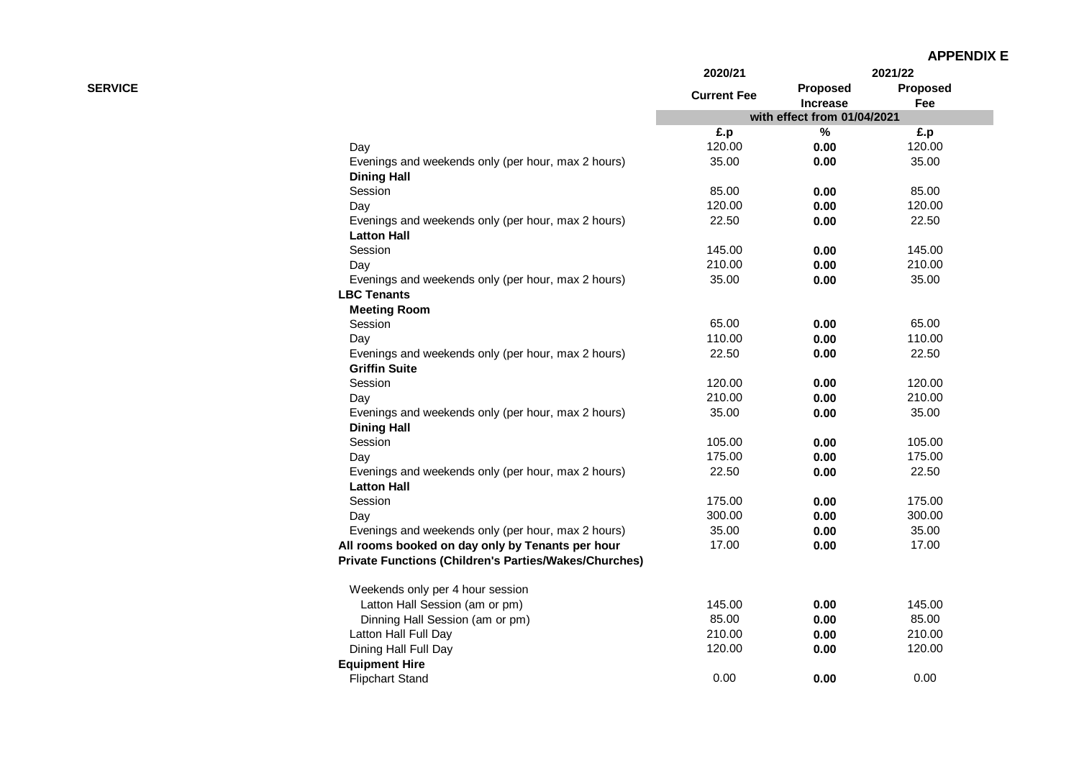| <b>APPENDIX E</b> |  |
|-------------------|--|
|-------------------|--|

|                |                                                              | 2020/21            |                             | 2021/22                |
|----------------|--------------------------------------------------------------|--------------------|-----------------------------|------------------------|
| <b>SERVICE</b> |                                                              | <b>Current Fee</b> | Proposed<br><b>Increase</b> | <b>Proposed</b><br>Fee |
|                |                                                              |                    | with effect from 01/04/2021 |                        |
|                |                                                              | £.p                | %                           | £.p                    |
|                | Day                                                          | 120.00             | 0.00                        | 120.00                 |
|                | Evenings and weekends only (per hour, max 2 hours)           | 35.00              | 0.00                        | 35.00                  |
|                | <b>Dining Hall</b>                                           |                    |                             |                        |
|                | Session                                                      | 85.00              | 0.00                        | 85.00                  |
|                | Day                                                          | 120.00             | 0.00                        | 120.00                 |
|                | Evenings and weekends only (per hour, max 2 hours)           | 22.50              | 0.00                        | 22.50                  |
|                | <b>Latton Hall</b>                                           |                    |                             |                        |
|                | Session                                                      | 145.00             | 0.00                        | 145.00                 |
|                | Day                                                          | 210.00             | 0.00                        | 210.00                 |
|                | Evenings and weekends only (per hour, max 2 hours)           | 35.00              | 0.00                        | 35.00                  |
|                | <b>LBC Tenants</b>                                           |                    |                             |                        |
|                | <b>Meeting Room</b>                                          |                    |                             |                        |
|                | Session                                                      | 65.00              | 0.00                        | 65.00                  |
|                | Day                                                          | 110.00             | 0.00                        | 110.00                 |
|                | Evenings and weekends only (per hour, max 2 hours)           | 22.50              | 0.00                        | 22.50                  |
|                | <b>Griffin Suite</b>                                         |                    |                             |                        |
|                | Session                                                      | 120.00             | 0.00                        | 120.00                 |
|                | Day                                                          | 210.00             | 0.00                        | 210.00                 |
|                | Evenings and weekends only (per hour, max 2 hours)           | 35.00              | 0.00                        | 35.00                  |
|                | <b>Dining Hall</b>                                           |                    |                             |                        |
|                | Session                                                      | 105.00             | 0.00                        | 105.00                 |
|                | Day                                                          | 175.00             | 0.00                        | 175.00                 |
|                | Evenings and weekends only (per hour, max 2 hours)           | 22.50              | 0.00                        | 22.50                  |
|                | <b>Latton Hall</b>                                           |                    |                             |                        |
|                | Session                                                      | 175.00             | 0.00                        | 175.00                 |
|                | Day                                                          | 300.00             | 0.00                        | 300.00                 |
|                | Evenings and weekends only (per hour, max 2 hours)           | 35.00              | 0.00                        | 35.00                  |
|                | All rooms booked on day only by Tenants per hour             | 17.00              | 0.00                        | 17.00                  |
|                | <b>Private Functions (Children's Parties/Wakes/Churches)</b> |                    |                             |                        |
|                | Weekends only per 4 hour session                             |                    |                             |                        |
|                | Latton Hall Session (am or pm)                               | 145.00             | 0.00                        | 145.00                 |
|                | Dinning Hall Session (am or pm)                              | 85.00              | 0.00                        | 85.00                  |
|                | Latton Hall Full Day                                         | 210.00             | 0.00                        | 210.00                 |
|                | Dining Hall Full Day                                         | 120.00             | 0.00                        | 120.00                 |
|                | <b>Equipment Hire</b>                                        |                    |                             |                        |
|                | <b>Flipchart Stand</b>                                       | 0.00               | 0.00                        | 0.00                   |
|                |                                                              |                    |                             |                        |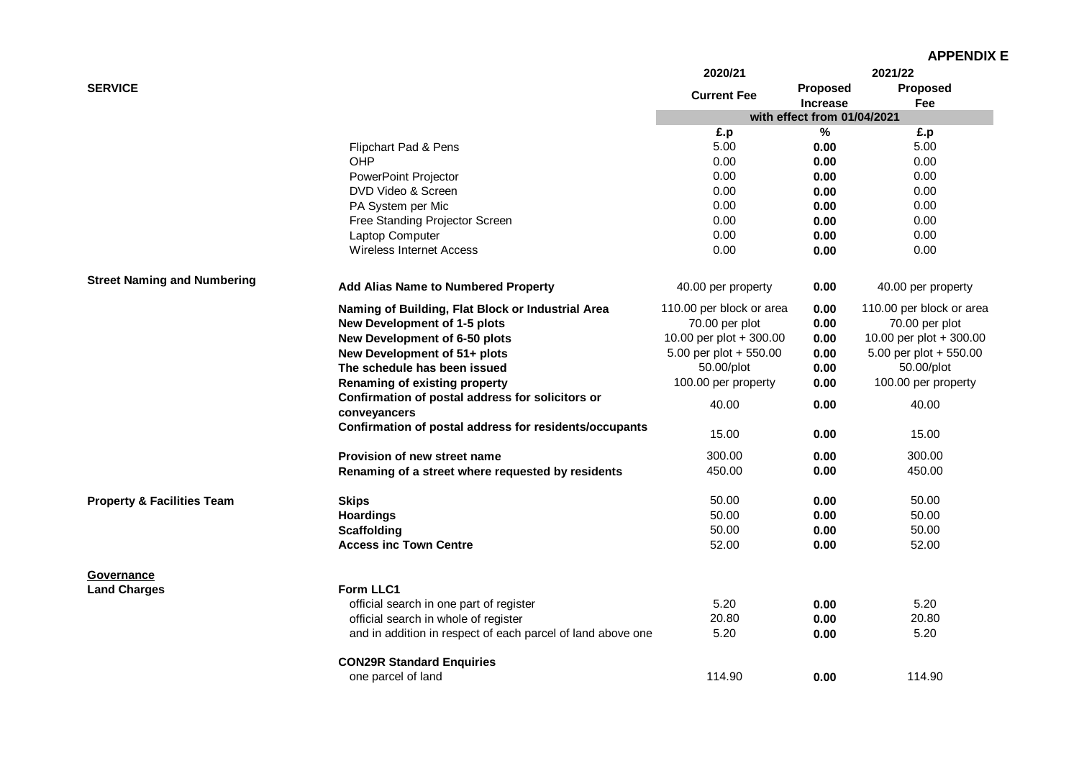|                                       |                                                               | 2020/21                  |                             | 2021/22                  |
|---------------------------------------|---------------------------------------------------------------|--------------------------|-----------------------------|--------------------------|
| <b>SERVICE</b>                        |                                                               | <b>Current Fee</b>       | <b>Proposed</b>             | <b>Proposed</b>          |
|                                       |                                                               |                          | <b>Increase</b>             | Fee                      |
|                                       |                                                               |                          | with effect from 01/04/2021 |                          |
|                                       |                                                               | £.p                      | ℅                           | £.p                      |
|                                       | Flipchart Pad & Pens                                          | 5.00                     | 0.00                        | 5.00                     |
|                                       | OHP                                                           | 0.00                     | 0.00                        | 0.00                     |
|                                       | <b>PowerPoint Projector</b>                                   | 0.00                     | 0.00                        | 0.00                     |
|                                       | DVD Video & Screen                                            | 0.00                     | 0.00                        | 0.00                     |
|                                       | PA System per Mic                                             | 0.00                     | 0.00                        | 0.00                     |
|                                       | Free Standing Projector Screen                                | 0.00                     | 0.00                        | 0.00                     |
|                                       | Laptop Computer                                               | 0.00                     | 0.00                        | 0.00                     |
|                                       | <b>Wireless Internet Access</b>                               | 0.00                     | 0.00                        | 0.00                     |
| <b>Street Naming and Numbering</b>    | Add Alias Name to Numbered Property                           | 40.00 per property       | 0.00                        | 40.00 per property       |
|                                       | Naming of Building, Flat Block or Industrial Area             | 110.00 per block or area | 0.00                        | 110.00 per block or area |
|                                       | New Development of 1-5 plots                                  | 70.00 per plot           | 0.00                        | 70.00 per plot           |
|                                       |                                                               | 10.00 per plot + 300.00  | 0.00                        | 10.00 per plot + 300.00  |
|                                       | New Development of 6-50 plots<br>New Development of 51+ plots | 5.00 per plot + 550.00   | 0.00                        | 5.00 per plot + 550.00   |
|                                       |                                                               |                          |                             |                          |
|                                       | The schedule has been issued                                  | 50.00/plot               | 0.00                        | 50.00/plot               |
|                                       | Renaming of existing property                                 | 100.00 per property      | 0.00                        | 100.00 per property      |
|                                       | Confirmation of postal address for solicitors or              | 40.00                    | 0.00                        | 40.00                    |
|                                       | conveyancers                                                  |                          |                             |                          |
|                                       | Confirmation of postal address for residents/occupants        | 15.00                    | 0.00                        | 15.00                    |
|                                       | Provision of new street name                                  | 300.00                   | 0.00                        | 300.00                   |
|                                       | Renaming of a street where requested by residents             | 450.00                   | 0.00                        | 450.00                   |
| <b>Property &amp; Facilities Team</b> | <b>Skips</b>                                                  | 50.00                    | 0.00                        | 50.00                    |
|                                       | <b>Hoardings</b>                                              | 50.00                    | 0.00                        | 50.00                    |
|                                       | <b>Scaffolding</b>                                            | 50.00                    | 0.00                        | 50.00                    |
|                                       | <b>Access inc Town Centre</b>                                 | 52.00                    | 0.00                        | 52.00                    |
| Governance                            |                                                               |                          |                             |                          |
| <b>Land Charges</b>                   | Form LLC1                                                     |                          |                             |                          |
|                                       | official search in one part of register                       | 5.20                     | 0.00                        | 5.20                     |
|                                       | official search in whole of register                          | 20.80                    | 0.00                        | 20.80                    |
|                                       | and in addition in respect of each parcel of land above one   | 5.20                     | 0.00                        | 5.20                     |
|                                       |                                                               |                          |                             |                          |
|                                       | <b>CON29R Standard Enquiries</b>                              |                          |                             |                          |
|                                       | one parcel of land                                            | 114.90                   | 0.00                        | 114.90                   |
|                                       |                                                               |                          |                             |                          |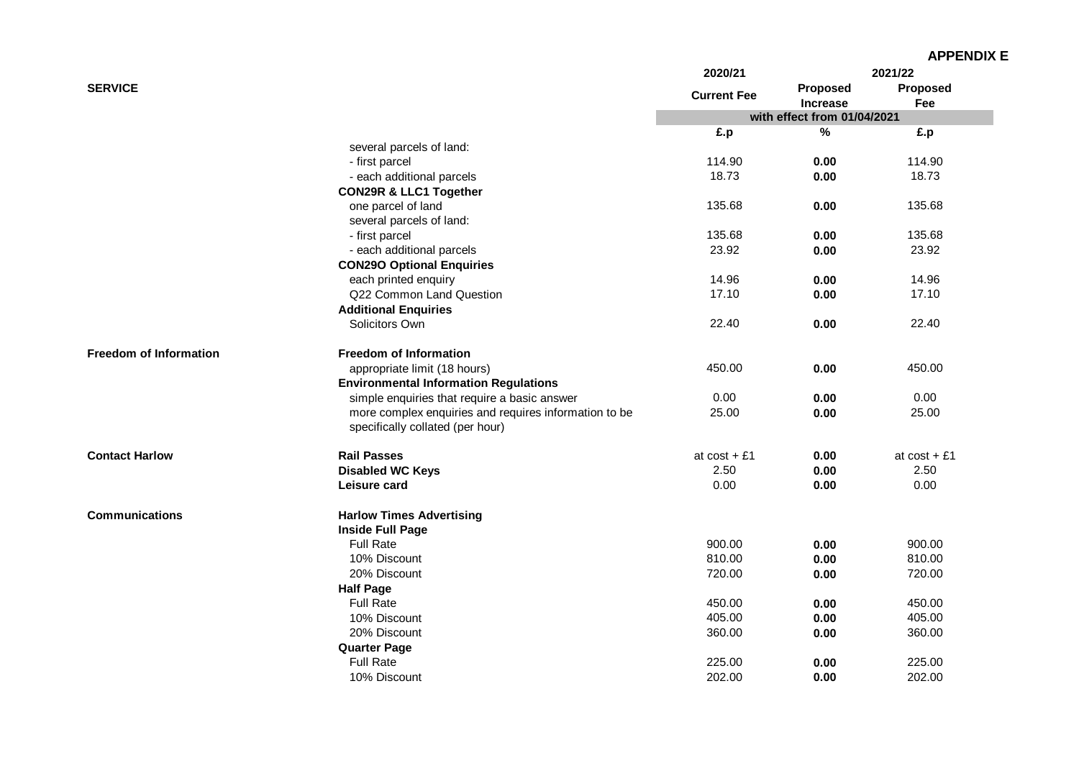|                               |                                                                                           | 2020/21            |                             | 2021/22         |
|-------------------------------|-------------------------------------------------------------------------------------------|--------------------|-----------------------------|-----------------|
| <b>SERVICE</b>                |                                                                                           | <b>Current Fee</b> | Proposed<br><b>Increase</b> | Proposed<br>Fee |
|                               |                                                                                           |                    | with effect from 01/04/2021 |                 |
|                               |                                                                                           | £.p                | $\%$                        | £.p             |
|                               | several parcels of land:                                                                  |                    |                             |                 |
|                               | - first parcel                                                                            | 114.90             | 0.00                        | 114.90          |
|                               | - each additional parcels                                                                 | 18.73              | 0.00                        | 18.73           |
|                               | <b>CON29R &amp; LLC1 Together</b>                                                         |                    |                             |                 |
|                               | one parcel of land                                                                        | 135.68             | 0.00                        | 135.68          |
|                               | several parcels of land:                                                                  |                    |                             |                 |
|                               | - first parcel                                                                            | 135.68             | 0.00                        | 135.68          |
|                               | - each additional parcels                                                                 | 23.92              | 0.00                        | 23.92           |
|                               | <b>CON29O Optional Enquiries</b>                                                          |                    |                             |                 |
|                               | each printed enquiry                                                                      | 14.96              | 0.00                        | 14.96           |
|                               | Q22 Common Land Question                                                                  | 17.10              | 0.00                        | 17.10           |
|                               | <b>Additional Enquiries</b>                                                               |                    |                             |                 |
|                               | Solicitors Own                                                                            | 22.40              | 0.00                        | 22.40           |
| <b>Freedom of Information</b> | <b>Freedom of Information</b>                                                             |                    |                             |                 |
|                               | appropriate limit (18 hours)                                                              | 450.00             | 0.00                        | 450.00          |
|                               | <b>Environmental Information Regulations</b>                                              |                    |                             |                 |
|                               | simple enquiries that require a basic answer                                              | 0.00               | 0.00                        | 0.00            |
|                               | more complex enquiries and requires information to be<br>specifically collated (per hour) | 25.00              | 0.00                        | 25.00           |
| <b>Contact Harlow</b>         | <b>Rail Passes</b>                                                                        | at $cost + £1$     | 0.00                        | at $cost + £1$  |
|                               |                                                                                           | 2.50               | 0.00                        | 2.50            |
|                               | <b>Disabled WC Keys</b>                                                                   | 0.00               |                             | 0.00            |
|                               | Leisure card                                                                              |                    | 0.00                        |                 |
| <b>Communications</b>         | <b>Harlow Times Advertising</b>                                                           |                    |                             |                 |
|                               | <b>Inside Full Page</b>                                                                   |                    |                             |                 |
|                               | <b>Full Rate</b>                                                                          | 900.00             | 0.00                        | 900.00          |
|                               | 10% Discount                                                                              | 810.00             | 0.00                        | 810.00          |
|                               | 20% Discount                                                                              | 720.00             | 0.00                        | 720.00          |
|                               | <b>Half Page</b>                                                                          |                    |                             |                 |
|                               | <b>Full Rate</b>                                                                          | 450.00             | 0.00                        | 450.00          |
|                               | 10% Discount                                                                              | 405.00             | 0.00                        | 405.00          |
|                               | 20% Discount                                                                              | 360.00             | 0.00                        | 360.00          |
|                               | <b>Quarter Page</b>                                                                       |                    |                             |                 |
|                               | <b>Full Rate</b>                                                                          | 225.00             | 0.00                        | 225.00          |
|                               | 10% Discount                                                                              | 202.00             | 0.00                        | 202.00          |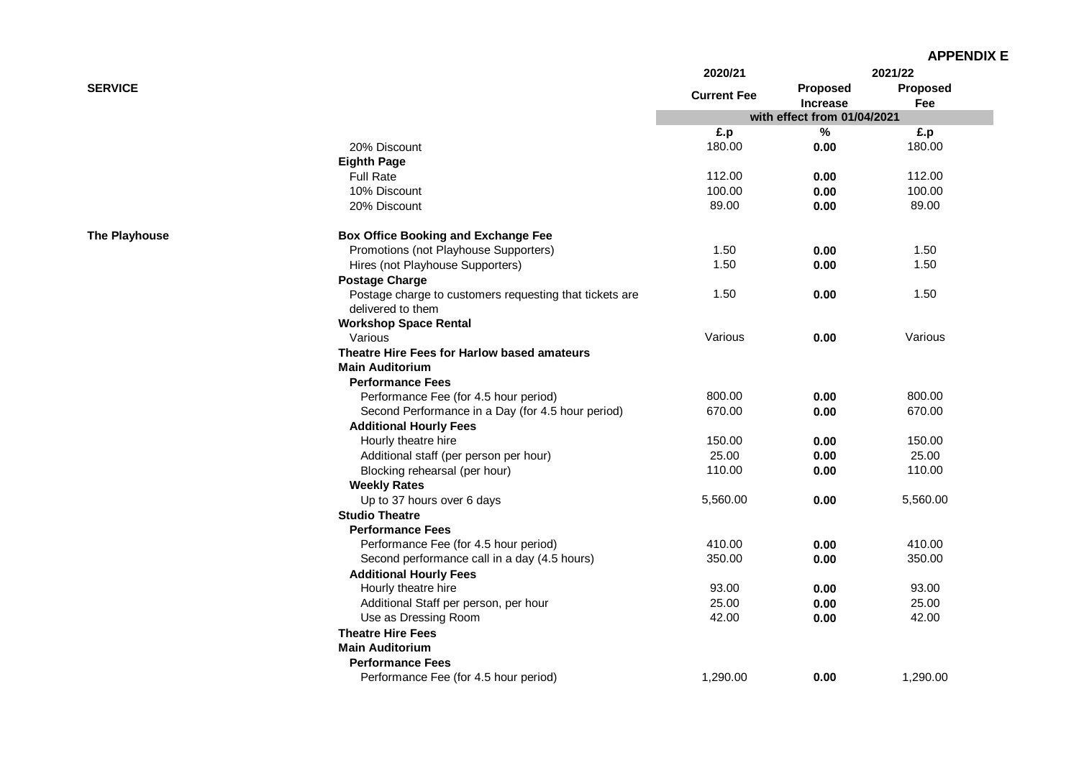| <b>APPENDIX E</b> |
|-------------------|
|-------------------|

|                      |                                                         | 2020/21            |                             | 2021/22         |
|----------------------|---------------------------------------------------------|--------------------|-----------------------------|-----------------|
| <b>SERVICE</b>       |                                                         | <b>Current Fee</b> | Proposed<br><b>Increase</b> | Proposed<br>Fee |
|                      |                                                         |                    | with effect from 01/04/2021 |                 |
|                      |                                                         | £.p                | $\%$                        | £.p             |
|                      | 20% Discount                                            | 180.00             | 0.00                        | 180.00          |
|                      | <b>Eighth Page</b>                                      |                    |                             |                 |
|                      | <b>Full Rate</b>                                        | 112.00             | 0.00                        | 112.00          |
|                      | 10% Discount                                            | 100.00             | 0.00                        | 100.00          |
|                      | 20% Discount                                            | 89.00              | 0.00                        | 89.00           |
| <b>The Playhouse</b> | <b>Box Office Booking and Exchange Fee</b>              |                    |                             |                 |
|                      | Promotions (not Playhouse Supporters)                   | 1.50               | 0.00                        | 1.50            |
|                      | Hires (not Playhouse Supporters)                        | 1.50               | 0.00                        | 1.50            |
|                      | <b>Postage Charge</b>                                   |                    |                             |                 |
|                      | Postage charge to customers requesting that tickets are | 1.50               | 0.00                        | 1.50            |
|                      | delivered to them                                       |                    |                             |                 |
|                      | <b>Workshop Space Rental</b>                            |                    |                             |                 |
|                      | Various                                                 | Various            | 0.00                        | Various         |
|                      | Theatre Hire Fees for Harlow based amateurs             |                    |                             |                 |
|                      | <b>Main Auditorium</b>                                  |                    |                             |                 |
|                      | <b>Performance Fees</b>                                 |                    |                             |                 |
|                      | Performance Fee (for 4.5 hour period)                   | 800.00             | 0.00                        | 800.00          |
|                      | Second Performance in a Day (for 4.5 hour period)       | 670.00             | 0.00                        | 670.00          |
|                      | <b>Additional Hourly Fees</b>                           |                    |                             |                 |
|                      | Hourly theatre hire                                     | 150.00             | 0.00                        | 150.00          |
|                      | Additional staff (per person per hour)                  | 25.00              | 0.00                        | 25.00           |
|                      | Blocking rehearsal (per hour)                           | 110.00             | 0.00                        | 110.00          |
|                      | <b>Weekly Rates</b>                                     |                    |                             |                 |
|                      | Up to 37 hours over 6 days                              | 5,560.00           | 0.00                        | 5,560.00        |
|                      | <b>Studio Theatre</b>                                   |                    |                             |                 |
|                      | <b>Performance Fees</b>                                 |                    |                             |                 |
|                      | Performance Fee (for 4.5 hour period)                   | 410.00             | 0.00                        | 410.00          |
|                      | Second performance call in a day (4.5 hours)            | 350.00             | 0.00                        | 350.00          |
|                      | <b>Additional Hourly Fees</b>                           |                    |                             |                 |
|                      | Hourly theatre hire                                     | 93.00              | 0.00                        | 93.00           |
|                      | Additional Staff per person, per hour                   | 25.00              | 0.00                        | 25.00           |
|                      | Use as Dressing Room                                    | 42.00              | 0.00                        | 42.00           |
|                      | <b>Theatre Hire Fees</b>                                |                    |                             |                 |
|                      | <b>Main Auditorium</b>                                  |                    |                             |                 |
|                      | <b>Performance Fees</b>                                 |                    |                             |                 |
|                      | Performance Fee (for 4.5 hour period)                   | 1,290.00           | 0.00                        | 1,290.00        |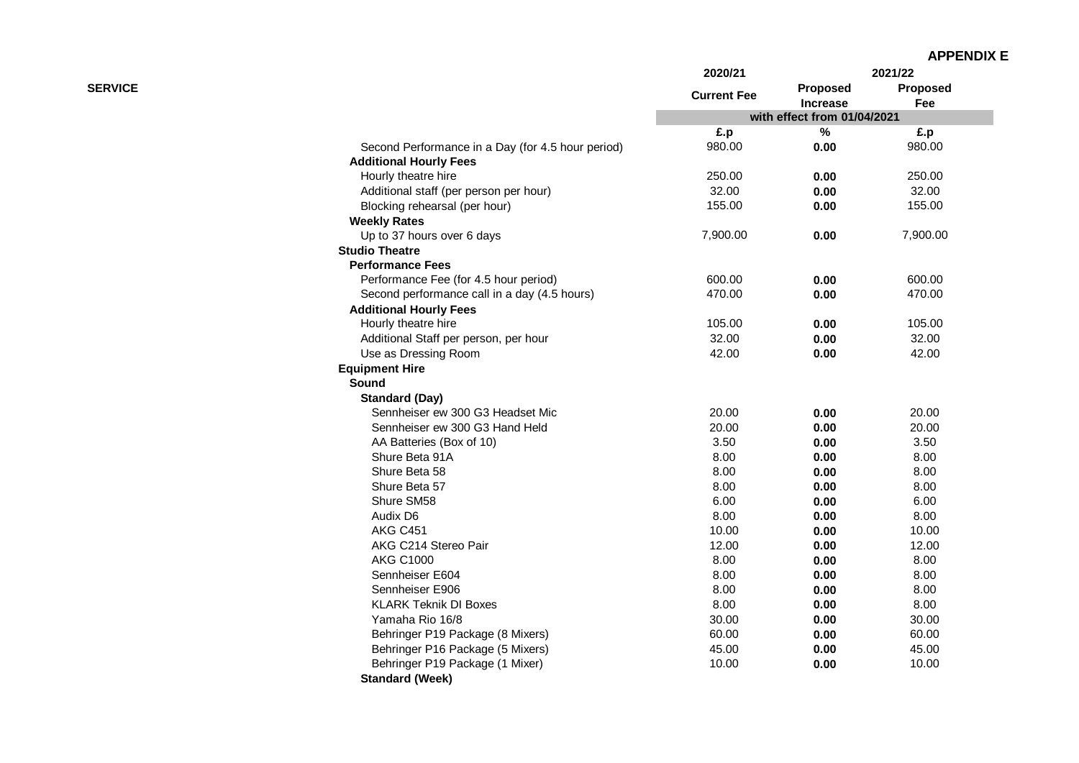| <b>APPENDIX E</b> |
|-------------------|
|-------------------|

|                |                                                   | 2020/21            |                                                | 2021/22  |
|----------------|---------------------------------------------------|--------------------|------------------------------------------------|----------|
| <b>SERVICE</b> |                                                   | <b>Current Fee</b> | Proposed                                       | Proposed |
|                |                                                   |                    | <b>Increase</b><br>with effect from 01/04/2021 | Fee      |
|                |                                                   | £.p                | $\%$                                           | £.p      |
|                | Second Performance in a Day (for 4.5 hour period) | 980.00             | 0.00                                           | 980.00   |
|                | <b>Additional Hourly Fees</b>                     |                    |                                                |          |
|                | Hourly theatre hire                               | 250.00             | 0.00                                           | 250.00   |
|                | Additional staff (per person per hour)            | 32.00              | 0.00                                           | 32.00    |
|                | Blocking rehearsal (per hour)                     | 155.00             | 0.00                                           | 155.00   |
|                | <b>Weekly Rates</b>                               |                    |                                                |          |
|                | Up to 37 hours over 6 days                        | 7,900.00           | 0.00                                           | 7,900.00 |
|                | <b>Studio Theatre</b>                             |                    |                                                |          |
|                | <b>Performance Fees</b>                           |                    |                                                |          |
|                | Performance Fee (for 4.5 hour period)             | 600.00             | 0.00                                           | 600.00   |
|                | Second performance call in a day (4.5 hours)      | 470.00             | 0.00                                           | 470.00   |
|                | <b>Additional Hourly Fees</b>                     |                    |                                                |          |
|                | Hourly theatre hire                               | 105.00             | 0.00                                           | 105.00   |
|                | Additional Staff per person, per hour             | 32.00              | 0.00                                           | 32.00    |
|                | Use as Dressing Room                              | 42.00              | 0.00                                           | 42.00    |
|                | <b>Equipment Hire</b>                             |                    |                                                |          |
|                | Sound                                             |                    |                                                |          |
|                | <b>Standard (Day)</b>                             |                    |                                                |          |
|                | Sennheiser ew 300 G3 Headset Mic                  | 20.00              | 0.00                                           | 20.00    |
|                | Sennheiser ew 300 G3 Hand Held                    | 20.00              | 0.00                                           | 20.00    |
|                | AA Batteries (Box of 10)                          | 3.50               | 0.00                                           | 3.50     |
|                | Shure Beta 91A                                    | 8.00               | 0.00                                           | 8.00     |
|                | Shure Beta 58                                     | 8.00               | 0.00                                           | 8.00     |
|                | Shure Beta 57                                     | 8.00               | 0.00                                           | 8.00     |
|                | Shure SM58                                        | 6.00               | 0.00                                           | 6.00     |
|                | Audix D6                                          | 8.00               | 0.00                                           | 8.00     |
|                | <b>AKG C451</b>                                   | 10.00              | 0.00                                           | 10.00    |
|                | AKG C214 Stereo Pair                              | 12.00              | 0.00                                           | 12.00    |
|                | <b>AKG C1000</b>                                  | 8.00               | 0.00                                           | 8.00     |
|                | Sennheiser E604                                   | 8.00               | 0.00                                           | 8.00     |
|                | Sennheiser E906                                   | 8.00               | 0.00                                           | 8.00     |
|                | <b>KLARK Teknik DI Boxes</b>                      | 8.00               | 0.00                                           | 8.00     |
|                | Yamaha Rio 16/8                                   | 30.00              | 0.00                                           | 30.00    |
|                | Behringer P19 Package (8 Mixers)                  | 60.00              | 0.00                                           | 60.00    |
|                | Behringer P16 Package (5 Mixers)                  | 45.00              | 0.00                                           | 45.00    |
|                | Behringer P19 Package (1 Mixer)                   | 10.00              | 0.00                                           | 10.00    |
|                | <b>Standard (Week)</b>                            |                    |                                                |          |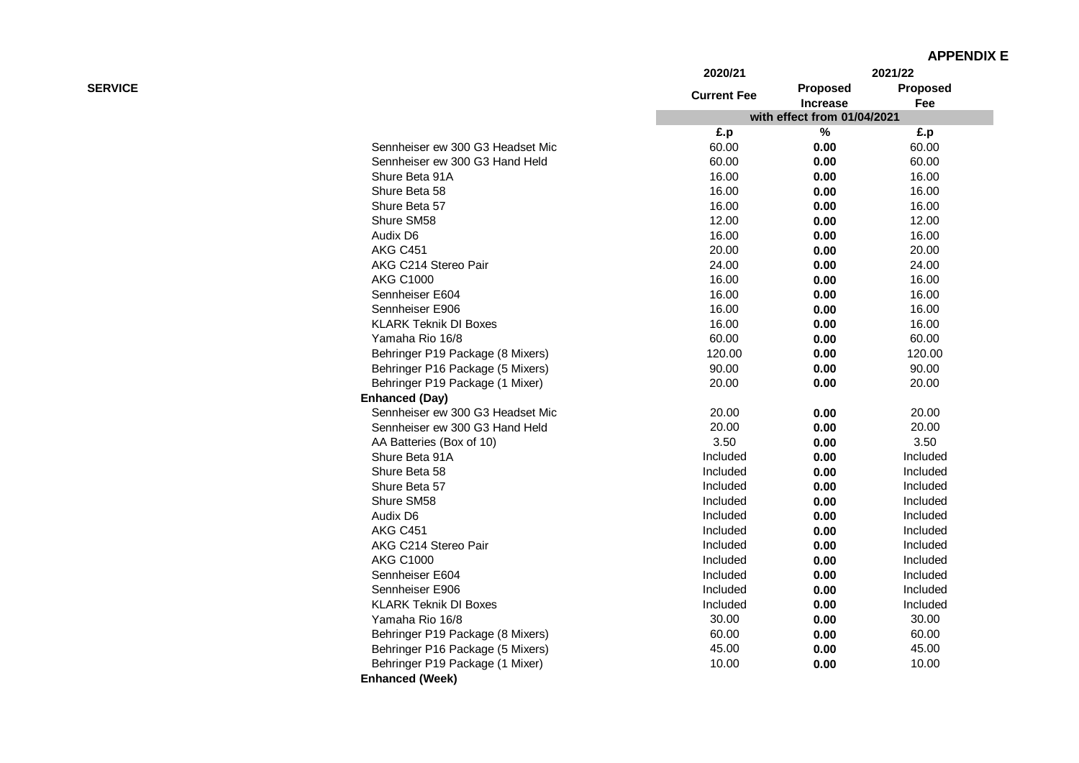|                |                                  | 2020/21            |                             | 2021/22  |
|----------------|----------------------------------|--------------------|-----------------------------|----------|
| <b>SERVICE</b> |                                  |                    | <b>Proposed</b>             | Proposed |
|                |                                  | <b>Current Fee</b> | Increase                    | Fee      |
|                |                                  |                    | with effect from 01/04/2021 |          |
|                |                                  | £.p                | $\%$                        | £.p      |
|                | Sennheiser ew 300 G3 Headset Mic | 60.00              | 0.00                        | 60.00    |
|                | Sennheiser ew 300 G3 Hand Held   | 60.00              | 0.00                        | 60.00    |
|                | Shure Beta 91A                   | 16.00              | 0.00                        | 16.00    |
|                | Shure Beta 58                    | 16.00              | 0.00                        | 16.00    |
|                | Shure Beta 57                    | 16.00              | 0.00                        | 16.00    |
|                | Shure SM58                       | 12.00              | 0.00                        | 12.00    |
|                | Audix D6                         | 16.00              | 0.00                        | 16.00    |
|                | <b>AKG C451</b>                  | 20.00              | 0.00                        | 20.00    |
|                | AKG C214 Stereo Pair             | 24.00              | 0.00                        | 24.00    |
|                | <b>AKG C1000</b>                 | 16.00              | 0.00                        | 16.00    |
|                | Sennheiser E604                  | 16.00              | 0.00                        | 16.00    |
|                | Sennheiser E906                  | 16.00              | 0.00                        | 16.00    |
|                | <b>KLARK Teknik DI Boxes</b>     | 16.00              | 0.00                        | 16.00    |
|                | Yamaha Rio 16/8                  | 60.00              | 0.00                        | 60.00    |
|                | Behringer P19 Package (8 Mixers) | 120.00             | 0.00                        | 120.00   |
|                | Behringer P16 Package (5 Mixers) | 90.00              | 0.00                        | 90.00    |
|                | Behringer P19 Package (1 Mixer)  | 20.00              | 0.00                        | 20.00    |
|                | <b>Enhanced (Day)</b>            |                    |                             |          |
|                | Sennheiser ew 300 G3 Headset Mic | 20.00              | 0.00                        | 20.00    |
|                | Sennheiser ew 300 G3 Hand Held   | 20.00              | 0.00                        | 20.00    |
|                | AA Batteries (Box of 10)         | 3.50               | 0.00                        | 3.50     |
|                | Shure Beta 91A                   | Included           | 0.00                        | Included |
|                | Shure Beta 58                    | Included           | 0.00                        | Included |
|                | Shure Beta 57                    | Included           | 0.00                        | Included |
|                | Shure SM58                       | Included           | 0.00                        | Included |
|                | Audix D6                         | Included           | 0.00                        | Included |
|                | <b>AKG C451</b>                  | Included           | 0.00                        | Included |
|                | AKG C214 Stereo Pair             | Included           | 0.00                        | Included |
|                | <b>AKG C1000</b>                 | Included           | 0.00                        | Included |
|                | Sennheiser E604                  | Included           | 0.00                        | Included |
|                | Sennheiser E906                  | Included           | 0.00                        | Included |
|                | <b>KLARK Teknik DI Boxes</b>     | Included           | 0.00                        | Included |
|                | Yamaha Rio 16/8                  | 30.00              | 0.00                        | 30.00    |
|                | Behringer P19 Package (8 Mixers) | 60.00              | 0.00                        | 60.00    |
|                | Behringer P16 Package (5 Mixers) | 45.00              | 0.00                        | 45.00    |
|                | Behringer P19 Package (1 Mixer)  | 10.00              | 0.00                        | 10.00    |
|                | <b>Enhanced (Week)</b>           |                    |                             |          |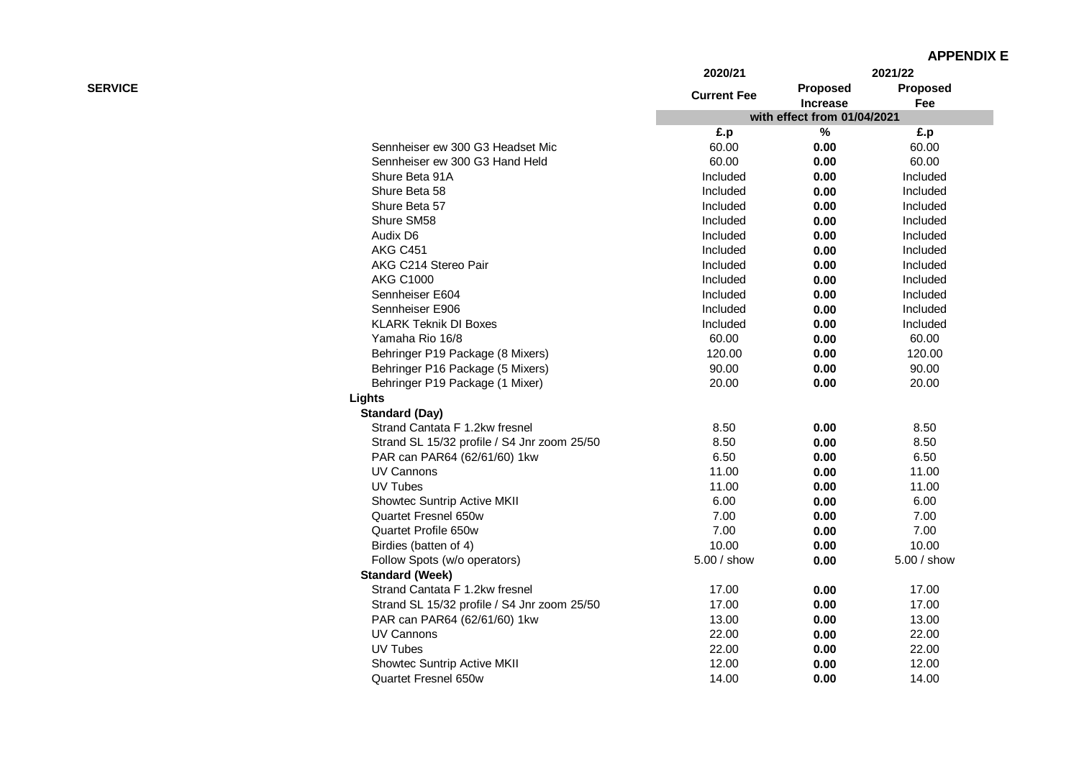|                |                                             | 2020/21            |                             | 2021/22         |
|----------------|---------------------------------------------|--------------------|-----------------------------|-----------------|
| <b>SERVICE</b> |                                             | <b>Current Fee</b> | <b>Proposed</b>             | <b>Proposed</b> |
|                |                                             |                    | <b>Increase</b>             | Fee             |
|                |                                             |                    | with effect from 01/04/2021 |                 |
|                |                                             | £.p                | $\%$                        | £.p             |
|                | Sennheiser ew 300 G3 Headset Mic            | 60.00              | 0.00                        | 60.00           |
|                | Sennheiser ew 300 G3 Hand Held              | 60.00              | 0.00                        | 60.00           |
|                | Shure Beta 91A                              | Included           | 0.00                        | Included        |
|                | Shure Beta 58                               | Included           | 0.00                        | Included        |
|                | Shure Beta 57                               | Included           | 0.00                        | Included        |
|                | Shure SM58                                  | Included           | 0.00                        | Included        |
|                | Audix D6                                    | Included           | 0.00                        | Included        |
|                | <b>AKG C451</b>                             | Included           | 0.00                        | Included        |
|                | AKG C214 Stereo Pair                        | Included           | 0.00                        | Included        |
|                | <b>AKG C1000</b>                            | Included           | 0.00                        | Included        |
|                | Sennheiser E604                             | Included           | 0.00                        | Included        |
|                | Sennheiser E906                             | Included           | 0.00                        | Included        |
|                | <b>KLARK Teknik DI Boxes</b>                | Included           | 0.00                        | Included        |
|                | Yamaha Rio 16/8                             | 60.00              | 0.00                        | 60.00           |
|                | Behringer P19 Package (8 Mixers)            | 120.00             | 0.00                        | 120.00          |
|                | Behringer P16 Package (5 Mixers)            | 90.00              | 0.00                        | 90.00           |
|                | Behringer P19 Package (1 Mixer)             | 20.00              | 0.00                        | 20.00           |
|                | Lights                                      |                    |                             |                 |
|                | <b>Standard (Day)</b>                       |                    |                             |                 |
|                | Strand Cantata F 1.2kw fresnel              | 8.50               | 0.00                        | 8.50            |
|                | Strand SL 15/32 profile / S4 Jnr zoom 25/50 | 8.50               | 0.00                        | 8.50            |
|                | PAR can PAR64 (62/61/60) 1kw                | 6.50               | 0.00                        | 6.50            |
|                | UV Cannons                                  | 11.00              | 0.00                        | 11.00           |
|                | UV Tubes                                    | 11.00              | 0.00                        | 11.00           |
|                | Showtec Suntrip Active MKII                 | 6.00               | 0.00                        | 6.00            |
|                | Quartet Fresnel 650w                        | 7.00               | 0.00                        | 7.00            |
|                | Quartet Profile 650w                        | 7.00               | 0.00                        | 7.00            |
|                | Birdies (batten of 4)                       | 10.00              | 0.00                        | 10.00           |
|                | Follow Spots (w/o operators)                | 5.00 / show        | 0.00                        | 5.00 / show     |
|                | <b>Standard (Week)</b>                      |                    |                             |                 |
|                | Strand Cantata F 1.2kw fresnel              | 17.00              | 0.00                        | 17.00           |
|                | Strand SL 15/32 profile / S4 Jnr zoom 25/50 | 17.00              | 0.00                        | 17.00           |
|                | PAR can PAR64 (62/61/60) 1kw                | 13.00              | 0.00                        | 13.00           |
|                | <b>UV Cannons</b>                           | 22.00              | 0.00                        | 22.00           |
|                | <b>UV Tubes</b>                             | 22.00              | 0.00                        | 22.00           |
|                | Showtec Suntrip Active MKII                 | 12.00              | 0.00                        | 12.00           |
|                | <b>Quartet Fresnel 650w</b>                 | 14.00              | 0.00                        | 14.00           |
|                |                                             |                    |                             |                 |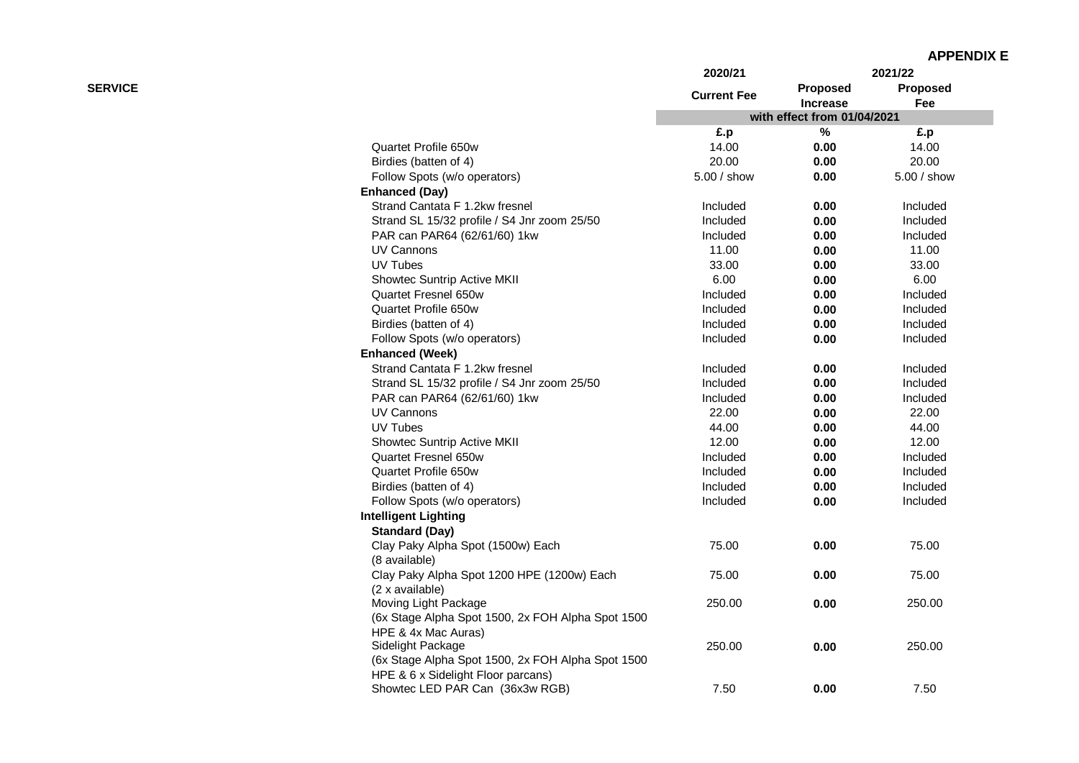|                |                                                   | 2020/21            |                                    | 2021/22         |
|----------------|---------------------------------------------------|--------------------|------------------------------------|-----------------|
| <b>SERVICE</b> |                                                   | <b>Current Fee</b> | <b>Proposed</b><br><b>Increase</b> | Proposed<br>Fee |
|                |                                                   |                    | with effect from 01/04/2021        |                 |
|                |                                                   | £.p                | $\%$                               | £.p             |
|                | Quartet Profile 650w                              | 14.00              | 0.00                               | 14.00           |
|                | Birdies (batten of 4)                             | 20.00              | 0.00                               | 20.00           |
|                | Follow Spots (w/o operators)                      | 5.00 / show        | 0.00                               | 5.00 / show     |
|                | <b>Enhanced (Day)</b>                             |                    |                                    |                 |
|                | Strand Cantata F 1.2kw fresnel                    | Included           | 0.00                               | Included        |
|                | Strand SL 15/32 profile / S4 Jnr zoom 25/50       | Included           | 0.00                               | Included        |
|                | PAR can PAR64 (62/61/60) 1kw                      | Included           | 0.00                               | Included        |
|                | UV Cannons                                        | 11.00              | 0.00                               | 11.00           |
|                | <b>UV Tubes</b>                                   | 33.00              | 0.00                               | 33.00           |
|                | Showtec Suntrip Active MKII                       | 6.00               | 0.00                               | 6.00            |
|                | Quartet Fresnel 650w                              | Included           | 0.00                               | Included        |
|                | Quartet Profile 650w                              | Included           | 0.00                               | Included        |
|                | Birdies (batten of 4)                             | Included           | 0.00                               | Included        |
|                | Follow Spots (w/o operators)                      | Included           | 0.00                               | Included        |
|                | <b>Enhanced (Week)</b>                            |                    |                                    |                 |
|                | Strand Cantata F 1.2kw fresnel                    | Included           | 0.00                               | Included        |
|                | Strand SL 15/32 profile / S4 Jnr zoom 25/50       | Included           | 0.00                               | Included        |
|                | PAR can PAR64 (62/61/60) 1kw                      | Included           | 0.00                               | Included        |
|                | UV Cannons                                        | 22.00              | 0.00                               | 22.00           |
|                | <b>UV Tubes</b>                                   | 44.00              | 0.00                               | 44.00           |
|                | Showtec Suntrip Active MKII                       | 12.00              | 0.00                               | 12.00           |
|                | Quartet Fresnel 650w                              | Included           | 0.00                               | Included        |
|                | Quartet Profile 650w                              | Included           | 0.00                               | Included        |
|                | Birdies (batten of 4)                             | Included           | 0.00                               | Included        |
|                | Follow Spots (w/o operators)                      | Included           | 0.00                               | Included        |
|                | <b>Intelligent Lighting</b>                       |                    |                                    |                 |
|                | <b>Standard (Day)</b>                             |                    |                                    |                 |
|                | Clay Paky Alpha Spot (1500w) Each                 | 75.00              | 0.00                               | 75.00           |
|                | (8 available)                                     |                    |                                    |                 |
|                | Clay Paky Alpha Spot 1200 HPE (1200w) Each        | 75.00              | 0.00                               | 75.00           |
|                | (2 x available)                                   |                    |                                    |                 |
|                | Moving Light Package                              | 250.00             | 0.00                               | 250.00          |
|                | (6x Stage Alpha Spot 1500, 2x FOH Alpha Spot 1500 |                    |                                    |                 |
|                | HPE & 4x Mac Auras)                               |                    |                                    |                 |
|                | Sidelight Package                                 | 250.00             | 0.00                               | 250.00          |
|                | (6x Stage Alpha Spot 1500, 2x FOH Alpha Spot 1500 |                    |                                    |                 |
|                | HPE & 6 x Sidelight Floor parcans)                |                    |                                    |                 |
|                | Showtec LED PAR Can (36x3w RGB)                   | 7.50               | 0.00                               | 7.50            |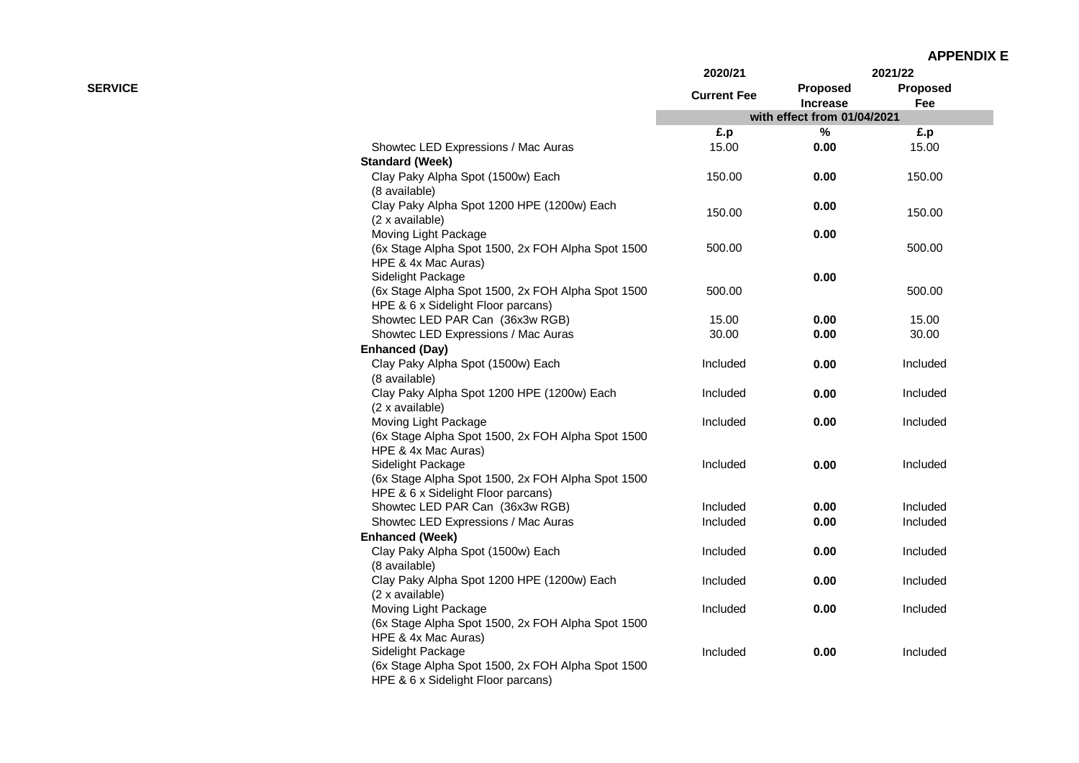| <b>APPENDIX E</b> |
|-------------------|
|-------------------|

|                |                                                                          | 2020/21            |                                    | 2021/22         |
|----------------|--------------------------------------------------------------------------|--------------------|------------------------------------|-----------------|
| <b>SERVICE</b> |                                                                          | <b>Current Fee</b> | <b>Proposed</b><br><b>Increase</b> | Proposed<br>Fee |
|                |                                                                          |                    | with effect from 01/04/2021        |                 |
|                |                                                                          | £.p                | $\%$                               | £.p             |
|                | Showtec LED Expressions / Mac Auras                                      | 15.00              | 0.00                               | 15.00           |
|                | <b>Standard (Week)</b>                                                   |                    |                                    |                 |
|                | Clay Paky Alpha Spot (1500w) Each                                        | 150.00             | 0.00                               | 150.00          |
|                | (8 available)                                                            |                    |                                    |                 |
|                | Clay Paky Alpha Spot 1200 HPE (1200w) Each                               | 150.00             | 0.00                               | 150.00          |
|                | (2 x available)                                                          |                    |                                    |                 |
|                | Moving Light Package                                                     |                    | 0.00                               |                 |
|                | (6x Stage Alpha Spot 1500, 2x FOH Alpha Spot 1500                        | 500.00             |                                    | 500.00          |
|                | HPE & 4x Mac Auras)                                                      |                    |                                    |                 |
|                | Sidelight Package                                                        |                    | 0.00                               |                 |
|                | (6x Stage Alpha Spot 1500, 2x FOH Alpha Spot 1500                        | 500.00             |                                    | 500.00          |
|                | HPE & 6 x Sidelight Floor parcans)                                       |                    |                                    |                 |
|                | Showtec LED PAR Can (36x3w RGB)                                          | 15.00              | 0.00                               | 15.00           |
|                | Showtec LED Expressions / Mac Auras                                      | 30.00              | 0.00                               | 30.00           |
|                | <b>Enhanced (Day)</b>                                                    |                    |                                    |                 |
|                | Clay Paky Alpha Spot (1500w) Each                                        | Included           | 0.00                               | Included        |
|                | (8 available)                                                            |                    |                                    |                 |
|                | Clay Paky Alpha Spot 1200 HPE (1200w) Each                               | Included           | 0.00                               | Included        |
|                | (2 x available)                                                          |                    |                                    |                 |
|                | Moving Light Package                                                     | Included           | 0.00                               | Included        |
|                | (6x Stage Alpha Spot 1500, 2x FOH Alpha Spot 1500)                       |                    |                                    |                 |
|                | HPE & 4x Mac Auras)                                                      |                    |                                    |                 |
|                | Sidelight Package                                                        | Included           | 0.00                               | Included        |
|                | (6x Stage Alpha Spot 1500, 2x FOH Alpha Spot 1500)                       |                    |                                    |                 |
|                | HPE & 6 x Sidelight Floor parcans)<br>Showtec LED PAR Can (36x3w RGB)    |                    |                                    |                 |
|                |                                                                          | Included           | 0.00                               | Included        |
|                | Showtec LED Expressions / Mac Auras                                      | Included           | 0.00                               | Included        |
|                | <b>Enhanced (Week)</b>                                                   |                    |                                    |                 |
|                | Clay Paky Alpha Spot (1500w) Each                                        | Included           | 0.00                               | Included        |
|                | (8 available)                                                            |                    |                                    |                 |
|                | Clay Paky Alpha Spot 1200 HPE (1200w) Each                               | Included           | 0.00                               | Included        |
|                | (2 x available)                                                          |                    | 0.00                               |                 |
|                | Moving Light Package                                                     | Included           |                                    | Included        |
|                | (6x Stage Alpha Spot 1500, 2x FOH Alpha Spot 1500<br>HPE & 4x Mac Auras) |                    |                                    |                 |
|                | Sidelight Package                                                        | Included           | 0.00                               | Included        |
|                | (6x Stage Alpha Spot 1500, 2x FOH Alpha Spot 1500                        |                    |                                    |                 |
|                | HPE & 6 x Sidelight Floor parcans)                                       |                    |                                    |                 |
|                |                                                                          |                    |                                    |                 |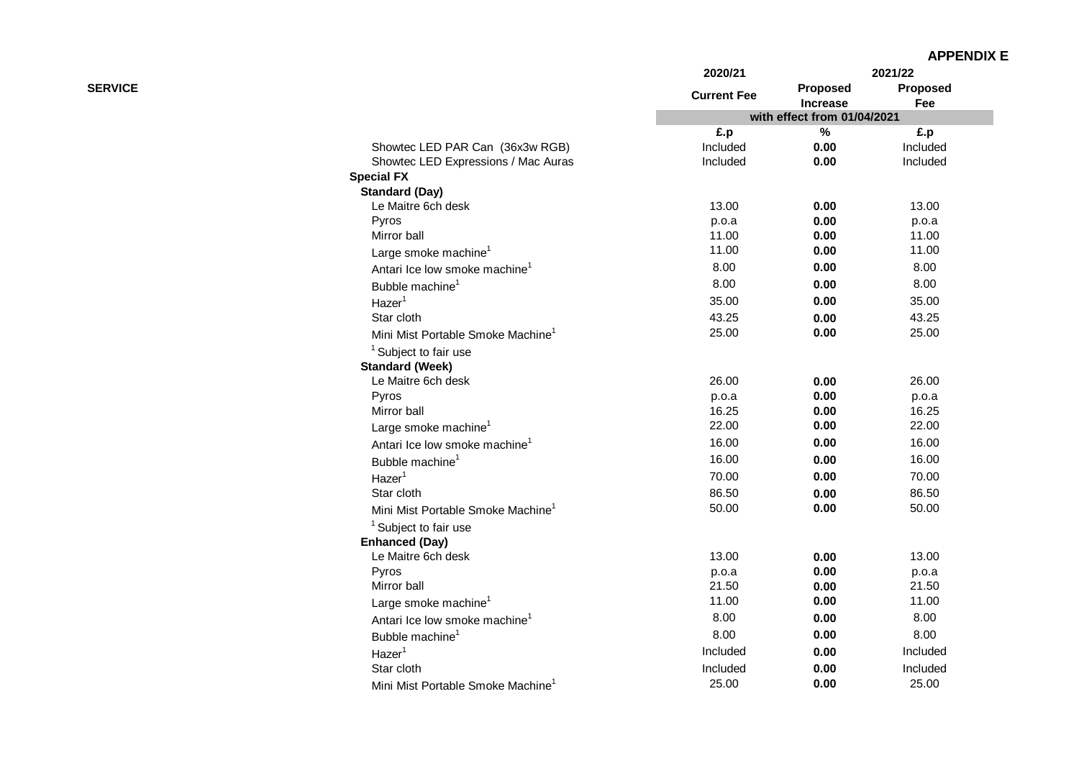|                |                                               | 2020/21            |                             | 2021/22         |
|----------------|-----------------------------------------------|--------------------|-----------------------------|-----------------|
| <b>SERVICE</b> |                                               | <b>Current Fee</b> | Proposed<br><b>Increase</b> | Proposed<br>Fee |
|                |                                               |                    | with effect from 01/04/2021 |                 |
|                |                                               | £.p                | $\%$                        | £.p             |
|                | Showtec LED PAR Can (36x3w RGB)               | Included           | 0.00                        | Included        |
|                | Showtec LED Expressions / Mac Auras           | Included           | 0.00                        | Included        |
|                | <b>Special FX</b>                             |                    |                             |                 |
|                | <b>Standard (Day)</b>                         |                    |                             |                 |
|                | Le Maitre 6ch desk                            | 13.00              | 0.00                        | 13.00           |
|                | Pyros                                         | p.o.a              | 0.00                        | p.o.a           |
|                | Mirror ball                                   | 11.00              | 0.00                        | 11.00           |
|                | Large smoke machine <sup>1</sup>              | 11.00              | 0.00                        | 11.00           |
|                | Antari Ice Iow smoke machine <sup>1</sup>     | 8.00               | 0.00                        | 8.00            |
|                | Bubble machine <sup>1</sup>                   | 8.00               | 0.00                        | 8.00            |
|                | Hazer <sup>1</sup>                            | 35.00              | 0.00                        | 35.00           |
|                | Star cloth                                    | 43.25              | 0.00                        | 43.25           |
|                | Mini Mist Portable Smoke Machine              | 25.00              | 0.00                        | 25.00           |
|                | <sup>1</sup> Subject to fair use              |                    |                             |                 |
|                | <b>Standard (Week)</b>                        |                    |                             |                 |
|                | Le Maitre 6ch desk                            | 26.00              | 0.00                        | 26.00           |
|                | Pyros                                         | p.o.a              | 0.00                        | p.o.a           |
|                | Mirror ball                                   | 16.25              | 0.00                        | 16.25           |
|                | Large smoke machine <sup>1</sup>              | 22.00              | 0.00                        | 22.00           |
|                | Antari Ice low smoke machine <sup>1</sup>     | 16.00              | 0.00                        | 16.00           |
|                | Bubble machine <sup>1</sup>                   | 16.00              | 0.00                        | 16.00           |
|                | Hazer <sup>1</sup>                            | 70.00              | 0.00                        | 70.00           |
|                | Star cloth                                    | 86.50              | 0.00                        | 86.50           |
|                | Mini Mist Portable Smoke Machine <sup>1</sup> | 50.00              | 0.00                        | 50.00           |
|                | $1$ Subject to fair use                       |                    |                             |                 |
|                | <b>Enhanced (Day)</b>                         |                    |                             |                 |
|                | Le Maitre 6ch desk                            | 13.00              | 0.00                        | 13.00           |
|                | Pyros                                         | p.o.a              | 0.00                        | p.o.a           |
|                | Mirror ball                                   | 21.50              | 0.00                        | 21.50           |
|                | Large smoke machine <sup>1</sup>              | 11.00              | 0.00                        | 11.00           |
|                | Antari Ice Iow smoke machine <sup>1</sup>     | 8.00               | 0.00                        | 8.00            |
|                | Bubble machine <sup>1</sup>                   | 8.00               | 0.00                        | 8.00            |
|                | Hazer <sup>1</sup>                            | Included           | 0.00                        | Included        |
|                | Star cloth                                    | Included           | 0.00                        | Included        |
|                |                                               | 25.00              | 0.00                        | 25.00           |
|                | Mini Mist Portable Smoke Machine              |                    |                             |                 |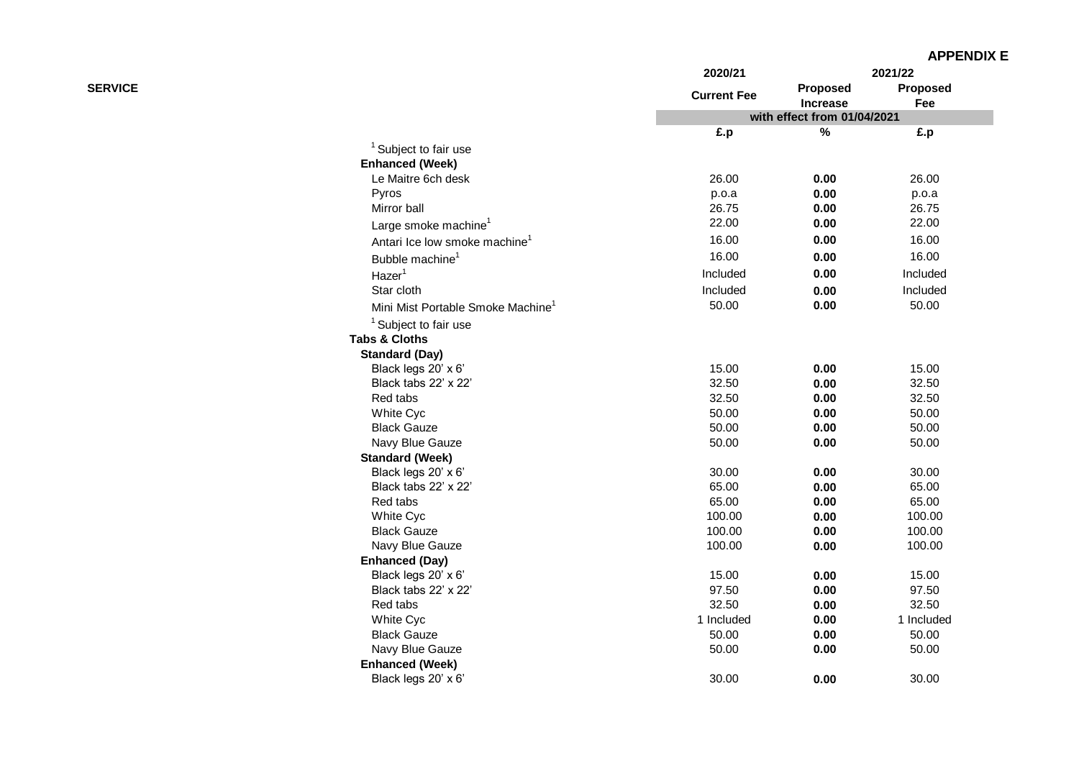|                |                                               | 2020/21            |                             | 2021/22                |
|----------------|-----------------------------------------------|--------------------|-----------------------------|------------------------|
| <b>SERVICE</b> |                                               | <b>Current Fee</b> | Proposed<br><b>Increase</b> | <b>Proposed</b><br>Fee |
|                |                                               |                    | with effect from 01/04/2021 |                        |
|                |                                               | £.p                | $\%$                        | £.p                    |
|                | <sup>1</sup> Subject to fair use              |                    |                             |                        |
|                | <b>Enhanced (Week)</b>                        |                    |                             |                        |
|                | Le Maitre 6ch desk                            | 26.00              | 0.00                        | 26.00                  |
|                | Pyros                                         | p.o.a              | 0.00                        | p.o.a                  |
|                | Mirror ball                                   | 26.75              | 0.00                        | 26.75                  |
|                | Large smoke machine <sup>1</sup>              | 22.00              | 0.00                        | 22.00                  |
|                | Antari Ice Iow smoke machine <sup>1</sup>     | 16.00              | 0.00                        | 16.00                  |
|                | Bubble machine <sup>1</sup>                   | 16.00              | 0.00                        | 16.00                  |
|                | Hazer <sup>1</sup>                            | Included           | 0.00                        | Included               |
|                | Star cloth                                    | Included           | 0.00                        | Included               |
|                | Mini Mist Portable Smoke Machine <sup>1</sup> | 50.00              | 0.00                        | 50.00                  |
|                | <sup>1</sup> Subject to fair use              |                    |                             |                        |
|                | <b>Tabs &amp; Cloths</b>                      |                    |                             |                        |
|                | <b>Standard (Day)</b>                         |                    |                             |                        |
|                | Black legs 20' x 6'                           | 15.00              | 0.00                        | 15.00                  |
|                | Black tabs 22' x 22'                          | 32.50              | 0.00                        | 32.50                  |
|                | Red tabs                                      | 32.50              | 0.00                        | 32.50                  |
|                | White Cyc                                     | 50.00              | 0.00                        | 50.00                  |
|                | <b>Black Gauze</b>                            | 50.00              | 0.00                        | 50.00                  |
|                | Navy Blue Gauze                               | 50.00              | 0.00                        | 50.00                  |
|                | <b>Standard (Week)</b>                        |                    |                             |                        |
|                | Black legs 20' x 6'                           | 30.00              | 0.00                        | 30.00                  |
|                | Black tabs 22' x 22'                          | 65.00              | 0.00                        | 65.00                  |
|                | Red tabs                                      | 65.00              | 0.00                        | 65.00                  |
|                | White Cyc                                     | 100.00             | 0.00                        | 100.00                 |
|                | <b>Black Gauze</b>                            | 100.00             | 0.00                        | 100.00                 |
|                | Navy Blue Gauze                               | 100.00             | 0.00                        | 100.00                 |
|                | <b>Enhanced (Day)</b>                         |                    |                             |                        |
|                | Black legs 20' x 6'                           | 15.00              | 0.00                        | 15.00                  |
|                | Black tabs 22' x 22'                          | 97.50              | 0.00                        | 97.50                  |
|                | Red tabs                                      | 32.50              | 0.00                        | 32.50                  |
|                | White Cyc                                     | 1 Included         | 0.00                        | 1 Included             |
|                | <b>Black Gauze</b>                            | 50.00              | 0.00                        | 50.00                  |
|                | Navy Blue Gauze                               | 50.00              | 0.00                        | 50.00                  |
|                | <b>Enhanced (Week)</b>                        |                    |                             |                        |
|                | Black legs 20' x 6'                           | 30.00              | 0.00                        | 30.00                  |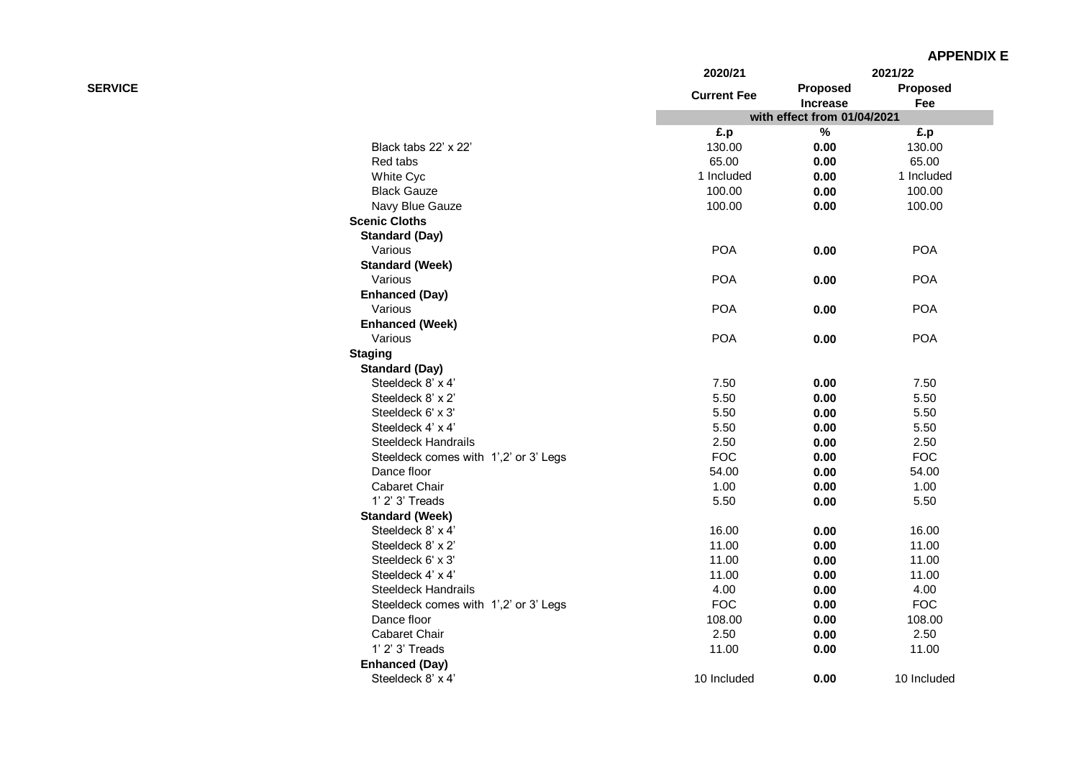|                |                                       | 2020/21            |                             | 2021/22         |
|----------------|---------------------------------------|--------------------|-----------------------------|-----------------|
| <b>SERVICE</b> |                                       | <b>Current Fee</b> | Proposed<br><b>Increase</b> | Proposed<br>Fee |
|                |                                       |                    | with effect from 01/04/2021 |                 |
|                |                                       | £.p                | $\%$                        | £.p             |
|                | Black tabs 22' x 22'                  | 130.00             | 0.00                        | 130.00          |
|                | Red tabs                              | 65.00              | 0.00                        | 65.00           |
|                | White Cyc                             | 1 Included         | 0.00                        | 1 Included      |
|                | <b>Black Gauze</b>                    | 100.00             | 0.00                        | 100.00          |
|                | Navy Blue Gauze                       | 100.00             | 0.00                        | 100.00          |
|                | <b>Scenic Cloths</b>                  |                    |                             |                 |
|                | <b>Standard (Day)</b>                 |                    |                             |                 |
|                | Various                               | <b>POA</b>         | 0.00                        | <b>POA</b>      |
|                | <b>Standard (Week)</b>                |                    |                             |                 |
|                | Various                               | <b>POA</b>         | 0.00                        | <b>POA</b>      |
|                | <b>Enhanced (Day)</b>                 |                    |                             |                 |
|                | Various                               | <b>POA</b>         | 0.00                        | <b>POA</b>      |
|                | <b>Enhanced (Week)</b>                |                    |                             |                 |
|                | Various                               | <b>POA</b>         | 0.00                        | <b>POA</b>      |
|                | <b>Staging</b>                        |                    |                             |                 |
|                | <b>Standard (Day)</b>                 |                    |                             |                 |
|                | Steeldeck 8' x 4'                     | 7.50               | 0.00                        | 7.50            |
|                | Steeldeck 8' x 2'                     | 5.50               | 0.00                        | 5.50            |
|                | Steeldeck 6' x 3'                     | 5.50               | 0.00                        | 5.50            |
|                | Steeldeck 4' x 4'                     | 5.50               | 0.00                        | 5.50            |
|                | <b>Steeldeck Handrails</b>            | 2.50               | 0.00                        | 2.50            |
|                | Steeldeck comes with 1',2' or 3' Legs | <b>FOC</b>         | 0.00                        | <b>FOC</b>      |
|                | Dance floor                           | 54.00              | 0.00                        | 54.00           |
|                | Cabaret Chair                         | 1.00               | 0.00                        | 1.00            |
|                | 1' 2' 3' Treads                       | 5.50               | 0.00                        | 5.50            |
|                | <b>Standard (Week)</b>                |                    |                             |                 |
|                | Steeldeck 8' x 4'                     | 16.00              | 0.00                        | 16.00           |
|                | Steeldeck 8' x 2'                     | 11.00              | 0.00                        | 11.00           |
|                | Steeldeck 6' x 3'                     | 11.00              | 0.00                        | 11.00           |
|                | Steeldeck 4' x 4'                     | 11.00              | 0.00                        | 11.00           |
|                | <b>Steeldeck Handrails</b>            | 4.00               | 0.00                        | 4.00            |
|                | Steeldeck comes with 1',2' or 3' Legs | <b>FOC</b>         | 0.00                        | <b>FOC</b>      |
|                | Dance floor                           | 108.00             | 0.00                        | 108.00          |
|                | Cabaret Chair                         | 2.50               | 0.00                        | 2.50            |
|                | 1' 2' 3' Treads                       | 11.00              | 0.00                        | 11.00           |
|                | <b>Enhanced (Day)</b>                 |                    |                             |                 |
|                | Steeldeck 8' x 4'                     | 10 Included        | 0.00                        | 10 Included     |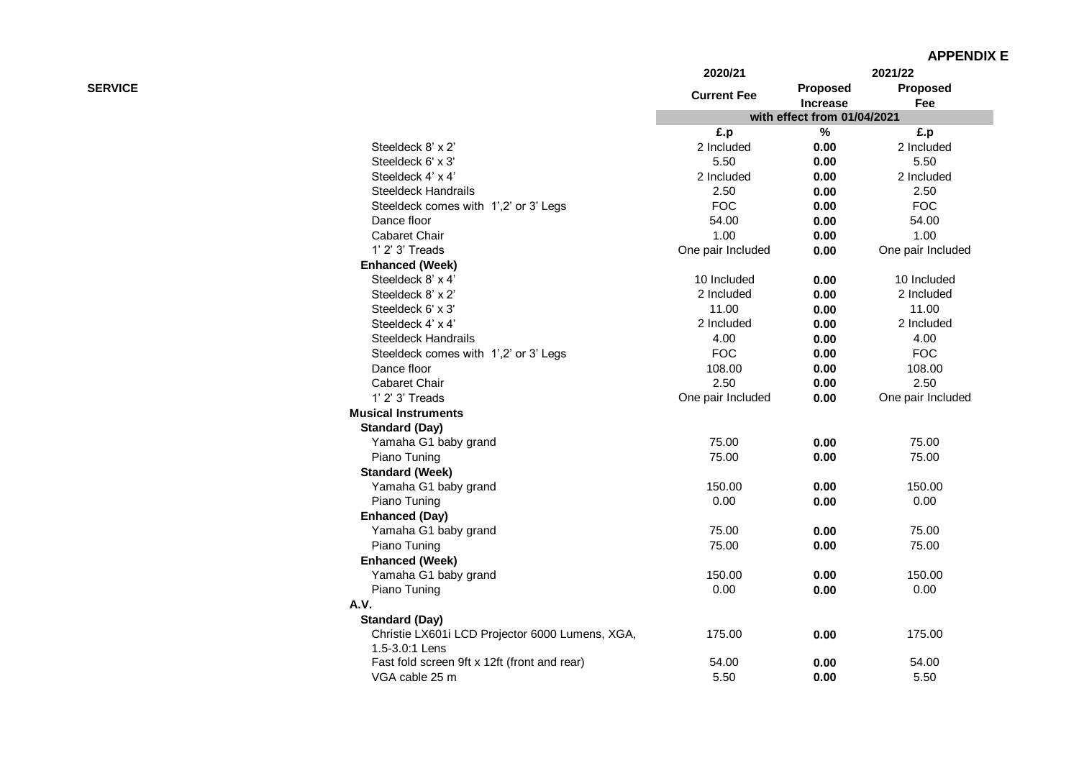|                |                                                 | 2020/21            |                             | 2021/22           |
|----------------|-------------------------------------------------|--------------------|-----------------------------|-------------------|
| <b>SERVICE</b> |                                                 | <b>Current Fee</b> | Proposed<br>Increase        | Proposed<br>Fee   |
|                |                                                 |                    | with effect from 01/04/2021 |                   |
|                |                                                 | £.p                | $\%$                        | £.p               |
|                | Steeldeck 8' x 2'                               | 2 Included         | 0.00                        | 2 Included        |
|                | Steeldeck 6' x 3'                               | 5.50               | 0.00                        | 5.50              |
|                | Steeldeck 4' x 4'                               | 2 Included         | 0.00                        | 2 Included        |
|                | <b>Steeldeck Handrails</b>                      | 2.50               | 0.00                        | 2.50              |
|                | Steeldeck comes with 1',2' or 3' Legs           | <b>FOC</b>         | 0.00                        | <b>FOC</b>        |
|                | Dance floor                                     | 54.00              | 0.00                        | 54.00             |
|                | <b>Cabaret Chair</b>                            | 1.00               | 0.00                        | 1.00              |
|                | 1' 2' 3' Treads                                 | One pair Included  | 0.00                        | One pair Included |
|                | <b>Enhanced (Week)</b>                          |                    |                             |                   |
|                | Steeldeck 8' x 4'                               | 10 Included        | 0.00                        | 10 Included       |
|                | Steeldeck 8' x 2'                               | 2 Included         | 0.00                        | 2 Included        |
|                | Steeldeck 6' x 3'                               | 11.00              | 0.00                        | 11.00             |
|                | Steeldeck 4' x 4'                               | 2 Included         | 0.00                        | 2 Included        |
|                | <b>Steeldeck Handrails</b>                      | 4.00               | 0.00                        | 4.00              |
|                | Steeldeck comes with 1',2' or 3' Legs           | <b>FOC</b>         | 0.00                        | <b>FOC</b>        |
|                | Dance floor                                     | 108.00             | 0.00                        | 108.00            |
|                | Cabaret Chair                                   | 2.50               | 0.00                        | 2.50              |
|                | 1' 2' 3' Treads                                 | One pair Included  | 0.00                        | One pair Included |
|                | <b>Musical Instruments</b>                      |                    |                             |                   |
|                | <b>Standard (Day)</b>                           |                    |                             |                   |
|                | Yamaha G1 baby grand                            | 75.00              | 0.00                        | 75.00             |
|                | Piano Tuning                                    | 75.00              | 0.00                        | 75.00             |
|                | <b>Standard (Week)</b>                          |                    |                             |                   |
|                | Yamaha G1 baby grand                            | 150.00             | 0.00                        | 150.00            |
|                | Piano Tuning                                    | 0.00               | 0.00                        | 0.00              |
|                | <b>Enhanced (Day)</b>                           |                    |                             |                   |
|                | Yamaha G1 baby grand                            | 75.00              | 0.00                        | 75.00             |
|                | Piano Tuning                                    | 75.00              | 0.00                        | 75.00             |
|                | <b>Enhanced (Week)</b>                          |                    |                             |                   |
|                | Yamaha G1 baby grand                            | 150.00             | 0.00                        | 150.00            |
|                | Piano Tuning                                    | 0.00               | 0.00                        | 0.00              |
|                | A.V.                                            |                    |                             |                   |
|                | <b>Standard (Day)</b>                           |                    |                             |                   |
|                | Christie LX601i LCD Projector 6000 Lumens, XGA, | 175.00             | 0.00                        | 175.00            |
|                | 1.5-3.0:1 Lens                                  |                    |                             |                   |
|                | Fast fold screen 9ft x 12ft (front and rear)    | 54.00              | 0.00                        | 54.00             |
|                | VGA cable 25 m                                  | 5.50               | 0.00                        | 5.50              |
|                |                                                 |                    |                             |                   |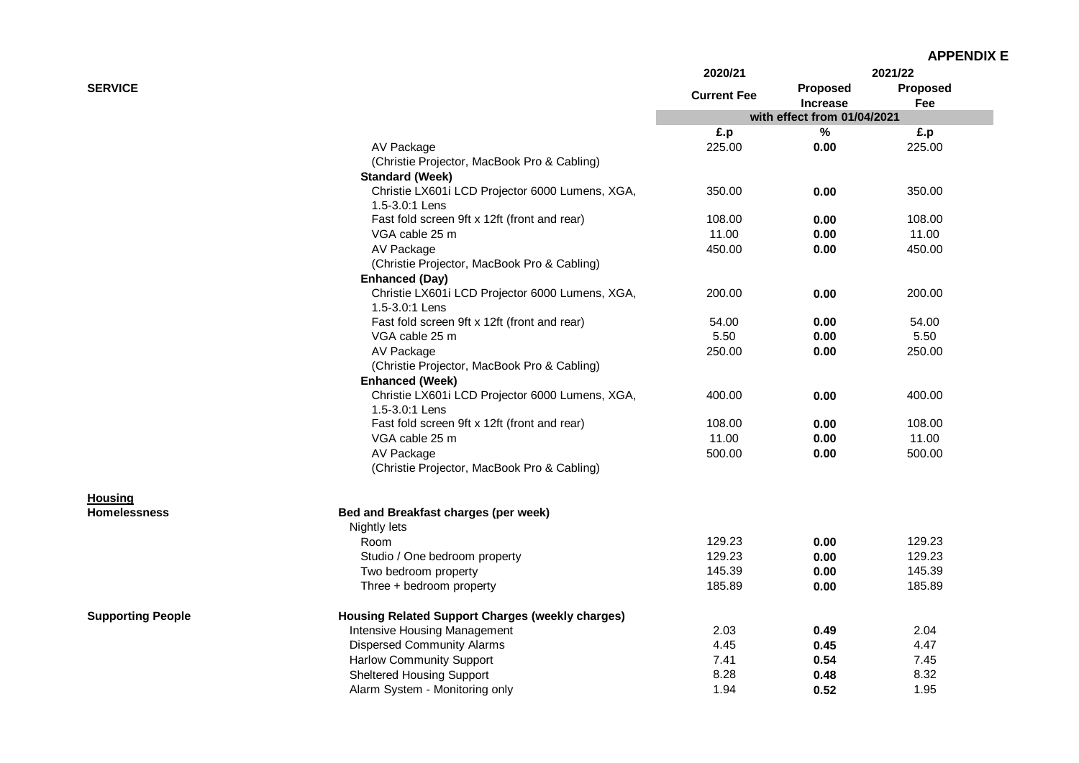| <b>APPENDIX E</b> |
|-------------------|
|-------------------|

|                          |                                                                   | 2020/21            |                             | 2021/22         |
|--------------------------|-------------------------------------------------------------------|--------------------|-----------------------------|-----------------|
| <b>SERVICE</b>           |                                                                   | <b>Current Fee</b> | Proposed<br><b>Increase</b> | Proposed<br>Fee |
|                          |                                                                   |                    | with effect from 01/04/2021 |                 |
|                          |                                                                   | £.p                | $\%$                        | £.p             |
|                          | AV Package                                                        | 225.00             | 0.00                        | 225.00          |
|                          | (Christie Projector, MacBook Pro & Cabling)                       |                    |                             |                 |
|                          | <b>Standard (Week)</b>                                            |                    |                             |                 |
|                          | Christie LX601i LCD Projector 6000 Lumens, XGA,                   | 350.00             | 0.00                        | 350.00          |
|                          | 1.5-3.0:1 Lens                                                    |                    |                             |                 |
|                          | Fast fold screen 9ft x 12ft (front and rear)                      | 108.00             | 0.00                        | 108.00          |
|                          | VGA cable 25 m                                                    | 11.00              | 0.00                        | 11.00           |
|                          | AV Package                                                        | 450.00             | 0.00                        | 450.00          |
|                          | (Christie Projector, MacBook Pro & Cabling)                       |                    |                             |                 |
|                          | <b>Enhanced (Day)</b>                                             |                    |                             |                 |
|                          | Christie LX601i LCD Projector 6000 Lumens, XGA,                   | 200.00             | 0.00                        | 200.00          |
|                          | 1.5-3.0:1 Lens                                                    |                    |                             |                 |
|                          | Fast fold screen 9ft x 12ft (front and rear)                      | 54.00              | 0.00                        | 54.00           |
|                          | VGA cable 25 m                                                    | 5.50               | 0.00                        | 5.50            |
|                          | AV Package                                                        | 250.00             | 0.00                        | 250.00          |
|                          | (Christie Projector, MacBook Pro & Cabling)                       |                    |                             |                 |
|                          | <b>Enhanced (Week)</b>                                            |                    |                             |                 |
|                          | Christie LX601i LCD Projector 6000 Lumens, XGA,<br>1.5-3.0:1 Lens | 400.00             | 0.00                        | 400.00          |
|                          | Fast fold screen 9ft x 12ft (front and rear)                      | 108.00             | 0.00                        | 108.00          |
|                          | VGA cable 25 m                                                    | 11.00              | 0.00                        | 11.00           |
|                          | AV Package                                                        | 500.00             | 0.00                        | 500.00          |
|                          | (Christie Projector, MacBook Pro & Cabling)                       |                    |                             |                 |
| <b>Housing</b>           |                                                                   |                    |                             |                 |
| <b>Homelessness</b>      | Bed and Breakfast charges (per week)                              |                    |                             |                 |
|                          | Nightly lets                                                      |                    |                             |                 |
|                          | Room                                                              | 129.23             | 0.00                        | 129.23          |
|                          | Studio / One bedroom property                                     | 129.23             | 0.00                        | 129.23          |
|                          | Two bedroom property                                              | 145.39             | 0.00                        | 145.39          |
|                          | Three + bedroom property                                          | 185.89             | 0.00                        | 185.89          |
| <b>Supporting People</b> | <b>Housing Related Support Charges (weekly charges)</b>           |                    |                             |                 |
|                          | Intensive Housing Management                                      | 2.03               | 0.49                        | 2.04            |
|                          | <b>Dispersed Community Alarms</b>                                 | 4.45               | 0.45                        | 4.47            |
|                          | <b>Harlow Community Support</b>                                   | 7.41               | 0.54                        | 7.45            |
|                          | <b>Sheltered Housing Support</b>                                  | 8.28               | 0.48                        | 8.32            |
|                          | Alarm System - Monitoring only                                    | 1.94               | 0.52                        | 1.95            |